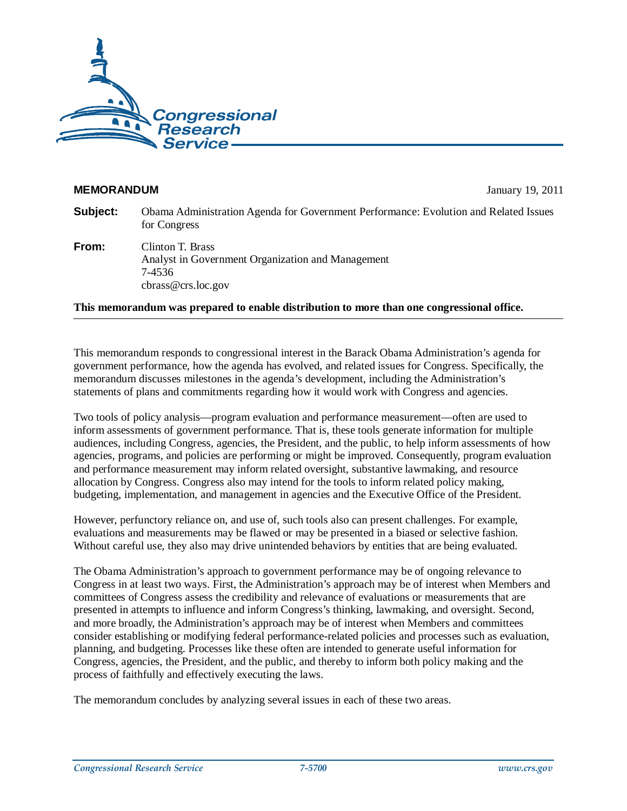

#### **MEMORANDUM** January 19, 2011

| Subject: | Obama Administration Agenda for Government Performance: Evolution and Related Issues<br>for Congress |
|----------|------------------------------------------------------------------------------------------------------|
| From:    | Clinton T. Brass                                                                                     |

Analyst in Government Organization and Management 7-4536 cbrass@crs.loc.gov

**This memorandum was prepared to enable distribution to more than one congressional office.** 

This memorandum responds to congressional interest in the Barack Obama Administration's agenda for government performance, how the agenda has evolved, and related issues for Congress. Specifically, the memorandum discusses milestones in the agenda's development, including the Administration's statements of plans and commitments regarding how it would work with Congress and agencies.

Two tools of policy analysis—program evaluation and performance measurement—often are used to inform assessments of government performance. That is, these tools generate information for multiple audiences, including Congress, agencies, the President, and the public, to help inform assessments of how agencies, programs, and policies are performing or might be improved. Consequently, program evaluation and performance measurement may inform related oversight, substantive lawmaking, and resource allocation by Congress. Congress also may intend for the tools to inform related policy making, budgeting, implementation, and management in agencies and the Executive Office of the President.

However, perfunctory reliance on, and use of, such tools also can present challenges. For example, evaluations and measurements may be flawed or may be presented in a biased or selective fashion. Without careful use, they also may drive unintended behaviors by entities that are being evaluated.

The Obama Administration's approach to government performance may be of ongoing relevance to Congress in at least two ways. First, the Administration's approach may be of interest when Members and committees of Congress assess the credibility and relevance of evaluations or measurements that are presented in attempts to influence and inform Congress's thinking, lawmaking, and oversight. Second, and more broadly, the Administration's approach may be of interest when Members and committees consider establishing or modifying federal performance-related policies and processes such as evaluation, planning, and budgeting. Processes like these often are intended to generate useful information for Congress, agencies, the President, and the public, and thereby to inform both policy making and the process of faithfully and effectively executing the laws.

The memorandum concludes by analyzing several issues in each of these two areas.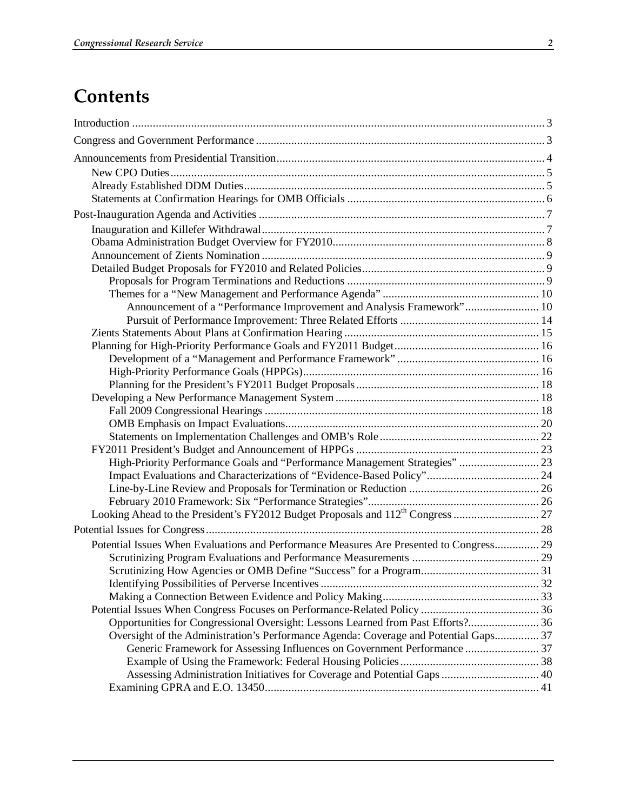# **Contents**

| Announcement of a "Performance Improvement and Analysis Framework" 10                   |  |
|-----------------------------------------------------------------------------------------|--|
|                                                                                         |  |
|                                                                                         |  |
|                                                                                         |  |
|                                                                                         |  |
|                                                                                         |  |
|                                                                                         |  |
|                                                                                         |  |
|                                                                                         |  |
|                                                                                         |  |
|                                                                                         |  |
|                                                                                         |  |
| High-Priority Performance Goals and "Performance Management Strategies"  23             |  |
|                                                                                         |  |
|                                                                                         |  |
|                                                                                         |  |
|                                                                                         |  |
|                                                                                         |  |
| Potential Issues When Evaluations and Performance Measures Are Presented to Congress 29 |  |
|                                                                                         |  |
|                                                                                         |  |
|                                                                                         |  |
|                                                                                         |  |
|                                                                                         |  |
| Opportunities for Congressional Oversight: Lessons Learned from Past Efforts? 36        |  |
| Oversight of the Administration's Performance Agenda: Coverage and Potential Gaps 37    |  |
| Generic Framework for Assessing Influences on Government Performance  37                |  |
|                                                                                         |  |
|                                                                                         |  |
|                                                                                         |  |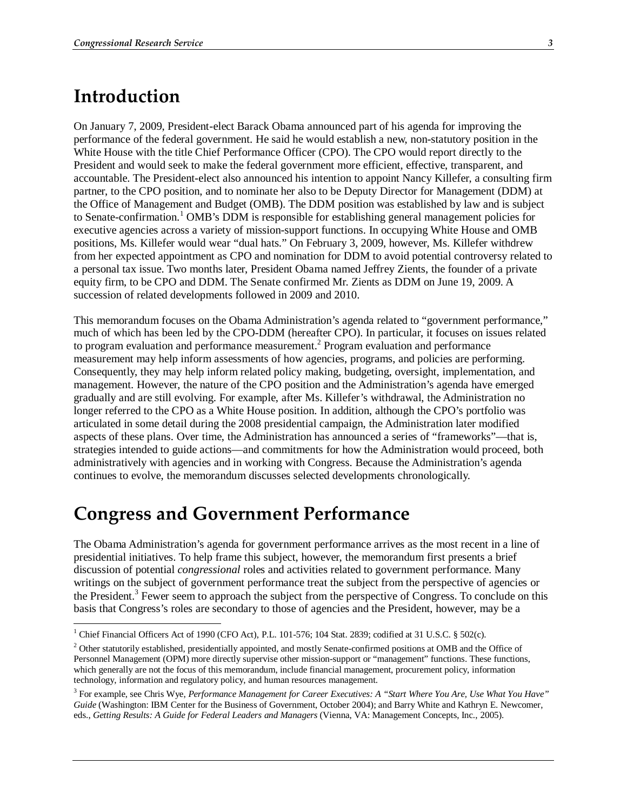## **Introduction**

<u>.</u>

On January 7, 2009, President-elect Barack Obama announced part of his agenda for improving the performance of the federal government. He said he would establish a new, non-statutory position in the White House with the title Chief Performance Officer (CPO). The CPO would report directly to the President and would seek to make the federal government more efficient, effective, transparent, and accountable. The President-elect also announced his intention to appoint Nancy Killefer, a consulting firm partner, to the CPO position, and to nominate her also to be Deputy Director for Management (DDM) at the Office of Management and Budget (OMB). The DDM position was established by law and is subject to Senate-confirmation.<sup>1</sup> OMB's DDM is responsible for establishing general management policies for executive agencies across a variety of mission-support functions. In occupying White House and OMB positions, Ms. Killefer would wear "dual hats." On February 3, 2009, however, Ms. Killefer withdrew from her expected appointment as CPO and nomination for DDM to avoid potential controversy related to a personal tax issue. Two months later, President Obama named Jeffrey Zients, the founder of a private equity firm, to be CPO and DDM. The Senate confirmed Mr. Zients as DDM on June 19, 2009. A succession of related developments followed in 2009 and 2010.

This memorandum focuses on the Obama Administration's agenda related to "government performance," much of which has been led by the CPO-DDM (hereafter CPO). In particular, it focuses on issues related to program evaluation and performance measurement.<sup>2</sup> Program evaluation and performance measurement may help inform assessments of how agencies, programs, and policies are performing. Consequently, they may help inform related policy making, budgeting, oversight, implementation, and management. However, the nature of the CPO position and the Administration's agenda have emerged gradually and are still evolving. For example, after Ms. Killefer's withdrawal, the Administration no longer referred to the CPO as a White House position. In addition, although the CPO's portfolio was articulated in some detail during the 2008 presidential campaign, the Administration later modified aspects of these plans. Over time, the Administration has announced a series of "frameworks"—that is, strategies intended to guide actions—and commitments for how the Administration would proceed, both administratively with agencies and in working with Congress. Because the Administration's agenda continues to evolve, the memorandum discusses selected developments chronologically.

## **Congress and Government Performance**

The Obama Administration's agenda for government performance arrives as the most recent in a line of presidential initiatives. To help frame this subject, however, the memorandum first presents a brief discussion of potential *congressional* roles and activities related to government performance. Many writings on the subject of government performance treat the subject from the perspective of agencies or the President.<sup>3</sup> Fewer seem to approach the subject from the perspective of Congress. To conclude on this basis that Congress's roles are secondary to those of agencies and the President, however, may be a

<sup>&</sup>lt;sup>1</sup> Chief Financial Officers Act of 1990 (CFO Act), P.L. 101-576; 104 Stat. 2839; codified at 31 U.S.C. § 502(c).

<sup>&</sup>lt;sup>2</sup> Other statutorily established, presidentially appointed, and mostly Senate-confirmed positions at OMB and the Office of Personnel Management (OPM) more directly supervise other mission-support or "management" functions. These functions, which generally are not the focus of this memorandum, include financial management, procurement policy, information technology, information and regulatory policy, and human resources management.

<sup>3</sup> For example, see Chris Wye, *Performance Management for Career Executives: A "Start Where You Are, Use What You Have" Guide* (Washington: IBM Center for the Business of Government, October 2004); and Barry White and Kathryn E. Newcomer, eds., *Getting Results: A Guide for Federal Leaders and Managers* (Vienna, VA: Management Concepts, Inc., 2005).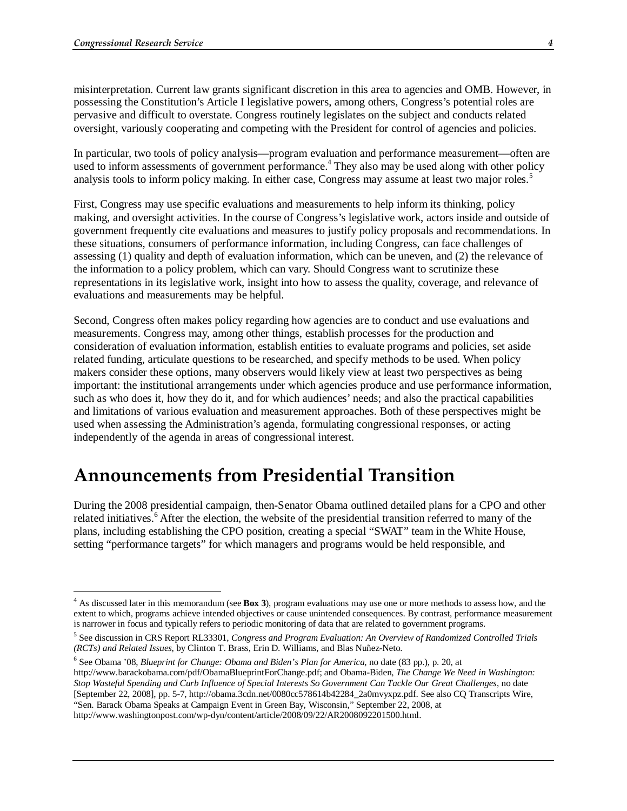misinterpretation. Current law grants significant discretion in this area to agencies and OMB. However, in possessing the Constitution's Article I legislative powers, among others, Congress's potential roles are pervasive and difficult to overstate. Congress routinely legislates on the subject and conducts related oversight, variously cooperating and competing with the President for control of agencies and policies.

In particular, two tools of policy analysis—program evaluation and performance measurement—often are used to inform assessments of government performance.<sup>4</sup> They also may be used along with other policy analysis tools to inform policy making. In either case, Congress may assume at least two major roles.<sup>5</sup>

First, Congress may use specific evaluations and measurements to help inform its thinking, policy making, and oversight activities. In the course of Congress's legislative work, actors inside and outside of government frequently cite evaluations and measures to justify policy proposals and recommendations. In these situations, consumers of performance information, including Congress, can face challenges of assessing (1) quality and depth of evaluation information, which can be uneven, and (2) the relevance of the information to a policy problem, which can vary. Should Congress want to scrutinize these representations in its legislative work, insight into how to assess the quality, coverage, and relevance of evaluations and measurements may be helpful.

Second, Congress often makes policy regarding how agencies are to conduct and use evaluations and measurements. Congress may, among other things, establish processes for the production and consideration of evaluation information, establish entities to evaluate programs and policies, set aside related funding, articulate questions to be researched, and specify methods to be used. When policy makers consider these options, many observers would likely view at least two perspectives as being important: the institutional arrangements under which agencies produce and use performance information, such as who does it, how they do it, and for which audiences' needs; and also the practical capabilities and limitations of various evaluation and measurement approaches. Both of these perspectives might be used when assessing the Administration's agenda, formulating congressional responses, or acting independently of the agenda in areas of congressional interest.

## **Announcements from Presidential Transition**

During the 2008 presidential campaign, then-Senator Obama outlined detailed plans for a CPO and other related initiatives.<sup>6</sup> After the election, the website of the presidential transition referred to many of the plans, including establishing the CPO position, creating a special "SWAT" team in the White House, setting "performance targets" for which managers and programs would be held responsible, and

 4 As discussed later in this memorandum (see **Box 3**), program evaluations may use one or more methods to assess how, and the extent to which, programs achieve intended objectives or cause unintended consequences. By contrast, performance measurement is narrower in focus and typically refers to periodic monitoring of data that are related to government programs.

<sup>5</sup> See discussion in CRS Report RL33301, *Congress and Program Evaluation: An Overview of Randomized Controlled Trials (RCTs) and Related Issues*, by Clinton T. Brass, Erin D. Williams, and Blas Nuñez-Neto.

<sup>6</sup> See Obama '08, *Blueprint for Change: Obama and Biden's Plan for America*, no date (83 pp.), p. 20, at http://www.barackobama.com/pdf/ObamaBlueprintForChange.pdf; and Obama-Biden, *The Change We Need in Washington: Stop Wasteful Spending and Curb Influence of Special Interests So Government Can Tackle Our Great Challenges*, no date [September 22, 2008], pp. 5-7, http://obama.3cdn.net/0080cc578614b42284\_2a0mvyxpz.pdf. See also CQ Transcripts Wire, "Sen. Barack Obama Speaks at Campaign Event in Green Bay, Wisconsin," September 22, 2008, at

http://www.washingtonpost.com/wp-dyn/content/article/2008/09/22/AR2008092201500.html.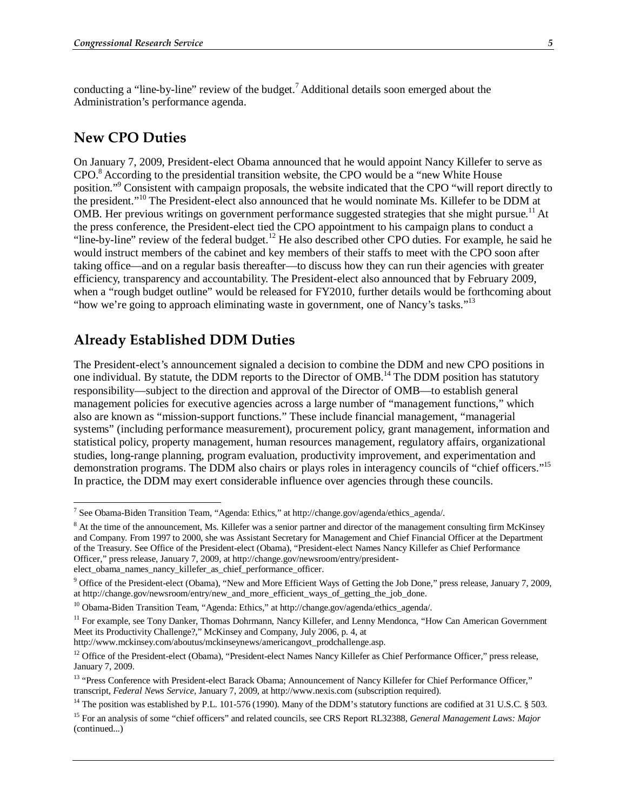conducting a "line-by-line" review of the budget.<sup>7</sup> Additional details soon emerged about the Administration's performance agenda.

#### **New CPO Duties**

On January 7, 2009, President-elect Obama announced that he would appoint Nancy Killefer to serve as CPO.<sup>8</sup> According to the presidential transition website, the CPO would be a "new White House position."<sup>9</sup> Consistent with campaign proposals, the website indicated that the CPO "will report directly to the president."10 The President-elect also announced that he would nominate Ms. Killefer to be DDM at OMB. Her previous writings on government performance suggested strategies that she might pursue.<sup>11</sup> At the press conference, the President-elect tied the CPO appointment to his campaign plans to conduct a "line-by-line" review of the federal budget.<sup>12</sup> He also described other CPO duties. For example, he said he would instruct members of the cabinet and key members of their staffs to meet with the CPO soon after taking office—and on a regular basis thereafter—to discuss how they can run their agencies with greater efficiency, transparency and accountability. The President-elect also announced that by February 2009, when a "rough budget outline" would be released for FY2010, further details would be forthcoming about "how we're going to approach eliminating waste in government, one of Nancy's tasks."<sup>13</sup>

## **Already Established DDM Duties**

The President-elect's announcement signaled a decision to combine the DDM and new CPO positions in one individual. By statute, the DDM reports to the Director of OMB.<sup>14</sup> The DDM position has statutory responsibility—subject to the direction and approval of the Director of OMB—to establish general management policies for executive agencies across a large number of "management functions," which also are known as "mission-support functions." These include financial management, "managerial systems" (including performance measurement), procurement policy, grant management, information and statistical policy, property management, human resources management, regulatory affairs, organizational studies, long-range planning, program evaluation, productivity improvement, and experimentation and demonstration programs. The DDM also chairs or plays roles in interagency councils of "chief officers."<sup>15</sup> In practice, the DDM may exert considerable influence over agencies through these councils.

http://www.mckinsey.com/aboutus/mckinseynews/americangovt\_prodchallenge.asp.

 7 See Obama-Biden Transition Team, "Agenda: Ethics," at http://change.gov/agenda/ethics\_agenda/.

<sup>&</sup>lt;sup>8</sup> At the time of the announcement, Ms. Killefer was a senior partner and director of the management consulting firm McKinsey and Company. From 1997 to 2000, she was Assistant Secretary for Management and Chief Financial Officer at the Department of the Treasury. See Office of the President-elect (Obama), "President-elect Names Nancy Killefer as Chief Performance Officer," press release, January 7, 2009, at http://change.gov/newsroom/entry/presidentelect\_obama\_names\_nancy\_killefer\_as\_chief\_performance\_officer.

<sup>&</sup>lt;sup>9</sup> Office of the President-elect (Obama), "New and More Efficient Ways of Getting the Job Done," press release, January 7, 2009, at http://change.gov/newsroom/entry/new\_and\_more\_efficient\_ways\_of\_getting\_the\_job\_done.

<sup>&</sup>lt;sup>10</sup> Obama-Biden Transition Team, "Agenda: Ethics," at http://change.gov/agenda/ethics\_agenda/.

<sup>&</sup>lt;sup>11</sup> For example, see Tony Danker, Thomas Dohrmann, Nancy Killefer, and Lenny Mendonca, "How Can American Government Meet its Productivity Challenge?," McKinsey and Company, July 2006, p. 4, at

<sup>&</sup>lt;sup>12</sup> Office of the President-elect (Obama), "President-elect Names Nancy Killefer as Chief Performance Officer," press release, January 7, 2009.

<sup>&</sup>lt;sup>13</sup> "Press Conference with President-elect Barack Obama; Announcement of Nancy Killefer for Chief Performance Officer," transcript, *Federal News Service*, January 7, 2009, at http://www.nexis.com (subscription required).

<sup>&</sup>lt;sup>14</sup> The position was established by P.L. 101-576 (1990). Many of the DDM's statutory functions are codified at 31 U.S.C.  $\S$  503.

<sup>15</sup> For an analysis of some "chief officers" and related councils, see CRS Report RL32388, *General Management Laws: Major*  (continued...)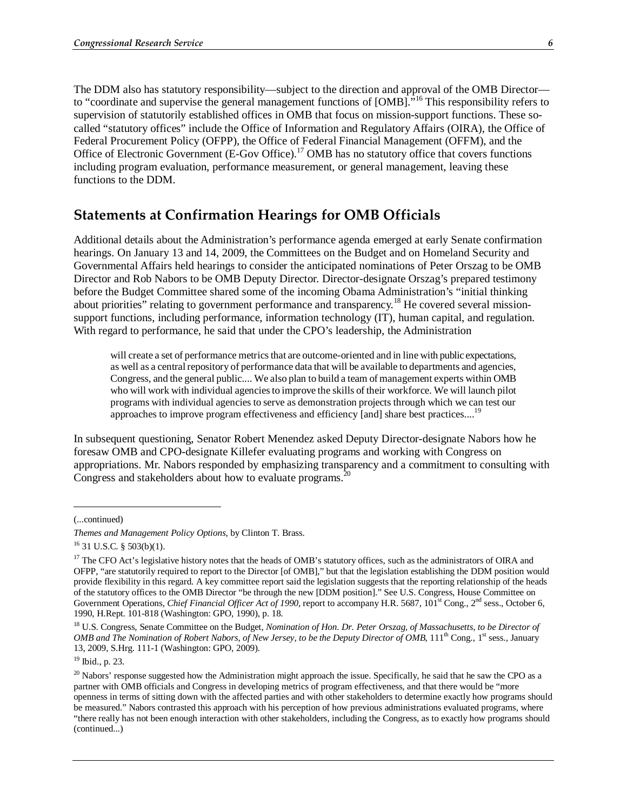The DDM also has statutory responsibility—subject to the direction and approval of the OMB Director to "coordinate and supervise the general management functions of [OMB]."16 This responsibility refers to supervision of statutorily established offices in OMB that focus on mission-support functions. These socalled "statutory offices" include the Office of Information and Regulatory Affairs (OIRA), the Office of Federal Procurement Policy (OFPP), the Office of Federal Financial Management (OFFM), and the Office of Electronic Government (E-Gov Office).<sup>17</sup> OMB has no statutory office that covers functions including program evaluation, performance measurement, or general management, leaving these functions to the DDM.

#### **Statements at Confirmation Hearings for OMB Officials**

Additional details about the Administration's performance agenda emerged at early Senate confirmation hearings. On January 13 and 14, 2009, the Committees on the Budget and on Homeland Security and Governmental Affairs held hearings to consider the anticipated nominations of Peter Orszag to be OMB Director and Rob Nabors to be OMB Deputy Director. Director-designate Orszag's prepared testimony before the Budget Committee shared some of the incoming Obama Administration's "initial thinking about priorities" relating to government performance and transparency.<sup>18</sup> He covered several missionsupport functions, including performance, information technology (IT), human capital, and regulation. With regard to performance, he said that under the CPO's leadership, the Administration

will create a set of performance metrics that are outcome-oriented and in line with public expectations, as well as a central repository of performance data that will be available to departments and agencies, Congress, and the general public.... We also plan to build a team of management experts within OMB who will work with individual agencies to improve the skills of their workforce. We will launch pilot programs with individual agencies to serve as demonstration projects through which we can test our approaches to improve program effectiveness and efficiency [and] share best practices....<sup>19</sup>

In subsequent questioning, Senator Robert Menendez asked Deputy Director-designate Nabors how he foresaw OMB and CPO-designate Killefer evaluating programs and working with Congress on appropriations. Mr. Nabors responded by emphasizing transparency and a commitment to consulting with Congress and stakeholders about how to evaluate programs.<sup>2</sup>

<u>.</u>

<sup>(...</sup>continued)

*Themes and Management Policy Options*, by Clinton T. Brass. <sup>16</sup> 31 U.S.C. § 503(b)(1).

<sup>&</sup>lt;sup>17</sup> The CFO Act's legislative history notes that the heads of OMB's statutory offices, such as the administrators of OIRA and OFPP, "are statutorily required to report to the Director [of OMB]," but that the legislation establishing the DDM position would provide flexibility in this regard. A key committee report said the legislation suggests that the reporting relationship of the heads of the statutory offices to the OMB Director "be through the new [DDM position]." See U.S. Congress, House Committee on Government Operations, *Chief Financial Officer Act of 1990*, report to accompany H.R. 5687, 101<sup>st</sup> Cong., 2<sup>nd</sup> sess., October 6, 1990, H.Rept. 101-818 (Washington: GPO, 1990), p. 18.

<sup>&</sup>lt;sup>18</sup> U.S. Congress, Senate Committee on the Budget, *Nomination of Hon. Dr. Peter Orszag, of Massachusetts, to be Director of OMB and The Nomination of Robert Nabors, of New Jersey, to be the Deputy Director of OMB*,  $111^{th}$  Cong.,  $1^{st}$  sess., January 13, 2009, S.Hrg. 111-1 (Washington: GPO, 2009).

<sup>19</sup> Ibid., p. 23.

 $^{20}$  Nabors' response suggested how the Administration might approach the issue. Specifically, he said that he saw the CPO as a partner with OMB officials and Congress in developing metrics of program effectiveness, and that there would be "more openness in terms of sitting down with the affected parties and with other stakeholders to determine exactly how programs should be measured." Nabors contrasted this approach with his perception of how previous administrations evaluated programs, where "there really has not been enough interaction with other stakeholders, including the Congress, as to exactly how programs should (continued...)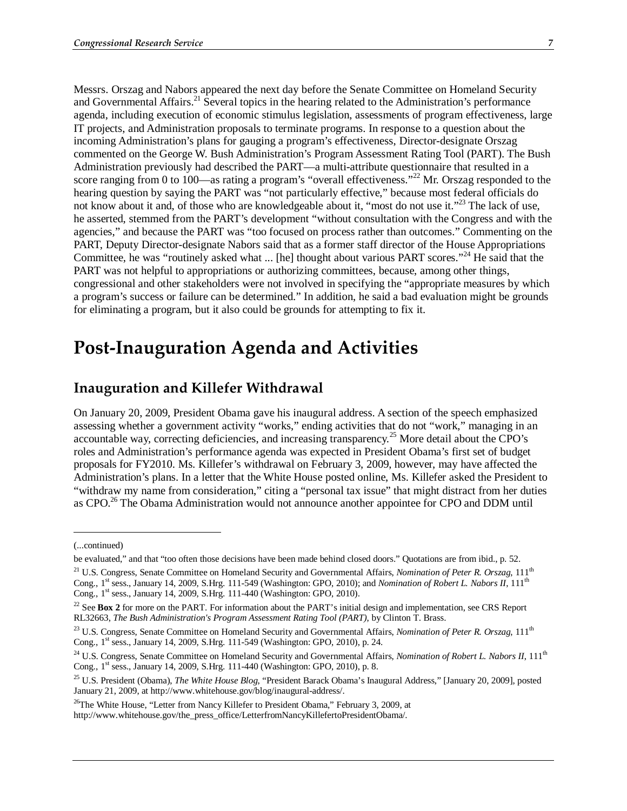Messrs. Orszag and Nabors appeared the next day before the Senate Committee on Homeland Security and Governmental Affairs.<sup>21</sup> Several topics in the hearing related to the Administration's performance agenda, including execution of economic stimulus legislation, assessments of program effectiveness, large IT projects, and Administration proposals to terminate programs. In response to a question about the incoming Administration's plans for gauging a program's effectiveness, Director-designate Orszag commented on the George W. Bush Administration's Program Assessment Rating Tool (PART). The Bush Administration previously had described the PART—a multi-attribute questionnaire that resulted in a score ranging from 0 to 100—as rating a program's "overall effectiveness."<sup>22</sup> Mr. Orszag responded to the hearing question by saying the PART was "not particularly effective," because most federal officials do not know about it and, of those who are knowledgeable about it, "most do not use it."<sup>23</sup> The lack of use, he asserted, stemmed from the PART's development "without consultation with the Congress and with the agencies," and because the PART was "too focused on process rather than outcomes." Commenting on the PART, Deputy Director-designate Nabors said that as a former staff director of the House Appropriations Committee, he was "routinely asked what ... [he] thought about various PART scores."24 He said that the PART was not helpful to appropriations or authorizing committees, because, among other things, congressional and other stakeholders were not involved in specifying the "appropriate measures by which a program's success or failure can be determined." In addition, he said a bad evaluation might be grounds for eliminating a program, but it also could be grounds for attempting to fix it.

## **Post-Inauguration Agenda and Activities**

### **Inauguration and Killefer Withdrawal**

On January 20, 2009, President Obama gave his inaugural address. A section of the speech emphasized assessing whether a government activity "works," ending activities that do not "work," managing in an accountable way, correcting deficiencies, and increasing transparency.25 More detail about the CPO's roles and Administration's performance agenda was expected in President Obama's first set of budget proposals for FY2010. Ms. Killefer's withdrawal on February 3, 2009, however, may have affected the Administration's plans. In a letter that the White House posted online, Ms. Killefer asked the President to "withdraw my name from consideration," citing a "personal tax issue" that might distract from her duties as CPO.<sup>26</sup> The Obama Administration would not announce another appointee for CPO and DDM until

1

<sup>(...</sup>continued)

be evaluated," and that "too often those decisions have been made behind closed doors." Quotations are from ibid., p. 52.

<sup>&</sup>lt;sup>21</sup> U.S. Congress, Senate Committee on Homeland Security and Governmental Affairs, *Nomination of Peter R. Orszag*, 111<sup>th</sup> Cong., 1<sup>st</sup> sess., January 14, 2009, S.Hrg. 111-549 (Washington: GPO, 2010); and *Nomination of Robert L. Nabors II*, 111<sup>th</sup> Cong., 1<sup>st</sup> sess., January 14, 2009, S.Hrg. 111-440 (Washington: GPO, 2010).

<sup>&</sup>lt;sup>22</sup> See **Box 2** for more on the PART. For information about the PART's initial design and implementation, see CRS Report RL32663, *The Bush Administration's Program Assessment Rating Tool (PART)*, by Clinton T. Brass.

<sup>&</sup>lt;sup>23</sup> U.S. Congress, Senate Committee on Homeland Security and Governmental Affairs, *Nomination of Peter R. Orszag*, 111<sup>th</sup> Cong., 1st sess., January 14, 2009, S.Hrg. 111-549 (Washington: GPO, 2010), p. 24.

<sup>&</sup>lt;sup>24</sup> U.S. Congress, Senate Committee on Homeland Security and Governmental Affairs, *Nomination of Robert L. Nabors II*, 111<sup>th</sup> Cong., 1st sess., January 14, 2009, S.Hrg. 111-440 (Washington: GPO, 2010), p. 8.

<sup>25</sup> U.S. President (Obama), *The White House Blog*, "President Barack Obama's Inaugural Address," [January 20, 2009], posted January 21, 2009, at http://www.whitehouse.gov/blog/inaugural-address/.

<sup>&</sup>lt;sup>26</sup>The White House, "Letter from Nancy Killefer to President Obama," February 3, 2009, at http://www.whitehouse.gov/the\_press\_office/LetterfromNancyKillefertoPresidentObama/.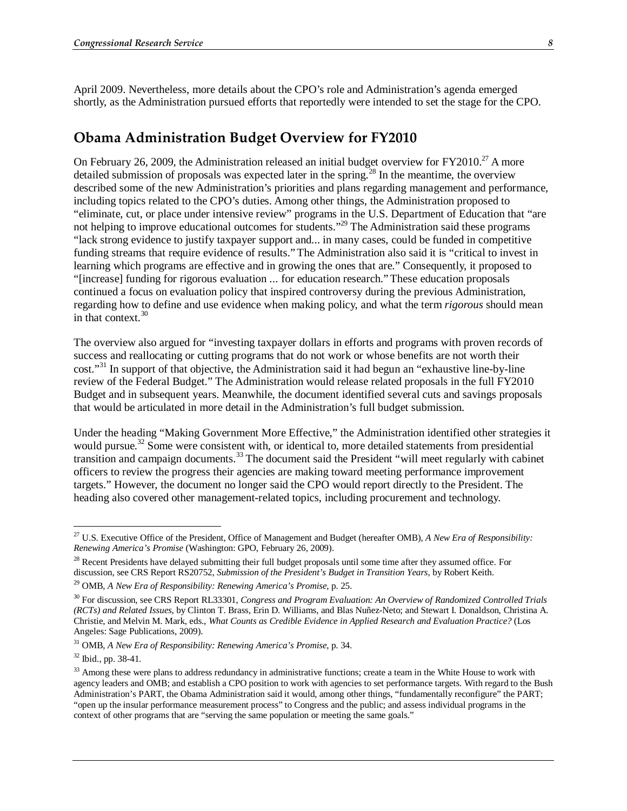April 2009. Nevertheless, more details about the CPO's role and Administration's agenda emerged shortly, as the Administration pursued efforts that reportedly were intended to set the stage for the CPO.

### **Obama Administration Budget Overview for FY2010**

On February 26, 2009, the Administration released an initial budget overview for  $FY2010.<sup>27</sup>$  A more detailed submission of proposals was expected later in the spring.<sup>28</sup> In the meantime, the overview described some of the new Administration's priorities and plans regarding management and performance, including topics related to the CPO's duties. Among other things, the Administration proposed to "eliminate, cut, or place under intensive review" programs in the U.S. Department of Education that "are not helping to improve educational outcomes for students."<sup>29</sup> The Administration said these programs "lack strong evidence to justify taxpayer support and... in many cases, could be funded in competitive funding streams that require evidence of results."The Administration also said it is "critical to invest in learning which programs are effective and in growing the ones that are." Consequently, it proposed to "[increase] funding for rigorous evaluation ... for education research."These education proposals continued a focus on evaluation policy that inspired controversy during the previous Administration, regarding how to define and use evidence when making policy, and what the term *rigorous* should mean in that context. $30$ 

The overview also argued for "investing taxpayer dollars in efforts and programs with proven records of success and reallocating or cutting programs that do not work or whose benefits are not worth their cost."31 In support of that objective, the Administration said it had begun an "exhaustive line-by-line review of the Federal Budget." The Administration would release related proposals in the full FY2010 Budget and in subsequent years. Meanwhile, the document identified several cuts and savings proposals that would be articulated in more detail in the Administration's full budget submission.

Under the heading "Making Government More Effective," the Administration identified other strategies it would pursue.<sup>32</sup> Some were consistent with, or identical to, more detailed statements from presidential transition and campaign documents.<sup>33</sup> The document said the President "will meet regularly with cabinet" officers to review the progress their agencies are making toward meeting performance improvement targets." However, the document no longer said the CPO would report directly to the President. The heading also covered other management-related topics, including procurement and technology.

-

<sup>27</sup> U.S. Executive Office of the President, Office of Management and Budget (hereafter OMB), *A New Era of Responsibility: Renewing America's Promise* (Washington: GPO, February 26, 2009).

<sup>&</sup>lt;sup>28</sup> Recent Presidents have delayed submitting their full budget proposals until some time after they assumed office. For discussion, see CRS Report RS20752, *Submission of the President's Budget in Transition Years*, by Robert Keith. 29 OMB, *A New Era of Responsibility: Renewing America's Promise*, p. 25.

<sup>30</sup> For discussion, see CRS Report RL33301, *Congress and Program Evaluation: An Overview of Randomized Controlled Trials (RCTs) and Related Issues*, by Clinton T. Brass, Erin D. Williams, and Blas Nuñez-Neto; and Stewart I. Donaldson, Christina A. Christie, and Melvin M. Mark, eds., *What Counts as Credible Evidence in Applied Research and Evaluation Practice?* (Los Angeles: Sage Publications, 2009).

<sup>31</sup> OMB, *A New Era of Responsibility: Renewing America's Promise*, p. 34.

<sup>32</sup> Ibid., pp. 38-41.

<sup>&</sup>lt;sup>33</sup> Among these were plans to address redundancy in administrative functions; create a team in the White House to work with agency leaders and OMB; and establish a CPO position to work with agencies to set performance targets. With regard to the Bush Administration's PART, the Obama Administration said it would, among other things, "fundamentally reconfigure" the PART; "open up the insular performance measurement process" to Congress and the public; and assess individual programs in the context of other programs that are "serving the same population or meeting the same goals."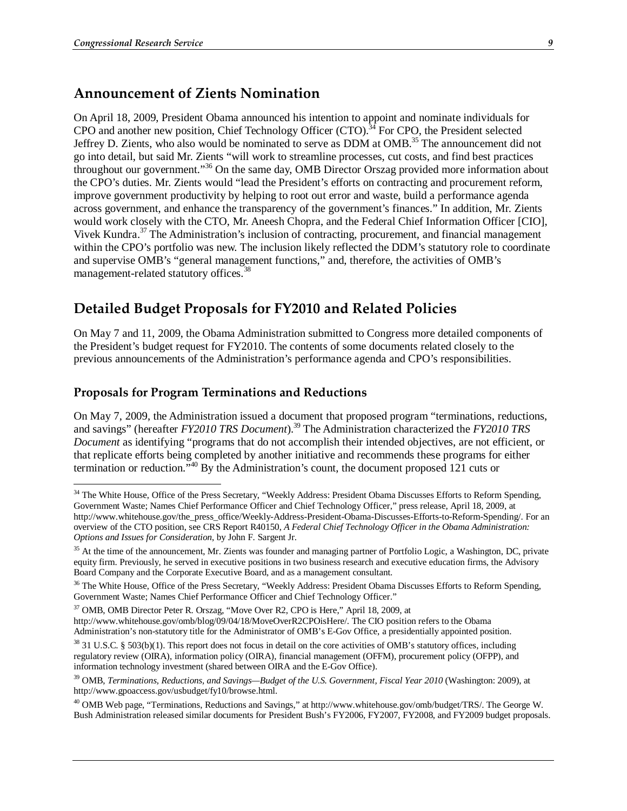#### **Announcement of Zients Nomination**

On April 18, 2009, President Obama announced his intention to appoint and nominate individuals for CPO and another new position, Chief Technology Officer (CTO).<sup>34</sup> For CPO, the President selected Jeffrey D. Zients, who also would be nominated to serve as DDM at OMB.35 The announcement did not go into detail, but said Mr. Zients "will work to streamline processes, cut costs, and find best practices throughout our government."36 On the same day, OMB Director Orszag provided more information about the CPO's duties. Mr. Zients would "lead the President's efforts on contracting and procurement reform, improve government productivity by helping to root out error and waste, build a performance agenda across government, and enhance the transparency of the government's finances." In addition, Mr. Zients would work closely with the CTO, Mr. Aneesh Chopra, and the Federal Chief Information Officer [CIO], Vivek Kundra.<sup>37</sup> The Administration's inclusion of contracting, procurement, and financial management within the CPO's portfolio was new. The inclusion likely reflected the DDM's statutory role to coordinate and supervise OMB's "general management functions," and, therefore, the activities of OMB's management-related statutory offices.<sup>38</sup>

## **Detailed Budget Proposals for FY2010 and Related Policies**

On May 7 and 11, 2009, the Obama Administration submitted to Congress more detailed components of the President's budget request for FY2010. The contents of some documents related closely to the previous announcements of the Administration's performance agenda and CPO's responsibilities.

#### **Proposals for Program Terminations and Reductions**

On May 7, 2009, the Administration issued a document that proposed program "terminations, reductions, and savings" (hereafter *FY2010 TRS Document*).39 The Administration characterized the *FY2010 TRS Document* as identifying "programs that do not accomplish their intended objectives, are not efficient, or that replicate efforts being completed by another initiative and recommends these programs for either termination or reduction."40 By the Administration's count, the document proposed 121 cuts or

37 OMB, OMB Director Peter R. Orszag, "Move Over R2, CPO is Here," April 18, 2009, at

<sup>&</sup>lt;sup>34</sup> The White House, Office of the Press Secretary, "Weekly Address: President Obama Discusses Efforts to Reform Spending, Government Waste; Names Chief Performance Officer and Chief Technology Officer," press release, April 18, 2009, at http://www.whitehouse.gov/the\_press\_office/Weekly-Address-President-Obama-Discusses-Efforts-to-Reform-Spending/. For an overview of the CTO position, see CRS Report R40150, *A Federal Chief Technology Officer in the Obama Administration: Options and Issues for Consideration*, by John F. Sargent Jr.

<sup>&</sup>lt;sup>35</sup> At the time of the announcement, Mr. Zients was founder and managing partner of Portfolio Logic, a Washington, DC, private equity firm. Previously, he served in executive positions in two business research and executive education firms, the Advisory Board Company and the Corporate Executive Board, and as a management consultant.

<sup>&</sup>lt;sup>36</sup> The White House, Office of the Press Secretary, "Weekly Address: President Obama Discusses Efforts to Reform Spending, Government Waste; Names Chief Performance Officer and Chief Technology Officer."

http://www.whitehouse.gov/omb/blog/09/04/18/MoveOverR2CPOisHere/. The CIO position refers to the Obama Administration's non-statutory title for the Administrator of OMB's E-Gov Office, a presidentially appointed position.

 $38$  31 U.S.C. § 503(b)(1). This report does not focus in detail on the core activities of OMB's statutory offices, including regulatory review (OIRA), information policy (OIRA), financial management (OFFM), procurement policy (OFPP), and information technology investment (shared between OIRA and the E-Gov Office).

<sup>39</sup> OMB, *Terminations, Reductions, and Savings—Budget of the U.S. Government, Fiscal Year 2010* (Washington: 2009), at http://www.gpoaccess.gov/usbudget/fy10/browse.html.

<sup>&</sup>lt;sup>40</sup> OMB Web page, "Terminations, Reductions and Savings," at http://www.whitehouse.gov/omb/budget/TRS/. The George W. Bush Administration released similar documents for President Bush's FY2006, FY2007, FY2008, and FY2009 budget proposals.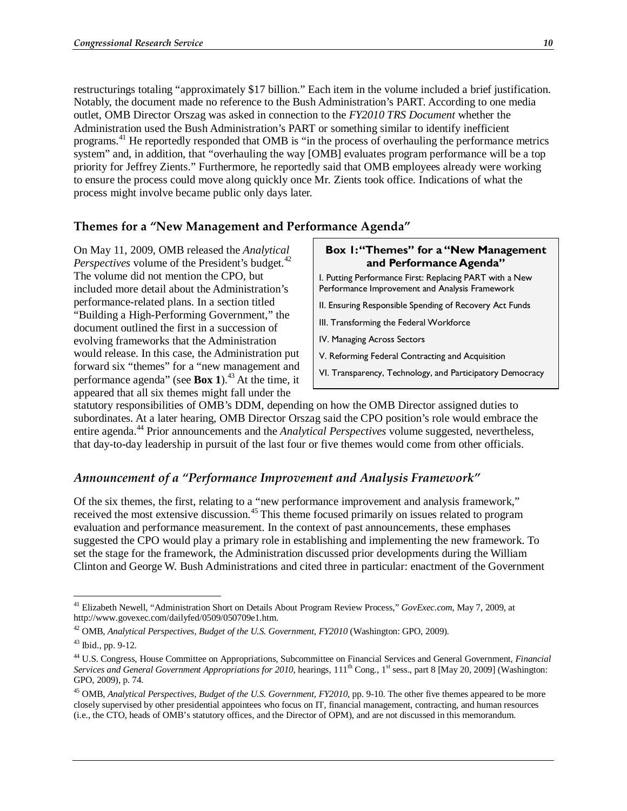restructurings totaling "approximately \$17 billion." Each item in the volume included a brief justification. Notably, the document made no reference to the Bush Administration's PART. According to one media outlet, OMB Director Orszag was asked in connection to the *FY2010 TRS Document* whether the Administration used the Bush Administration's PART or something similar to identify inefficient programs.41 He reportedly responded that OMB is "in the process of overhauling the performance metrics system" and, in addition, that "overhauling the way [OMB] evaluates program performance will be a top priority for Jeffrey Zients." Furthermore, he reportedly said that OMB employees already were working to ensure the process could move along quickly once Mr. Zients took office. Indications of what the process might involve became public only days later.

#### **Themes for a "New Management and Performance Agenda"**

On May 11, 2009, OMB released the *Analytical Perspectives* volume of the President's budget.<sup>42</sup> The volume did not mention the CPO, but included more detail about the Administration's performance-related plans. In a section titled "Building a High-Performing Government," the document outlined the first in a succession of evolving frameworks that the Administration would release. In this case, the Administration put forward six "themes" for a "new management and performance agenda" (see **Box 1**).43 At the time, it appeared that all six themes might fall under the

#### **Box 1: "Themes" for a "New Management and Performance Agenda"**

- I. Putting Performance First: Replacing PART with a New Performance Improvement and Analysis Framework
- II. Ensuring Responsible Spending of Recovery Act Funds
- III. Transforming the Federal Workforce
- IV. Managing Across Sectors
- V. Reforming Federal Contracting and Acquisition
- VI. Transparency, Technology, and Participatory Democracy

statutory responsibilities of OMB's DDM, depending on how the OMB Director assigned duties to subordinates. At a later hearing, OMB Director Orszag said the CPO position's role would embrace the entire agenda.<sup>44</sup> Prior announcements and the *Analytical Perspectives* volume suggested, nevertheless, that day-to-day leadership in pursuit of the last four or five themes would come from other officials.

#### *Announcement of a "Performance Improvement and Analysis Framework"*

Of the six themes, the first, relating to a "new performance improvement and analysis framework," received the most extensive discussion.<sup>45</sup> This theme focused primarily on issues related to program evaluation and performance measurement. In the context of past announcements, these emphases suggested the CPO would play a primary role in establishing and implementing the new framework. To set the stage for the framework, the Administration discussed prior developments during the William Clinton and George W. Bush Administrations and cited three in particular: enactment of the Government

<u>.</u>

<sup>&</sup>lt;sup>41</sup> Elizabeth Newell, "Administration Short on Details About Program Review Process," *GovExec.com*, May 7, 2009, at http://www.govexec.com/dailyfed/0509/050709e1.htm.

<sup>&</sup>lt;sup>42</sup> OMB, *Analytical Perspectives, Budget of the U.S. Government, FY2010* (Washington: GPO, 2009).

<sup>43</sup> Ibid., pp. 9-12.

<sup>44</sup> U.S. Congress, House Committee on Appropriations, Subcommittee on Financial Services and General Government, *Financial Services and General Government Appropriations for 2010*, hearings,  $111<sup>th</sup>$  Cong., 1<sup>st</sup> sess., part 8 [May 20, 2009] (Washington: GPO, 2009), p. 74.

<sup>45</sup> OMB, *Analytical Perspectives, Budget of the U.S. Government, FY2010*, pp. 9-10. The other five themes appeared to be more closely supervised by other presidential appointees who focus on IT, financial management, contracting, and human resources (i.e., the CTO, heads of OMB's statutory offices, and the Director of OPM), and are not discussed in this memorandum.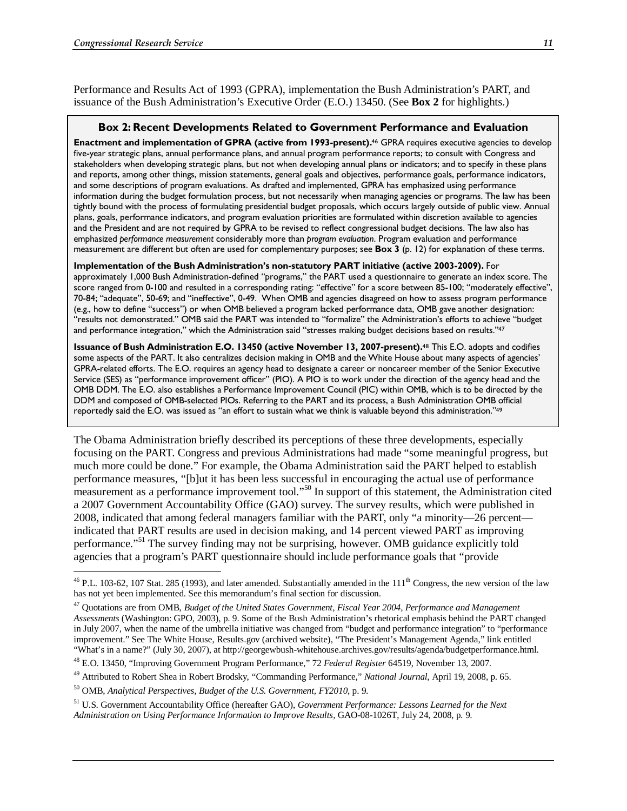Performance and Results Act of 1993 (GPRA), implementation the Bush Administration's PART, and issuance of the Bush Administration's Executive Order (E.O.) 13450. (See **Box 2** for highlights.)

#### **Box 2: Recent Developments Related to Government Performance and Evaluation**

**Enactment and implementation of GPRA (active from 1993-present).**46 GPRA requires executive agencies to develop five-year strategic plans, annual performance plans, and annual program performance reports; to consult with Congress and stakeholders when developing strategic plans, but not when developing annual plans or indicators; and to specify in these plans and reports, among other things, mission statements, general goals and objectives, performance goals, performance indicators, and some descriptions of program evaluations. As drafted and implemented, GPRA has emphasized using performance information during the budget formulation process, but not necessarily when managing agencies or programs. The law has been tightly bound with the process of formulating presidential budget proposals, which occurs largely outside of public view. Annual plans, goals, performance indicators, and program evaluation priorities are formulated within discretion available to agencies and the President and are not required by GPRA to be revised to reflect congressional budget decisions. The law also has emphasized *performance measurement* considerably more than *program evaluation*. Program evaluation and performance measurement are different but often are used for complementary purposes; see **Box 3** (p. 12) for explanation of these terms.

**Implementation of the Bush Administration's non-statutory PART initiative (active 2003-2009).** For approximately 1,000 Bush Administration-defined "programs," the PART used a questionnaire to generate an index score. The score ranged from 0-100 and resulted in a corresponding rating: "effective" for a score between 85-100; "moderately effective", 70-84; "adequate", 50-69; and "ineffective", 0-49. When OMB and agencies disagreed on how to assess program performance (e.g., how to define "success") or when OMB believed a program lacked performance data, OMB gave another designation: "results not demonstrated." OMB said the PART was intended to "formalize" the Administration's efforts to achieve "budget and performance integration," which the Administration said "stresses making budget decisions based on results."47

**Issuance of Bush Administration E.O. 13450 (active November 13, 2007-present).**48 This E.O. adopts and codifies some aspects of the PART. It also centralizes decision making in OMB and the White House about many aspects of agencies' GPRA-related efforts. The E.O. requires an agency head to designate a career or noncareer member of the Senior Executive Service (SES) as "performance improvement officer" (PIO). A PIO is to work under the direction of the agency head and the OMB DDM. The E.O. also establishes a Performance Improvement Council (PIC) within OMB, which is to be directed by the DDM and composed of OMB-selected PIOs. Referring to the PART and its process, a Bush Administration OMB official reportedly said the E.O. was issued as "an effort to sustain what we think is valuable beyond this administration."49

The Obama Administration briefly described its perceptions of these three developments, especially focusing on the PART. Congress and previous Administrations had made "some meaningful progress, but much more could be done." For example, the Obama Administration said the PART helped to establish performance measures, "[b]ut it has been less successful in encouraging the actual use of performance measurement as a performance improvement tool."<sup>50</sup> In support of this statement, the Administration cited a 2007 Government Accountability Office (GAO) survey. The survey results, which were published in 2008, indicated that among federal managers familiar with the PART, only "a minority—26 percent indicated that PART results are used in decision making, and 14 percent viewed PART as improving performance."51 The survey finding may not be surprising, however. OMB guidance explicitly told agencies that a program's PART questionnaire should include performance goals that "provide

 $^{46}$  P.L. 103-62, 107 Stat. 285 (1993), and later amended. Substantially amended in the  $111<sup>th</sup>$  Congress, the new version of the law has not yet been implemented. See this memorandum's final section for discussion.

<sup>47</sup> Quotations are from OMB, *Budget of the United States Government, Fiscal Year 2004, Performance and Management Assessments* (Washington: GPO, 2003), p. 9. Some of the Bush Administration's rhetorical emphasis behind the PART changed in July 2007, when the name of the umbrella initiative was changed from "budget and performance integration" to "performance improvement." See The White House, Results.gov (archived website), "The President's Management Agenda," link entitled "What's in a name?" (July 30, 2007), at http://georgewbush-whitehouse.archives.gov/results/agenda/budgetperformance.html.

<sup>48</sup> E.O. 13450, "Improving Government Program Performance," 72 *Federal Register* 64519, November 13, 2007.

<sup>49</sup> Attributed to Robert Shea in Robert Brodsky, "Commanding Performance," *National Journal*, April 19, 2008, p. 65.

<sup>50</sup> OMB, *Analytical Perspectives, Budget of the U.S. Government, FY2010*, p. 9.

<sup>51</sup> U.S. Government Accountability Office (hereafter GAO), *Government Performance: Lessons Learned for the Next Administration on Using Performance Information to Improve Results*, GAO-08-1026T, July 24, 2008, p. 9.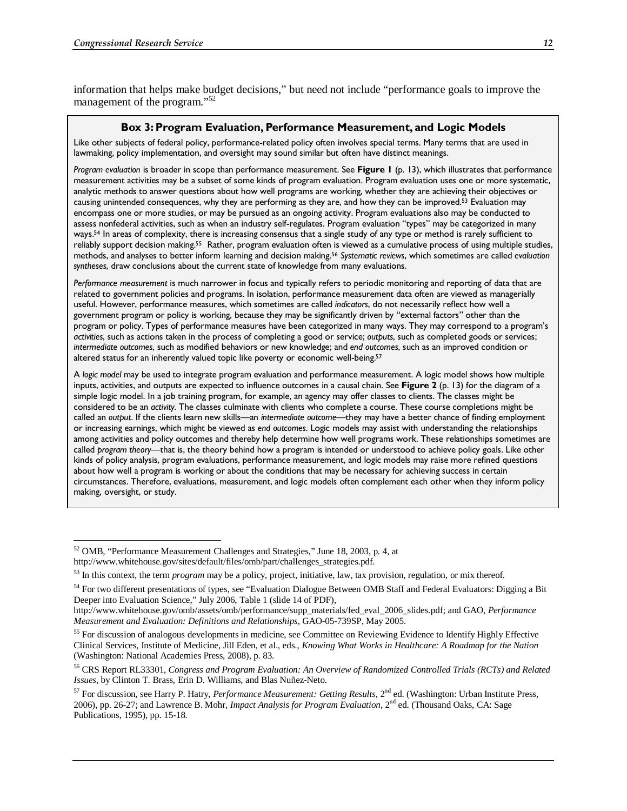information that helps make budget decisions," but need not include "performance goals to improve the management of the program."<sup>52</sup>

#### **Box 3: Program Evaluation, Performance Measurement, and Logic Models**

Like other subjects of federal policy, performance-related policy often involves special terms. Many terms that are used in lawmaking, policy implementation, and oversight may sound similar but often have distinct meanings.

*Program evaluation* is broader in scope than performance measurement. See **Figure 1** (p. 13), which illustrates that performance measurement activities may be a subset of some kinds of program evaluation. Program evaluation uses one or more systematic, analytic methods to answer questions about how well programs are working, whether they are achieving their objectives or causing unintended consequences, why they are performing as they are, and how they can be improved.53 Evaluation may encompass one or more studies, or may be pursued as an ongoing activity. Program evaluations also may be conducted to assess nonfederal activities, such as when an industry self-regulates. Program evaluation "types" may be categorized in many ways.54 In areas of complexity, there is increasing consensus that a single study of any type or method is rarely sufficient to reliably support decision making.55 Rather, program evaluation often is viewed as a cumulative process of using multiple studies, methods, and analyses to better inform learning and decision making.56 *Systematic reviews*, which sometimes are called *evaluation syntheses*, draw conclusions about the current state of knowledge from many evaluations.

*Performance measurement* is much narrower in focus and typically refers to periodic monitoring and reporting of data that are related to government policies and programs. In isolation, performance measurement data often are viewed as managerially useful. However, performance measures, which sometimes are called *indicators*, do not necessarily reflect how well a government program or policy is working, because they may be significantly driven by "external factors" other than the program or policy. Types of performance measures have been categorized in many ways. They may correspond to a program's *activities*, such as actions taken in the process of completing a good or service; *outputs*, such as completed goods or services; *intermediate outcomes*, such as modified behaviors or new knowledge; and *end outcomes*, such as an improved condition or altered status for an inherently valued topic like poverty or economic well-being.<sup>57</sup>

A *logic model* may be used to integrate program evaluation and performance measurement. A logic model shows how multiple inputs, activities, and outputs are expected to influence outcomes in a causal chain. See **Figure 2** (p. 13) for the diagram of a simple logic model. In a job training program, for example, an agency may offer classes to clients. The classes might be considered to be an *activity*. The classes culminate with clients who complete a course. These course completions might be called an *output*. If the clients learn new skills—an *intermediate outcome*—they may have a better chance of finding employment or increasing earnings, which might be viewed as *end outcomes*. Logic models may assist with understanding the relationships among activities and policy outcomes and thereby help determine how well programs work. These relationships sometimes are called *program theory*—that is, the theory behind how a program is intended or understood to achieve policy goals. Like other kinds of policy analysis, program evaluations, performance measurement, and logic models may raise more refined questions about how well a program is working or about the conditions that may be necessary for achieving success in certain circumstances. Therefore, evaluations, measurement, and logic models often complement each other when they inform policy making, oversight, or study.

<u>.</u>

<sup>52</sup> OMB, "Performance Measurement Challenges and Strategies," June 18, 2003, p. 4, at

http://www.whitehouse.gov/sites/default/files/omb/part/challenges\_strategies.pdf.

<sup>53</sup> In this context, the term *program* may be a policy, project, initiative, law, tax provision, regulation, or mix thereof.

<sup>&</sup>lt;sup>54</sup> For two different presentations of types, see "Evaluation Dialogue Between OMB Staff and Federal Evaluators: Digging a Bit Deeper into Evaluation Science," July 2006, Table 1 (slide 14 of PDF),

http://www.whitehouse.gov/omb/assets/omb/performance/supp\_materials/fed\_eval\_2006\_slides.pdf; and GAO, *Performance Measurement and Evaluation: Definitions and Relationships*, GAO-05-739SP, May 2005.

<sup>&</sup>lt;sup>55</sup> For discussion of analogous developments in medicine, see Committee on Reviewing Evidence to Identify Highly Effective Clinical Services, Institute of Medicine, Jill Eden, et al., eds., *Knowing What Works in Healthcare: A Roadmap for the Nation* (Washington: National Academies Press, 2008), p. 83.

<sup>56</sup> CRS Report RL33301, *Congress and Program Evaluation: An Overview of Randomized Controlled Trials (RCTs) and Related Issues*, by Clinton T. Brass, Erin D. Williams, and Blas Nuñez-Neto.

<sup>57</sup> For discussion, see Harry P. Hatry, *Performance Measurement: Getting Results*, 2nd ed. (Washington: Urban Institute Press, 2006), pp. 26-27; and Lawrence B. Mohr, *Impact Analysis for Program Evaluation*, 2nd ed. (Thousand Oaks, CA: Sage Publications, 1995), pp. 15-18.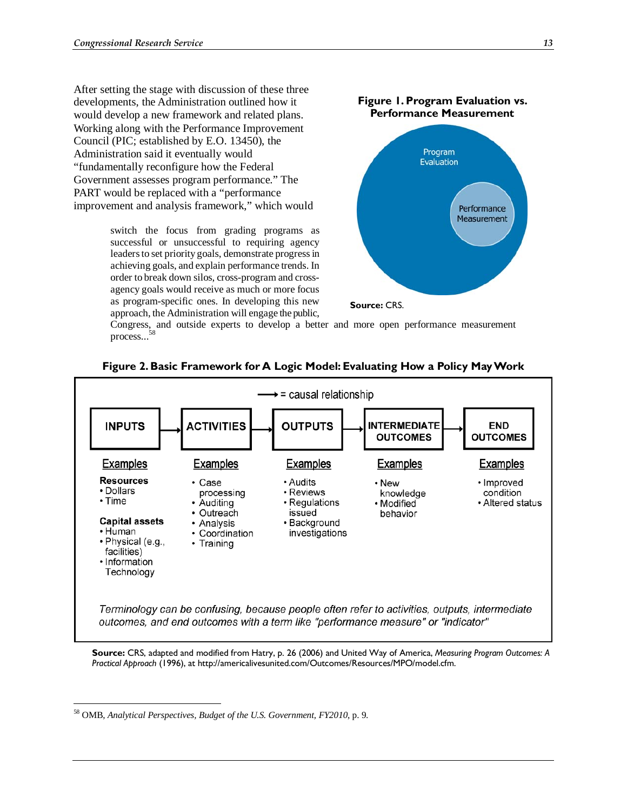After setting the stage with discussion of these three developments, the Administration outlined how it would develop a new framework and related plans. Working along with the Performance Improvement Council (PIC; established by E.O. 13450), the Administration said it eventually would "fundamentally reconfigure how the Federal Government assesses program performance." The PART would be replaced with a "performance improvement and analysis framework," which would

> switch the focus from grading programs as successful or unsuccessful to requiring agency leaders to set priority goals, demonstrate progress in achieving goals, and explain performance trends. In order to break down silos, cross-program and crossagency goals would receive as much or more focus as program-specific ones. In developing this new approach, the Administration will engage the public,



Congress, and outside experts to develop a better and more open performance measurement process...<sup>5</sup>



#### **Figure 2. Basic Framework for A Logic Model: Evaluating How a Policy May Work**

**Source:** CRS, adapted and modified from Hatry, p. 26 (2006) and United Way of America, *Measuring Program Outcomes: A Practical Approach* (1996), at http://americalivesunited.com/Outcomes/Resources/MPO/model.cfm.

-

<sup>58</sup> OMB, *Analytical Perspectives, Budget of the U.S. Government, FY2010*, p. 9.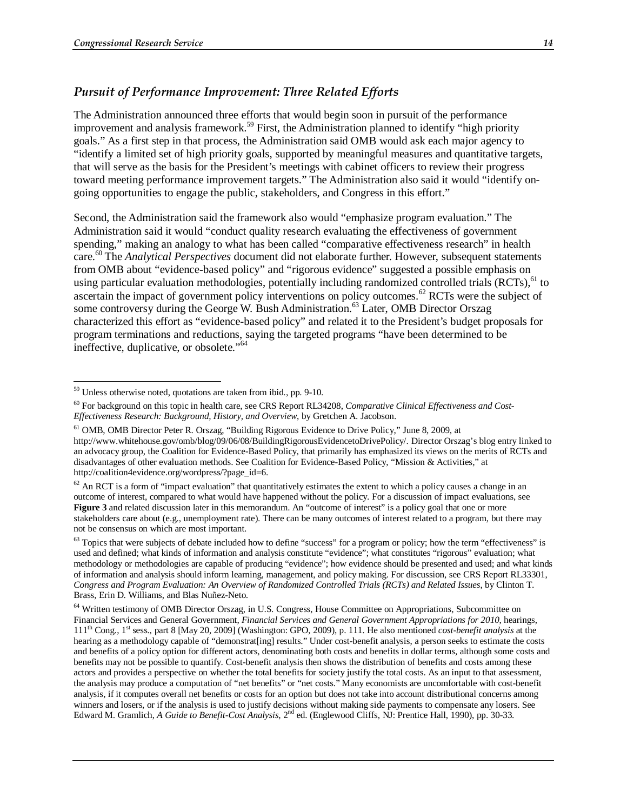#### *Pursuit of Performance Improvement: Three Related Efforts*

The Administration announced three efforts that would begin soon in pursuit of the performance improvement and analysis framework.<sup>59</sup> First, the Administration planned to identify "high priority" goals." As a first step in that process, the Administration said OMB would ask each major agency to "identify a limited set of high priority goals, supported by meaningful measures and quantitative targets, that will serve as the basis for the President's meetings with cabinet officers to review their progress toward meeting performance improvement targets." The Administration also said it would "identify ongoing opportunities to engage the public, stakeholders, and Congress in this effort."

Second, the Administration said the framework also would "emphasize program evaluation." The Administration said it would "conduct quality research evaluating the effectiveness of government spending," making an analogy to what has been called "comparative effectiveness research" in health care.60 The *Analytical Perspectives* document did not elaborate further. However, subsequent statements from OMB about "evidence-based policy" and "rigorous evidence" suggested a possible emphasis on using particular evaluation methodologies, potentially including randomized controlled trials (RCTs),<sup>61</sup> to ascertain the impact of government policy interventions on policy outcomes.<sup>62</sup> RCTs were the subject of some controversy during the George W. Bush Administration.<sup>63</sup> Later, OMB Director Orszag characterized this effort as "evidence-based policy" and related it to the President's budget proposals for program terminations and reductions, saying the targeted programs "have been determined to be ineffective, duplicative, or obsolete."<sup>64</sup>

<u>.</u>

<sup>&</sup>lt;sup>59</sup> Unless otherwise noted, quotations are taken from ibid., pp. 9-10.

<sup>60</sup> For background on this topic in health care, see CRS Report RL34208, *Comparative Clinical Effectiveness and Cost-Effectiveness Research: Background, History, and Overview*, by Gretchen A. Jacobson.

<sup>&</sup>lt;sup>61</sup> OMB, OMB Director Peter R. Orszag, "Building Rigorous Evidence to Drive Policy," June 8, 2009, at http://www.whitehouse.gov/omb/blog/09/06/08/BuildingRigorousEvidencetoDrivePolicy/. Director Orszag's blog entry linked to an advocacy group, the Coalition for Evidence-Based Policy, that primarily has emphasized its views on the merits of RCTs and disadvantages of other evaluation methods. See Coalition for Evidence-Based Policy, "Mission & Activities," at http://coalition4evidence.org/wordpress/?page\_id=6.

 $62$  An RCT is a form of "impact evaluation" that quantitatively estimates the extent to which a policy causes a change in an outcome of interest, compared to what would have happened without the policy. For a discussion of impact evaluations, see **Figure 3** and related discussion later in this memorandum. An "outcome of interest" is a policy goal that one or more stakeholders care about (e.g., unemployment rate). There can be many outcomes of interest related to a program, but there may not be consensus on which are most important.

 $63$  Topics that were subjects of debate included how to define "success" for a program or policy; how the term "effectiveness" is used and defined; what kinds of information and analysis constitute "evidence"; what constitutes "rigorous" evaluation; what methodology or methodologies are capable of producing "evidence"; how evidence should be presented and used; and what kinds of information and analysis should inform learning, management, and policy making. For discussion, see CRS Report RL33301, *Congress and Program Evaluation: An Overview of Randomized Controlled Trials (RCTs) and Related Issues*, by Clinton T. Brass, Erin D. Williams, and Blas Nuñez-Neto.

<sup>&</sup>lt;sup>64</sup> Written testimony of OMB Director Orszag, in U.S. Congress, House Committee on Appropriations, Subcommittee on Financial Services and General Government, *Financial Services and General Government Appropriations for 2010*, hearings, 111th Cong., 1st sess., part 8 [May 20, 2009] (Washington: GPO, 2009), p. 111. He also mentioned *cost-benefit analysis* at the hearing as a methodology capable of "demonstrat[ing] results." Under cost-benefit analysis, a person seeks to estimate the costs and benefits of a policy option for different actors, denominating both costs and benefits in dollar terms, although some costs and benefits may not be possible to quantify. Cost-benefit analysis then shows the distribution of benefits and costs among these actors and provides a perspective on whether the total benefits for society justify the total costs. As an input to that assessment, the analysis may produce a computation of "net benefits" or "net costs." Many economists are uncomfortable with cost-benefit analysis, if it computes overall net benefits or costs for an option but does not take into account distributional concerns among winners and losers, or if the analysis is used to justify decisions without making side payments to compensate any losers. See Edward M. Gramlich, *A Guide to Benefit-Cost Analysis*, 2nd ed. (Englewood Cliffs, NJ: Prentice Hall, 1990), pp. 30-33.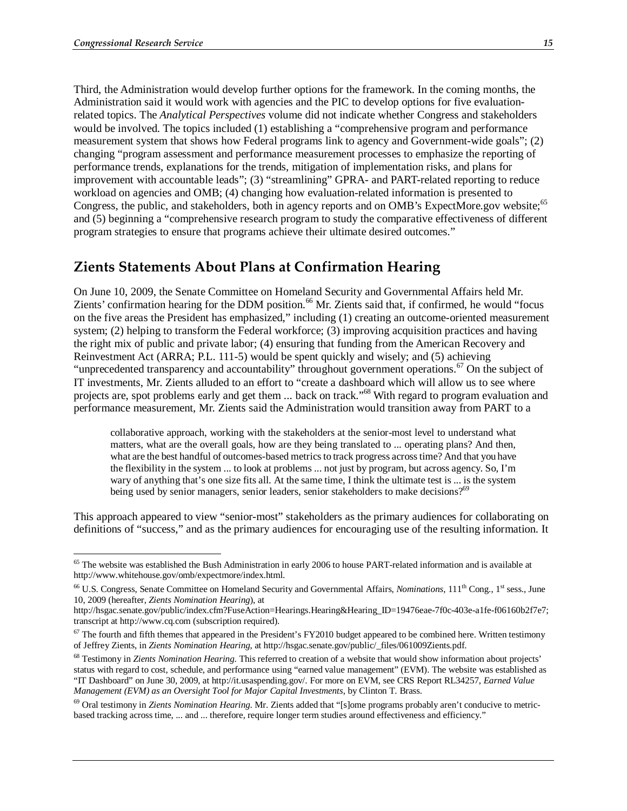<u>.</u>

Third, the Administration would develop further options for the framework. In the coming months, the Administration said it would work with agencies and the PIC to develop options for five evaluationrelated topics. The *Analytical Perspectives* volume did not indicate whether Congress and stakeholders would be involved. The topics included (1) establishing a "comprehensive program and performance measurement system that shows how Federal programs link to agency and Government-wide goals"; (2) changing "program assessment and performance measurement processes to emphasize the reporting of performance trends, explanations for the trends, mitigation of implementation risks, and plans for improvement with accountable leads"; (3) "streamlining" GPRA- and PART-related reporting to reduce workload on agencies and OMB; (4) changing how evaluation-related information is presented to Congress, the public, and stakeholders, both in agency reports and on OMB's ExpectMore.gov website;<sup>65</sup> and (5) beginning a "comprehensive research program to study the comparative effectiveness of different program strategies to ensure that programs achieve their ultimate desired outcomes."

### **Zients Statements About Plans at Confirmation Hearing**

On June 10, 2009, the Senate Committee on Homeland Security and Governmental Affairs held Mr. Zients' confirmation hearing for the DDM position.<sup>66</sup> Mr. Zients said that, if confirmed, he would "focus on the five areas the President has emphasized," including (1) creating an outcome-oriented measurement system; (2) helping to transform the Federal workforce; (3) improving acquisition practices and having the right mix of public and private labor; (4) ensuring that funding from the American Recovery and Reinvestment Act (ARRA; P.L. 111-5) would be spent quickly and wisely; and (5) achieving "unprecedented transparency and accountability" throughout government operations.<sup>67</sup> On the subject of IT investments, Mr. Zients alluded to an effort to "create a dashboard which will allow us to see where projects are, spot problems early and get them ... back on track."68 With regard to program evaluation and performance measurement, Mr. Zients said the Administration would transition away from PART to a

collaborative approach, working with the stakeholders at the senior-most level to understand what matters, what are the overall goals, how are they being translated to ... operating plans? And then, what are the best handful of outcomes-based metrics to track progress across time? And that you have the flexibility in the system ... to look at problems ... not just by program, but across agency. So, I'm wary of anything that's one size fits all. At the same time, I think the ultimate test is ... is the system being used by senior managers, senior leaders, senior stakeholders to make decisions?<sup>69</sup>

This approach appeared to view "senior-most" stakeholders as the primary audiences for collaborating on definitions of "success," and as the primary audiences for encouraging use of the resulting information. It

69 Oral testimony in *Zients Nomination Hearing*. Mr. Zients added that "[s]ome programs probably aren't conducive to metricbased tracking across time, ... and ... therefore, require longer term studies around effectiveness and efficiency."

 $65$  The website was established the Bush Administration in early 2006 to house PART-related information and is available at http://www.whitehouse.gov/omb/expectmore/index.html.

<sup>&</sup>lt;sup>66</sup> U.S. Congress, Senate Committee on Homeland Security and Governmental Affairs, *Nominations*, 111<sup>th</sup> Cong., 1<sup>st</sup> sess., June 10, 2009 (hereafter, *Zients Nomination Hearing*), at

http://hsgac.senate.gov/public/index.cfm?FuseAction=Hearings.Hearing&Hearing\_ID=19476eae-7f0c-403e-a1fe-f06160b2f7e7; transcript at http://www.cq.com (subscription required).

 $67$  The fourth and fifth themes that appeared in the President's FY2010 budget appeared to be combined here. Written testimony of Jeffrey Zients, in *Zients Nomination Hearing*, at http://hsgac.senate.gov/public/\_files/061009Zients.pdf.

<sup>68</sup> Testimony in *Zients Nomination Hearing*. This referred to creation of a website that would show information about projects' status with regard to cost, schedule, and performance using "earned value management" (EVM). The website was established as "IT Dashboard" on June 30, 2009, at http://it.usaspending.gov/. For more on EVM, see CRS Report RL34257, *Earned Value Management (EVM) as an Oversight Tool for Major Capital Investments*, by Clinton T. Brass.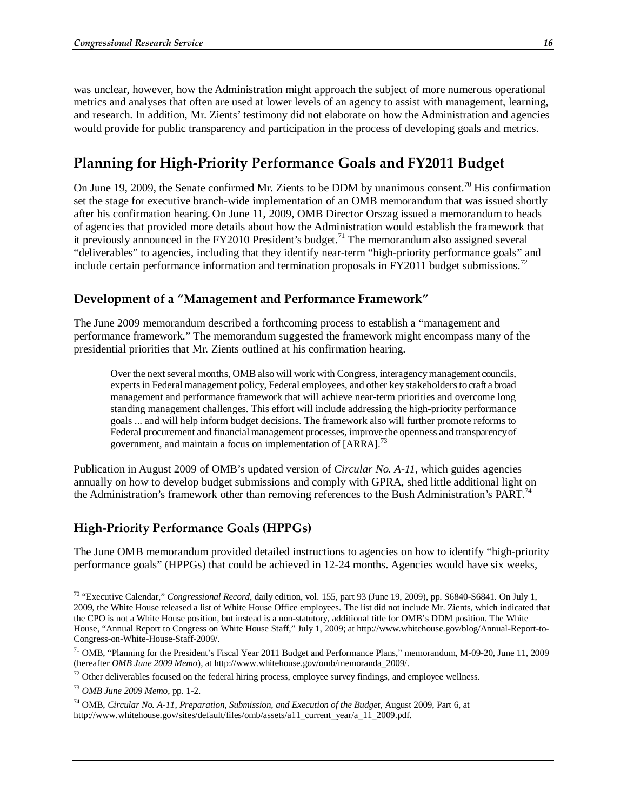was unclear, however, how the Administration might approach the subject of more numerous operational metrics and analyses that often are used at lower levels of an agency to assist with management, learning, and research. In addition, Mr. Zients' testimony did not elaborate on how the Administration and agencies would provide for public transparency and participation in the process of developing goals and metrics.

## **Planning for High-Priority Performance Goals and FY2011 Budget**

On June 19, 2009, the Senate confirmed Mr. Zients to be DDM by unanimous consent.<sup>70</sup> His confirmation set the stage for executive branch-wide implementation of an OMB memorandum that was issued shortly after his confirmation hearing. On June 11, 2009, OMB Director Orszag issued a memorandum to heads of agencies that provided more details about how the Administration would establish the framework that it previously announced in the FY2010 President's budget.<sup>71</sup> The memorandum also assigned several "deliverables" to agencies, including that they identify near-term "high-priority performance goals" and include certain performance information and termination proposals in FY2011 budget submissions.<sup>72</sup>

#### **Development of a "Management and Performance Framework"**

The June 2009 memorandum described a forthcoming process to establish a "management and performance framework." The memorandum suggested the framework might encompass many of the presidential priorities that Mr. Zients outlined at his confirmation hearing.

Over the next several months, OMB also will work with Congress, interagency management councils, experts in Federal management policy, Federal employees, and other key stakeholders to craft a broad management and performance framework that will achieve near-term priorities and overcome long standing management challenges. This effort will include addressing the high-priority performance goals ... and will help inform budget decisions. The framework also will further promote reforms to Federal procurement and financial management processes, improve the openness and transparency of government, and maintain a focus on implementation of [ARRA].<sup>73</sup>

Publication in August 2009 of OMB's updated version of *Circular No. A-11*, which guides agencies annually on how to develop budget submissions and comply with GPRA, shed little additional light on the Administration's framework other than removing references to the Bush Administration's PART.<sup>74</sup>

#### **High-Priority Performance Goals (HPPGs)**

The June OMB memorandum provided detailed instructions to agencies on how to identify "high-priority performance goals" (HPPGs) that could be achieved in 12-24 months. Agencies would have six weeks,

<sup>-</sup>70 "Executive Calendar," *Congressional Record*, daily edition, vol. 155, part 93 (June 19, 2009), pp. S6840-S6841. On July 1, 2009, the White House released a list of White House Office employees. The list did not include Mr. Zients, which indicated that the CPO is not a White House position, but instead is a non-statutory, additional title for OMB's DDM position. The White House, "Annual Report to Congress on White House Staff," July 1, 2009; at http://www.whitehouse.gov/blog/Annual-Report-to-Congress-on-White-House-Staff-2009/.

<sup>&</sup>lt;sup>71</sup> OMB, "Planning for the President's Fiscal Year 2011 Budget and Performance Plans," memorandum, M-09-20, June 11, 2009 (hereafter *OMB June 2009 Memo*), at http://www.whitehouse.gov/omb/memoranda\_2009/.

<sup>&</sup>lt;sup>72</sup> Other deliverables focused on the federal hiring process, employee survey findings, and employee wellness.

<sup>73</sup> *OMB June 2009 Memo*, pp. 1-2.

<sup>74</sup> OMB, *Circular No. A-11, Preparation, Submission, and Execution of the Budget*, August 2009, Part 6, at http://www.whitehouse.gov/sites/default/files/omb/assets/a11\_current\_year/a\_11\_2009.pdf.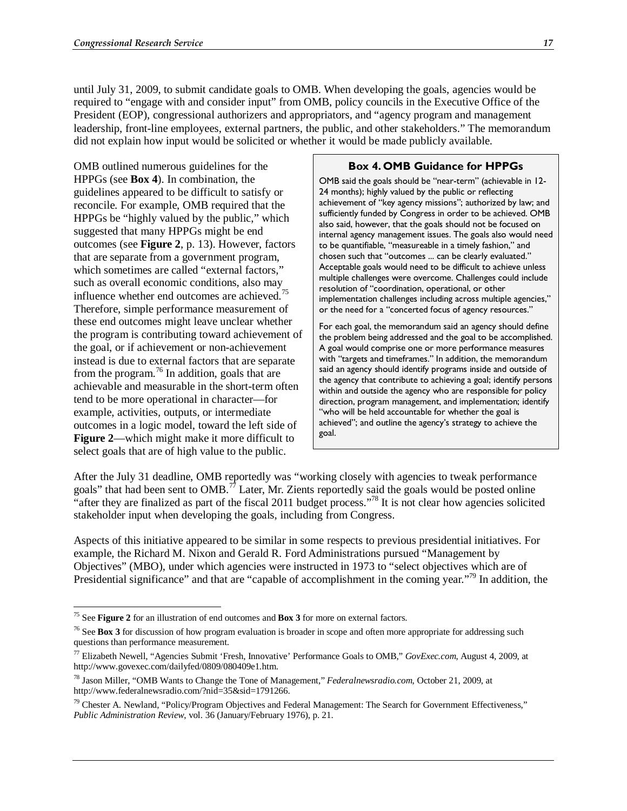until July 31, 2009, to submit candidate goals to OMB. When developing the goals, agencies would be required to "engage with and consider input" from OMB, policy councils in the Executive Office of the President (EOP), congressional authorizers and appropriators, and "agency program and management leadership, front-line employees, external partners, the public, and other stakeholders." The memorandum did not explain how input would be solicited or whether it would be made publicly available.

OMB outlined numerous guidelines for the HPPGs (see **Box 4**). In combination, the guidelines appeared to be difficult to satisfy or reconcile. For example, OMB required that the HPPGs be "highly valued by the public," which suggested that many HPPGs might be end outcomes (see **Figure 2**, p. 13). However, factors that are separate from a government program, which sometimes are called "external factors," such as overall economic conditions, also may influence whether end outcomes are achieved.<sup>75</sup> Therefore, simple performance measurement of these end outcomes might leave unclear whether the program is contributing toward achievement of the goal, or if achievement or non-achievement instead is due to external factors that are separate from the program.<sup>76</sup> In addition, goals that are achievable and measurable in the short-term often tend to be more operational in character—for example, activities, outputs, or intermediate outcomes in a logic model, toward the left side of **Figure 2**—which might make it more difficult to select goals that are of high value to the public.

#### **Box 4. OMB Guidance for HPPGs**

OMB said the goals should be "near-term" (achievable in 12- 24 months); highly valued by the public or reflecting achievement of "key agency missions"; authorized by law; and sufficiently funded by Congress in order to be achieved. OMB also said, however, that the goals should not be focused on internal agency management issues. The goals also would need to be quantifiable, "measureable in a timely fashion," and chosen such that "outcomes ... can be clearly evaluated." Acceptable goals would need to be difficult to achieve unless multiple challenges were overcome. Challenges could include resolution of "coordination, operational, or other implementation challenges including across multiple agencies," or the need for a "concerted focus of agency resources."

For each goal, the memorandum said an agency should define the problem being addressed and the goal to be accomplished. A goal would comprise one or more performance measures with "targets and timeframes." In addition, the memorandum said an agency should identify programs inside and outside of the agency that contribute to achieving a goal; identify persons within and outside the agency who are responsible for policy direction, program management, and implementation; identify "who will be held accountable for whether the goal is achieved"; and outline the agency's strategy to achieve the goal.

After the July 31 deadline, OMB reportedly was "working closely with agencies to tweak performance goals" that had been sent to  $OMB.<sup>77</sup>$  Later, Mr. Zients reportedly said the goals would be posted online "after they are finalized as part of the fiscal 2011 budget process."78 It is not clear how agencies solicited stakeholder input when developing the goals, including from Congress.

Aspects of this initiative appeared to be similar in some respects to previous presidential initiatives. For example, the Richard M. Nixon and Gerald R. Ford Administrations pursued "Management by Objectives" (MBO), under which agencies were instructed in 1973 to "select objectives which are of Presidential significance" and that are "capable of accomplishment in the coming year."<sup>79</sup> In addition, the

<sup>-</sup>75 See **Figure 2** for an illustration of end outcomes and **Box 3** for more on external factors.

<sup>&</sup>lt;sup>76</sup> See Box 3 for discussion of how program evaluation is broader in scope and often more appropriate for addressing such questions than performance measurement.

<sup>77</sup> Elizabeth Newell, "Agencies Submit 'Fresh, Innovative' Performance Goals to OMB," *GovExec.com*, August 4, 2009, at http://www.govexec.com/dailyfed/0809/080409e1.htm.

<sup>78</sup> Jason Miller, "OMB Wants to Change the Tone of Management," *Federalnewsradio.com*, October 21, 2009, at http://www.federalnewsradio.com/?nid=35&sid=1791266.

<sup>&</sup>lt;sup>79</sup> Chester A. Newland, "Policy/Program Objectives and Federal Management: The Search for Government Effectiveness," *Public Administration Review*, vol. 36 (January/February 1976), p. 21.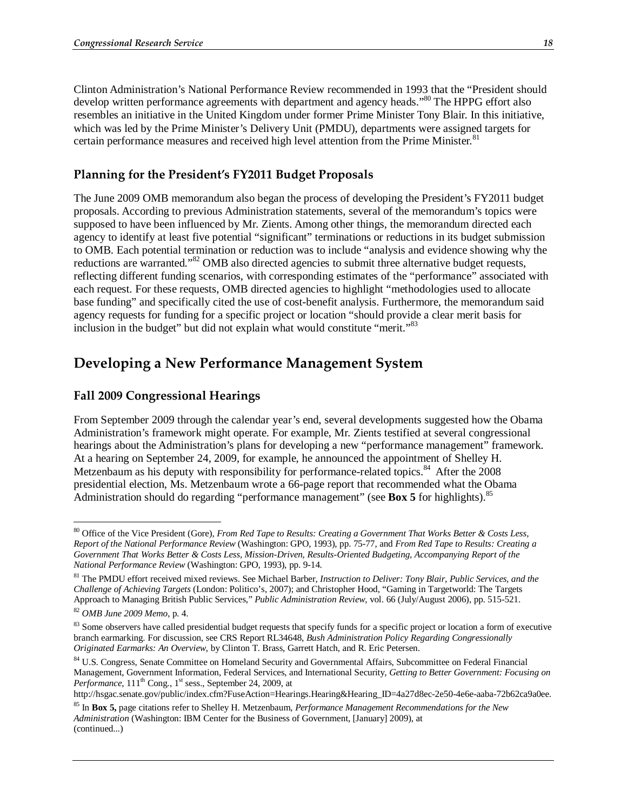Clinton Administration's National Performance Review recommended in 1993 that the "President should develop written performance agreements with department and agency heads."<sup>80</sup> The HPPG effort also resembles an initiative in the United Kingdom under former Prime Minister Tony Blair. In this initiative, which was led by the Prime Minister's Delivery Unit (PMDU), departments were assigned targets for certain performance measures and received high level attention from the Prime Minister.<sup>81</sup>

#### **Planning for the President's FY2011 Budget Proposals**

The June 2009 OMB memorandum also began the process of developing the President's FY2011 budget proposals. According to previous Administration statements, several of the memorandum's topics were supposed to have been influenced by Mr. Zients. Among other things, the memorandum directed each agency to identify at least five potential "significant" terminations or reductions in its budget submission to OMB. Each potential termination or reduction was to include "analysis and evidence showing why the reductions are warranted."<sup>82</sup> OMB also directed agencies to submit three alternative budget requests, reflecting different funding scenarios, with corresponding estimates of the "performance" associated with each request. For these requests, OMB directed agencies to highlight "methodologies used to allocate base funding" and specifically cited the use of cost-benefit analysis. Furthermore, the memorandum said agency requests for funding for a specific project or location "should provide a clear merit basis for inclusion in the budget" but did not explain what would constitute "merit."<sup>83</sup>

### **Developing a New Performance Management System**

#### **Fall 2009 Congressional Hearings**

From September 2009 through the calendar year's end, several developments suggested how the Obama Administration's framework might operate. For example, Mr. Zients testified at several congressional hearings about the Administration's plans for developing a new "performance management" framework. At a hearing on September 24, 2009, for example, he announced the appointment of Shelley H. Metzenbaum as his deputy with responsibility for performance-related topics.<sup>84</sup> After the 2008 presidential election, Ms. Metzenbaum wrote a 66-page report that recommended what the Obama Administration should do regarding "performance management" (see **Box 5** for highlights).<sup>85</sup>

-

<sup>80</sup> Office of the Vice President (Gore), *From Red Tape to Results: Creating a Government That Works Better & Costs Less, Report of the National Performance Review* (Washington: GPO, 1993), pp. 75-77, and *From Red Tape to Results: Creating a Government That Works Better & Costs Less, Mission-Driven, Results-Oriented Budgeting, Accompanying Report of the National Performance Review* (Washington: GPO, 1993), pp. 9-14.

<sup>81</sup> The PMDU effort received mixed reviews. See Michael Barber, *Instruction to Deliver: Tony Blair, Public Services, and the Challenge of Achieving Targets* (London: Politico's, 2007); and Christopher Hood, "Gaming in Targetworld: The Targets Approach to Managing British Public Services," *Public Administration Review*, vol. 66 (July/August 2006), pp. 515-521.

<sup>82</sup> *OMB June 2009 Memo*, p. 4.

<sup>&</sup>lt;sup>83</sup> Some observers have called presidential budget requests that specify funds for a specific project or location a form of executive branch earmarking. For discussion, see CRS Report RL34648, *Bush Administration Policy Regarding Congressionally Originated Earmarks: An Overview*, by Clinton T. Brass, Garrett Hatch, and R. Eric Petersen.

<sup>84</sup> U.S. Congress, Senate Committee on Homeland Security and Governmental Affairs, Subcommittee on Federal Financial Management, Government Information, Federal Services, and International Security, *Getting to Better Government: Focusing on Performance*,  $111<sup>th</sup>$  Cong.,  $1<sup>st</sup>$  sess., September 24, 2009, at

http://hsgac.senate.gov/public/index.cfm?FuseAction=Hearings.Hearing&Hearing\_ID=4a27d8ec-2e50-4e6e-aaba-72b62ca9a0ee.

<sup>85</sup> In **Box 5,** page citations refer to Shelley H. Metzenbaum, *Performance Management Recommendations for the New Administration* (Washington: IBM Center for the Business of Government, [January] 2009), at (continued...)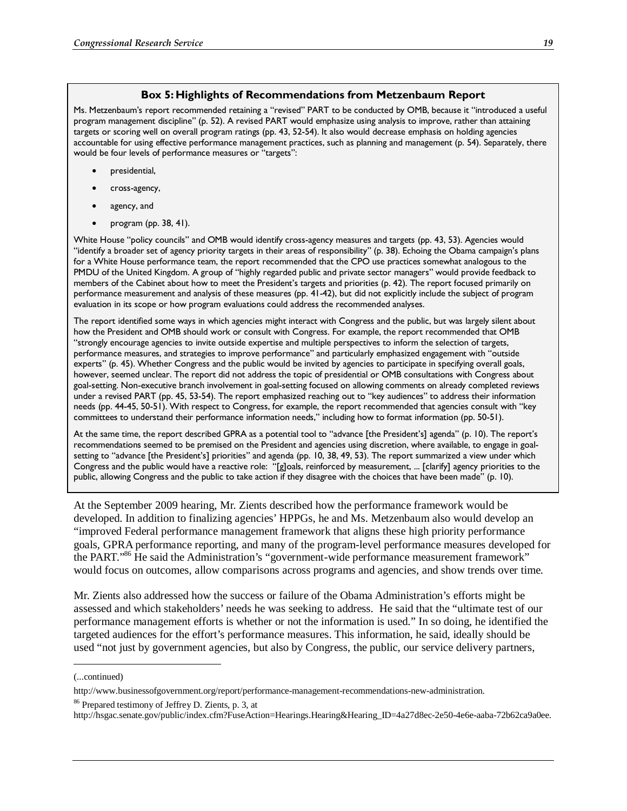#### **Box 5: Highlights of Recommendations from Metzenbaum Report**

Ms. Metzenbaum's report recommended retaining a "revised" PART to be conducted by OMB, because it "introduced a useful program management discipline" (p. 52). A revised PART would emphasize using analysis to improve, rather than attaining targets or scoring well on overall program ratings (pp. 43, 52-54). It also would decrease emphasis on holding agencies accountable for using effective performance management practices, such as planning and management (p. 54). Separately, there would be four levels of performance measures or "targets":

- presidential,
- cross-agency,
- agency, and
- program (pp. 38, 41).

White House "policy councils" and OMB would identify cross-agency measures and targets (pp. 43, 53). Agencies would "identify a broader set of agency priority targets in their areas of responsibility" (p. 38). Echoing the Obama campaign's plans for a White House performance team, the report recommended that the CPO use practices somewhat analogous to the PMDU of the United Kingdom. A group of "highly regarded public and private sector managers" would provide feedback to members of the Cabinet about how to meet the President's targets and priorities (p. 42). The report focused primarily on performance measurement and analysis of these measures (pp. 41-42), but did not explicitly include the subject of program evaluation in its scope or how program evaluations could address the recommended analyses.

The report identified some ways in which agencies might interact with Congress and the public, but was largely silent about how the President and OMB should work or consult with Congress. For example, the report recommended that OMB "strongly encourage agencies to invite outside expertise and multiple perspectives to inform the selection of targets, performance measures, and strategies to improve performance" and particularly emphasized engagement with "outside experts" (p. 45). Whether Congress and the public would be invited by agencies to participate in specifying overall goals, however, seemed unclear. The report did not address the topic of presidential or OMB consultations with Congress about goal-setting. Non-executive branch involvement in goal-setting focused on allowing comments on already completed reviews under a revised PART (pp. 45, 53-54). The report emphasized reaching out to "key audiences" to address their information needs (pp. 44-45, 50-51). With respect to Congress, for example, the report recommended that agencies consult with "key committees to understand their performance information needs," including how to format information (pp. 50-51).

At the same time, the report described GPRA as a potential tool to "advance [the President's] agenda" (p. 10). The report's recommendations seemed to be premised on the President and agencies using discretion, where available, to engage in goalsetting to "advance [the President's] priorities" and agenda (pp. 10, 38, 49, 53). The report summarized a view under which Congress and the public would have a reactive role: "[g]oals, reinforced by measurement, ... [clarify] agency priorities to the public, allowing Congress and the public to take action if they disagree with the choices that have been made" (p. 10).

At the September 2009 hearing, Mr. Zients described how the performance framework would be developed. In addition to finalizing agencies' HPPGs, he and Ms. Metzenbaum also would develop an "improved Federal performance management framework that aligns these high priority performance goals, GPRA performance reporting, and many of the program-level performance measures developed for the PART."<sup>86</sup> He said the Administration's "government-wide performance measurement framework" would focus on outcomes, allow comparisons across programs and agencies, and show trends over time.

Mr. Zients also addressed how the success or failure of the Obama Administration's efforts might be assessed and which stakeholders' needs he was seeking to address. He said that the "ultimate test of our performance management efforts is whether or not the information is used." In so doing, he identified the targeted audiences for the effort's performance measures. This information, he said, ideally should be used "not just by government agencies, but also by Congress, the public, our service delivery partners,

1

<sup>(...</sup>continued)

http://www.businessofgovernment.org/report/performance-management-recommendations-new-administration.

<sup>86</sup> Prepared testimony of Jeffrey D. Zients, p. 3, at

http://hsgac.senate.gov/public/index.cfm?FuseAction=Hearings.Hearing&Hearing\_ID=4a27d8ec-2e50-4e6e-aaba-72b62ca9a0ee.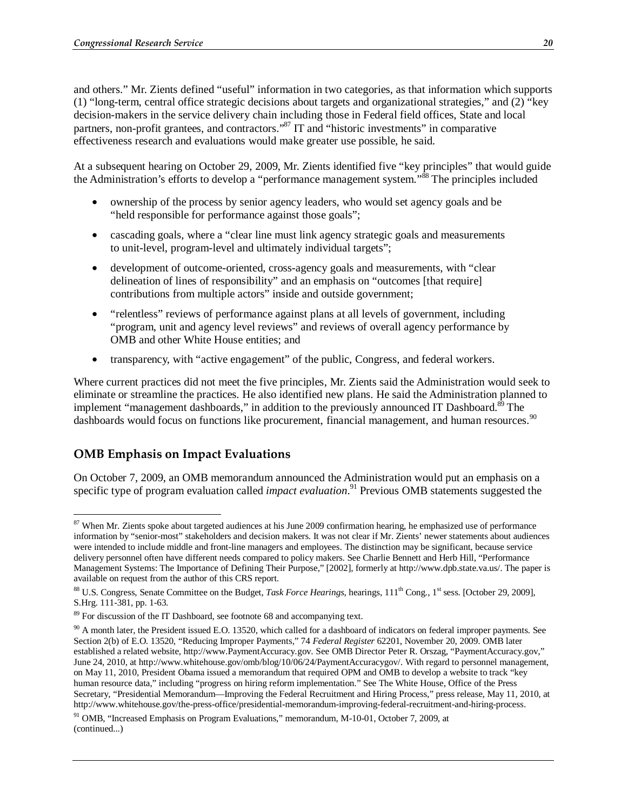and others." Mr. Zients defined "useful" information in two categories, as that information which supports (1) "long-term, central office strategic decisions about targets and organizational strategies," and (2) "key decision-makers in the service delivery chain including those in Federal field offices, State and local partners, non-profit grantees, and contractors."<sup>87</sup> IT and "historic investments" in comparative effectiveness research and evaluations would make greater use possible, he said.

At a subsequent hearing on October 29, 2009, Mr. Zients identified five "key principles" that would guide the Administration's efforts to develop a "performance management system."88 The principles included

- ownership of the process by senior agency leaders, who would set agency goals and be "held responsible for performance against those goals";
- cascading goals, where a "clear line must link agency strategic goals and measurements to unit-level, program-level and ultimately individual targets";
- development of outcome-oriented, cross-agency goals and measurements, with "clear delineation of lines of responsibility" and an emphasis on "outcomes [that require] contributions from multiple actors" inside and outside government;
- "relentless" reviews of performance against plans at all levels of government, including "program, unit and agency level reviews" and reviews of overall agency performance by OMB and other White House entities; and
- transparency, with "active engagement" of the public, Congress, and federal workers.

Where current practices did not meet the five principles, Mr. Zients said the Administration would seek to eliminate or streamline the practices. He also identified new plans. He said the Administration planned to implement "management dashboards," in addition to the previously announced IT Dashboard.<sup>89</sup> The dashboards would focus on functions like procurement, financial management, and human resources.<sup>90</sup>

### **OMB Emphasis on Impact Evaluations**

On October 7, 2009, an OMB memorandum announced the Administration would put an emphasis on a specific type of program evaluation called *impact evaluation*. 91 Previous OMB statements suggested the

<sup>-</sup><sup>87</sup> When Mr. Zients spoke about targeted audiences at his June 2009 confirmation hearing, he emphasized use of performance information by "senior-most" stakeholders and decision makers. It was not clear if Mr. Zients' newer statements about audiences were intended to include middle and front-line managers and employees. The distinction may be significant, because service delivery personnel often have different needs compared to policy makers. See Charlie Bennett and Herb Hill, "Performance Management Systems: The Importance of Defining Their Purpose," [2002], formerly at http://www.dpb.state.va.us/. The paper is available on request from the author of this CRS report.

<sup>88</sup> U.S. Congress, Senate Committee on the Budget, *Task Force Hearings*, hearings, 111th Cong., 1st sess. [October 29, 2009], S.Hrg. 111-381, pp. 1-63.

<sup>&</sup>lt;sup>89</sup> For discussion of the IT Dashboard, see footnote 68 and accompanying text.

 $90$  A month later, the President issued E.O. 13520, which called for a dashboard of indicators on federal improper payments. See Section 2(b) of E.O. 13520, "Reducing Improper Payments," 74 *Federal Register* 62201, November 20, 2009. OMB later established a related website, http://www.PaymentAccuracy.gov. See OMB Director Peter R. Orszag, "PaymentAccuracy.gov," June 24, 2010, at http://www.whitehouse.gov/omb/blog/10/06/24/PaymentAccuracygov/. With regard to personnel management, on May 11, 2010, President Obama issued a memorandum that required OPM and OMB to develop a website to track "key human resource data," including "progress on hiring reform implementation." See The White House, Office of the Press Secretary, "Presidential Memorandum—Improving the Federal Recruitment and Hiring Process," press release, May 11, 2010, at http://www.whitehouse.gov/the-press-office/presidential-memorandum-improving-federal-recruitment-and-hiring-process.

<sup>91</sup> OMB, "Increased Emphasis on Program Evaluations," memorandum, M-10-01, October 7, 2009, at (continued...)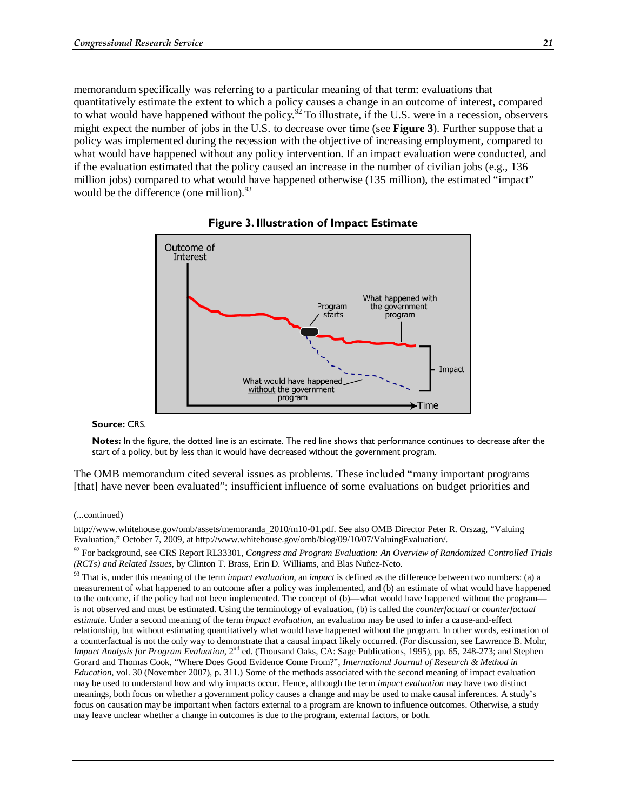memorandum specifically was referring to a particular meaning of that term: evaluations that quantitatively estimate the extent to which a policy causes a change in an outcome of interest, compared to what would have happened without the policy.<sup>92</sup> To illustrate, if the U.S. were in a recession, observers might expect the number of jobs in the U.S. to decrease over time (see **Figure 3**). Further suppose that a policy was implemented during the recession with the objective of increasing employment, compared to what would have happened without any policy intervention. If an impact evaluation were conducted, and if the evaluation estimated that the policy caused an increase in the number of civilian jobs (e.g., 136 million jobs) compared to what would have happened otherwise (135 million), the estimated "impact" would be the difference (one million).  $93$ 





**Source:** CRS.

**Notes:** In the figure, the dotted line is an estimate. The red line shows that performance continues to decrease after the start of a policy, but by less than it would have decreased without the government program.

The OMB memorandum cited several issues as problems. These included "many important programs [that] have never been evaluated"; insufficient influence of some evaluations on budget priorities and

<u>.</u>

<sup>(...</sup>continued)

http://www.whitehouse.gov/omb/assets/memoranda\_2010/m10-01.pdf. See also OMB Director Peter R. Orszag, "Valuing Evaluation," October 7, 2009, at http://www.whitehouse.gov/omb/blog/09/10/07/ValuingEvaluation/.

<sup>92</sup> For background, see CRS Report RL33301, *Congress and Program Evaluation: An Overview of Randomized Controlled Trials (RCTs) and Related Issues*, by Clinton T. Brass, Erin D. Williams, and Blas Nuñez-Neto.

<sup>93</sup> That is, under this meaning of the term *impact evaluation*, an *impact* is defined as the difference between two numbers: (a) a measurement of what happened to an outcome after a policy was implemented, and (b) an estimate of what would have happened to the outcome, if the policy had not been implemented. The concept of (b)—what would have happened without the program is not observed and must be estimated. Using the terminology of evaluation, (b) is called the *counterfactual* or *counterfactual estimate*. Under a second meaning of the term *impact evaluation*, an evaluation may be used to infer a cause-and-effect relationship, but without estimating quantitatively what would have happened without the program. In other words, estimation of a counterfactual is not the only way to demonstrate that a causal impact likely occurred. (For discussion, see Lawrence B. Mohr, *Impact Analysis for Program Evaluation*,  $2^{nd}$  ed. (Thousand Oaks, CA: Sage Publications, 1995), pp. 65, 248-273; and Stephen Gorard and Thomas Cook, "Where Does Good Evidence Come From?", *International Journal of Research & Method in Education*, vol. 30 (November 2007), p. 311.) Some of the methods associated with the second meaning of impact evaluation may be used to understand how and why impacts occur. Hence, although the term *impact evaluation* may have two distinct meanings, both focus on whether a government policy causes a change and may be used to make causal inferences. A study's focus on causation may be important when factors external to a program are known to influence outcomes. Otherwise, a study may leave unclear whether a change in outcomes is due to the program, external factors, or both.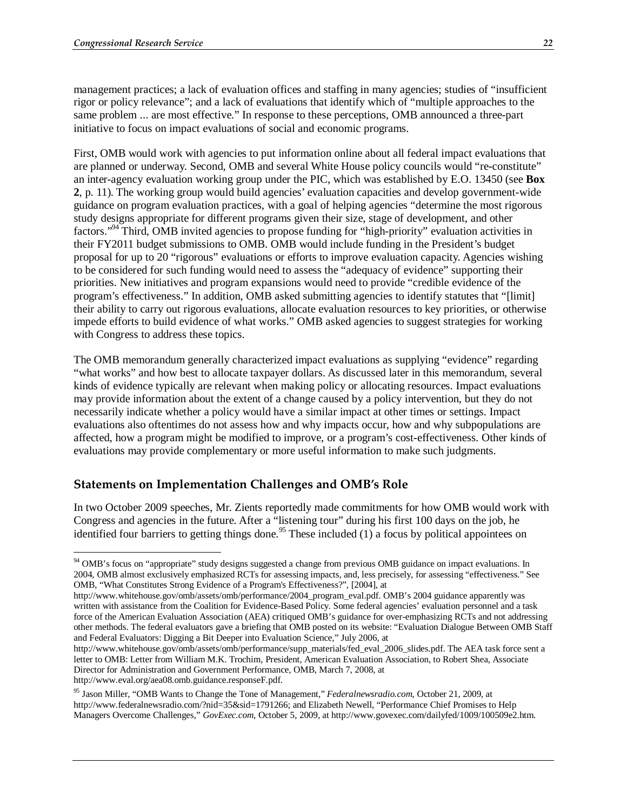management practices; a lack of evaluation offices and staffing in many agencies; studies of "insufficient rigor or policy relevance"; and a lack of evaluations that identify which of "multiple approaches to the same problem ... are most effective." In response to these perceptions, OMB announced a three-part initiative to focus on impact evaluations of social and economic programs.

First, OMB would work with agencies to put information online about all federal impact evaluations that are planned or underway. Second, OMB and several White House policy councils would "re-constitute" an inter-agency evaluation working group under the PIC, which was established by E.O. 13450 (see **Box 2**, p. 11). The working group would build agencies' evaluation capacities and develop government-wide guidance on program evaluation practices, with a goal of helping agencies "determine the most rigorous study designs appropriate for different programs given their size, stage of development, and other factors."94 Third, OMB invited agencies to propose funding for "high-priority" evaluation activities in their FY2011 budget submissions to OMB. OMB would include funding in the President's budget proposal for up to 20 "rigorous" evaluations or efforts to improve evaluation capacity. Agencies wishing to be considered for such funding would need to assess the "adequacy of evidence" supporting their priorities. New initiatives and program expansions would need to provide "credible evidence of the program's effectiveness." In addition, OMB asked submitting agencies to identify statutes that "[limit] their ability to carry out rigorous evaluations, allocate evaluation resources to key priorities, or otherwise impede efforts to build evidence of what works." OMB asked agencies to suggest strategies for working with Congress to address these topics.

The OMB memorandum generally characterized impact evaluations as supplying "evidence" regarding "what works" and how best to allocate taxpayer dollars. As discussed later in this memorandum, several kinds of evidence typically are relevant when making policy or allocating resources. Impact evaluations may provide information about the extent of a change caused by a policy intervention, but they do not necessarily indicate whether a policy would have a similar impact at other times or settings. Impact evaluations also oftentimes do not assess how and why impacts occur, how and why subpopulations are affected, how a program might be modified to improve, or a program's cost-effectiveness. Other kinds of evaluations may provide complementary or more useful information to make such judgments.

#### **Statements on Implementation Challenges and OMB's Role**

In two October 2009 speeches, Mr. Zients reportedly made commitments for how OMB would work with Congress and agencies in the future. After a "listening tour" during his first 100 days on the job, he identified four barriers to getting things done.<sup>95</sup> These included (1) a focus by political appointees on

http://www.eval.org/aea08.omb.guidance.responseF.pdf.

<u>.</u>

<sup>&</sup>lt;sup>94</sup> OMB's focus on "appropriate" study designs suggested a change from previous OMB guidance on impact evaluations. In 2004, OMB almost exclusively emphasized RCTs for assessing impacts, and, less precisely, for assessing "effectiveness." See OMB, "What Constitutes Strong Evidence of a Program's Effectiveness?", [2004], at

http://www.whitehouse.gov/omb/assets/omb/performance/2004\_program\_eval.pdf. OMB's 2004 guidance apparently was written with assistance from the Coalition for Evidence-Based Policy. Some federal agencies' evaluation personnel and a task force of the American Evaluation Association (AEA) critiqued OMB's guidance for over-emphasizing RCTs and not addressing other methods. The federal evaluators gave a briefing that OMB posted on its website: "Evaluation Dialogue Between OMB Staff and Federal Evaluators: Digging a Bit Deeper into Evaluation Science," July 2006, at

http://www.whitehouse.gov/omb/assets/omb/performance/supp\_materials/fed\_eval\_2006\_slides.pdf. The AEA task force sent a letter to OMB: Letter from William M.K. Trochim, President, American Evaluation Association, to Robert Shea, Associate Director for Administration and Government Performance, OMB, March 7, 2008, at

<sup>95</sup> Jason Miller, "OMB Wants to Change the Tone of Management," *Federalnewsradio.com*, October 21, 2009, at http://www.federalnewsradio.com/?nid=35&sid=1791266; and Elizabeth Newell, "Performance Chief Promises to Help Managers Overcome Challenges," *GovExec.com*, October 5, 2009, at http://www.govexec.com/dailyfed/1009/100509e2.htm.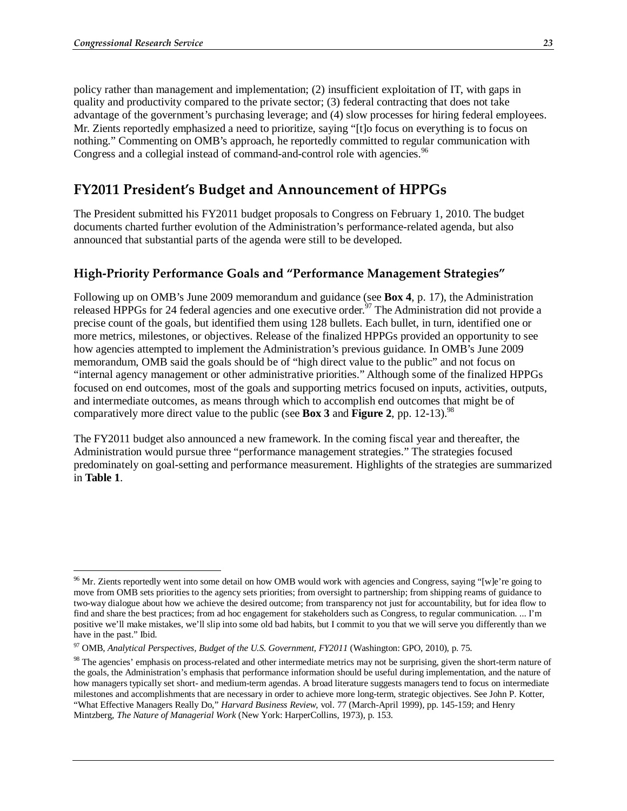policy rather than management and implementation; (2) insufficient exploitation of IT, with gaps in quality and productivity compared to the private sector; (3) federal contracting that does not take advantage of the government's purchasing leverage; and (4) slow processes for hiring federal employees. Mr. Zients reportedly emphasized a need to prioritize, saying "[t]o focus on everything is to focus on nothing." Commenting on OMB's approach, he reportedly committed to regular communication with Congress and a collegial instead of command-and-control role with agencies.<sup>96</sup>

## **FY2011 President's Budget and Announcement of HPPGs**

The President submitted his FY2011 budget proposals to Congress on February 1, 2010. The budget documents charted further evolution of the Administration's performance-related agenda, but also announced that substantial parts of the agenda were still to be developed.

#### **High-Priority Performance Goals and "Performance Management Strategies"**

Following up on OMB's June 2009 memorandum and guidance (see **Box 4**, p. 17), the Administration released HPPGs for 24 federal agencies and one executive order.<sup>97</sup> The Administration did not provide a precise count of the goals, but identified them using 128 bullets. Each bullet, in turn, identified one or more metrics, milestones, or objectives. Release of the finalized HPPGs provided an opportunity to see how agencies attempted to implement the Administration's previous guidance. In OMB's June 2009 memorandum, OMB said the goals should be of "high direct value to the public" and not focus on "internal agency management or other administrative priorities." Although some of the finalized HPPGs focused on end outcomes, most of the goals and supporting metrics focused on inputs, activities, outputs, and intermediate outcomes, as means through which to accomplish end outcomes that might be of comparatively more direct value to the public (see **Box 3** and **Figure 2**, pp. 12-13).98

The FY2011 budget also announced a new framework. In the coming fiscal year and thereafter, the Administration would pursue three "performance management strategies." The strategies focused predominately on goal-setting and performance measurement. Highlights of the strategies are summarized in **Table 1**.

 $96$  Mr. Zients reportedly went into some detail on how OMB would work with agencies and Congress, saying "[w]e're going to move from OMB sets priorities to the agency sets priorities; from oversight to partnership; from shipping reams of guidance to two-way dialogue about how we achieve the desired outcome; from transparency not just for accountability, but for idea flow to find and share the best practices; from ad hoc engagement for stakeholders such as Congress, to regular communication. ... I'm positive we'll make mistakes, we'll slip into some old bad habits, but I commit to you that we will serve you differently than we have in the past." Ibid.

<sup>97</sup> OMB, *Analytical Perspectives, Budget of the U.S. Government, FY2011* (Washington: GPO, 2010), p. 75.

<sup>&</sup>lt;sup>98</sup> The agencies' emphasis on process-related and other intermediate metrics may not be surprising, given the short-term nature of the goals, the Administration's emphasis that performance information should be useful during implementation, and the nature of how managers typically set short- and medium-term agendas. A broad literature suggests managers tend to focus on intermediate milestones and accomplishments that are necessary in order to achieve more long-term, strategic objectives. See John P. Kotter, "What Effective Managers Really Do," *Harvard Business Review*, vol. 77 (March-April 1999), pp. 145-159; and Henry Mintzberg, *The Nature of Managerial Work* (New York: HarperCollins, 1973), p. 153.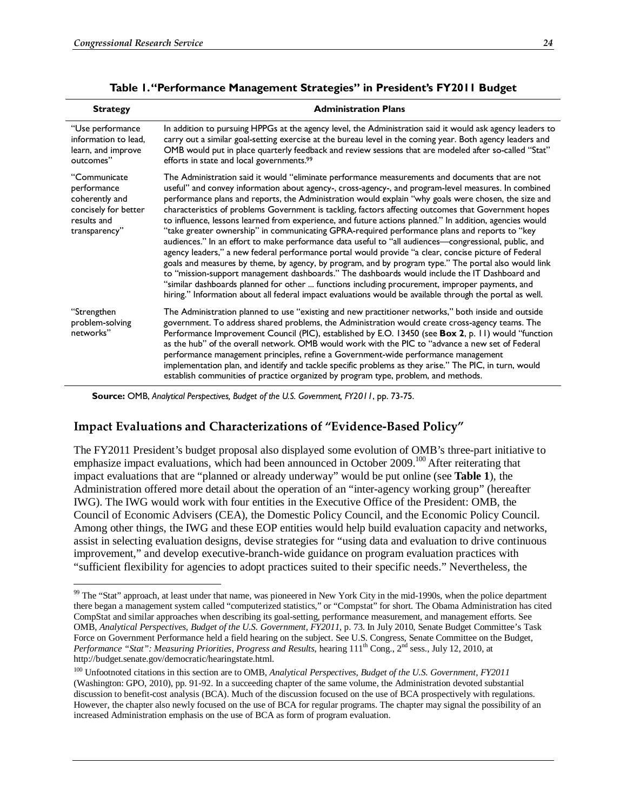| <b>Strategy</b>                                                                                       | <b>Administration Plans</b>                                                                                                                                                                                                                                                                                                                                                                                                                                                                                                                                                                                                                                                                                                                                                                                                                                                                                                                                                                                                                                                                                                                                                                                                                                                 |
|-------------------------------------------------------------------------------------------------------|-----------------------------------------------------------------------------------------------------------------------------------------------------------------------------------------------------------------------------------------------------------------------------------------------------------------------------------------------------------------------------------------------------------------------------------------------------------------------------------------------------------------------------------------------------------------------------------------------------------------------------------------------------------------------------------------------------------------------------------------------------------------------------------------------------------------------------------------------------------------------------------------------------------------------------------------------------------------------------------------------------------------------------------------------------------------------------------------------------------------------------------------------------------------------------------------------------------------------------------------------------------------------------|
| "Use performance<br>information to lead,<br>learn, and improve<br>outcomes"                           | In addition to pursuing HPPGs at the agency level, the Administration said it would ask agency leaders to<br>carry out a similar goal-setting exercise at the bureau level in the coming year. Both agency leaders and<br>OMB would put in place quarterly feedback and review sessions that are modeled after so-called "Stat"<br>efforts in state and local governments. <sup>99</sup>                                                                                                                                                                                                                                                                                                                                                                                                                                                                                                                                                                                                                                                                                                                                                                                                                                                                                    |
| "Communicate<br>performance<br>coherently and<br>concisely for better<br>results and<br>transparency" | The Administration said it would "eliminate performance measurements and documents that are not<br>useful" and convey information about agency-, cross-agency-, and program-level measures. In combined<br>performance plans and reports, the Administration would explain "why goals were chosen, the size and<br>characteristics of problems Government is tackling, factors affecting outcomes that Government hopes<br>to influence, lessons learned from experience, and future actions planned." In addition, agencies would<br>"take greater ownership" in communicating GPRA-required performance plans and reports to "key<br>audiences." In an effort to make performance data useful to "all audiences-congressional, public, and<br>agency leaders," a new federal performance portal would provide "a clear, concise picture of Federal<br>goals and measures by theme, by agency, by program, and by program type." The portal also would link<br>to "mission-support management dashboards." The dashboards would include the IT Dashboard and<br>"similar dashboards planned for other  functions including procurement, improper payments, and<br>hiring." Information about all federal impact evaluations would be available through the portal as well. |
| "Strengthen<br>problem-solving<br>networks"                                                           | The Administration planned to use "existing and new practitioner networks," both inside and outside<br>government. To address shared problems, the Administration would create cross-agency teams. The<br>Performance Improvement Council (PIC), established by E.O. 13450 (see Box 2, p. 11) would "function<br>as the hub" of the overall network. OMB would work with the PIC to "advance a new set of Federal<br>performance management principles, refine a Government-wide performance management<br>implementation plan, and identify and tackle specific problems as they arise." The PIC, in turn, would<br>establish communities of practice organized by program type, problem, and methods.                                                                                                                                                                                                                                                                                                                                                                                                                                                                                                                                                                     |

#### **Table 1. "Performance Management Strategies" in President's FY2011 Budget**

**Source:** OMB, *Analytical Perspectives, Budget of the U.S. Government, FY2011*, pp. 73-75.

#### **Impact Evaluations and Characterizations of "Evidence-Based Policy"**

The FY2011 President's budget proposal also displayed some evolution of OMB's three-part initiative to emphasize impact evaluations, which had been announced in October 2009.<sup>100</sup> After reiterating that impact evaluations that are "planned or already underway" would be put online (see **Table 1**), the Administration offered more detail about the operation of an "inter-agency working group" (hereafter IWG). The IWG would work with four entities in the Executive Office of the President: OMB, the Council of Economic Advisers (CEA), the Domestic Policy Council, and the Economic Policy Council. Among other things, the IWG and these EOP entities would help build evaluation capacity and networks, assist in selecting evaluation designs, devise strategies for "using data and evaluation to drive continuous improvement," and develop executive-branch-wide guidance on program evaluation practices with "sufficient flexibility for agencies to adopt practices suited to their specific needs." Nevertheless, the

<sup>-</sup><sup>99</sup> The "Stat" approach, at least under that name, was pioneered in New York City in the mid-1990s, when the police department there began a management system called "computerized statistics," or "Compstat" for short. The Obama Administration has cited CompStat and similar approaches when describing its goal-setting, performance measurement, and management efforts. See OMB, *Analytical Perspectives, Budget of the U.S. Government, FY2011*, p. 73. In July 2010, Senate Budget Committee's Task Force on Government Performance held a field hearing on the subject. See U.S. Congress, Senate Committee on the Budget, *Performance "Stat": Measuring Priorities, Progress and Results*, hearing  $111^{th}$  Cong., 2<sup>nd</sup> sess., July 12, 2010, at http://budget.senate.gov/democratic/hearingstate.html.

<sup>&</sup>lt;sup>100</sup> Unfootnoted citations in this section are to OMB, *Analytical Perspectives, Budget of the U.S. Government, FY2011* (Washington: GPO, 2010), pp. 91-92. In a succeeding chapter of the same volume, the Administration devoted substantial discussion to benefit-cost analysis (BCA). Much of the discussion focused on the use of BCA prospectively with regulations. However, the chapter also newly focused on the use of BCA for regular programs. The chapter may signal the possibility of an increased Administration emphasis on the use of BCA as form of program evaluation.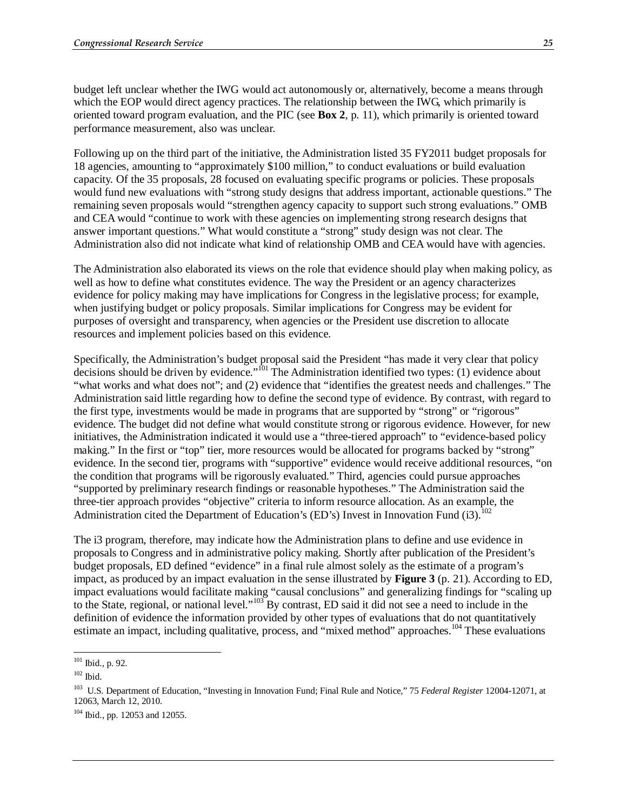budget left unclear whether the IWG would act autonomously or, alternatively, become a means through which the EOP would direct agency practices. The relationship between the IWG, which primarily is oriented toward program evaluation, and the PIC (see **Box 2**, p. 11), which primarily is oriented toward performance measurement, also was unclear.

Following up on the third part of the initiative, the Administration listed 35 FY2011 budget proposals for 18 agencies, amounting to "approximately \$100 million," to conduct evaluations or build evaluation capacity. Of the 35 proposals, 28 focused on evaluating specific programs or policies. These proposals would fund new evaluations with "strong study designs that address important, actionable questions." The remaining seven proposals would "strengthen agency capacity to support such strong evaluations." OMB and CEA would "continue to work with these agencies on implementing strong research designs that answer important questions." What would constitute a "strong" study design was not clear. The Administration also did not indicate what kind of relationship OMB and CEA would have with agencies.

The Administration also elaborated its views on the role that evidence should play when making policy, as well as how to define what constitutes evidence. The way the President or an agency characterizes evidence for policy making may have implications for Congress in the legislative process; for example, when justifying budget or policy proposals. Similar implications for Congress may be evident for purposes of oversight and transparency, when agencies or the President use discretion to allocate resources and implement policies based on this evidence.

Specifically, the Administration's budget proposal said the President "has made it very clear that policy decisions should be driven by evidence."101 The Administration identified two types: (1) evidence about "what works and what does not"; and (2) evidence that "identifies the greatest needs and challenges." The Administration said little regarding how to define the second type of evidence. By contrast, with regard to the first type, investments would be made in programs that are supported by "strong" or "rigorous" evidence. The budget did not define what would constitute strong or rigorous evidence. However, for new initiatives, the Administration indicated it would use a "three-tiered approach" to "evidence-based policy making." In the first or "top" tier, more resources would be allocated for programs backed by "strong" evidence. In the second tier, programs with "supportive" evidence would receive additional resources, "on the condition that programs will be rigorously evaluated." Third, agencies could pursue approaches "supported by preliminary research findings or reasonable hypotheses." The Administration said the three-tier approach provides "objective" criteria to inform resource allocation. As an example, the Administration cited the Department of Education's (ED's) Invest in Innovation Fund (i3).<sup>102</sup>

The i3 program, therefore, may indicate how the Administration plans to define and use evidence in proposals to Congress and in administrative policy making. Shortly after publication of the President's budget proposals, ED defined "evidence" in a final rule almost solely as the estimate of a program's impact, as produced by an impact evaluation in the sense illustrated by **Figure 3** (p. 21). According to ED, impact evaluations would facilitate making "causal conclusions" and generalizing findings for "scaling up to the State, regional, or national level."103 By contrast, ED said it did not see a need to include in the definition of evidence the information provided by other types of evaluations that do not quantitatively estimate an impact, including qualitative, process, and "mixed method" approaches.<sup>104</sup> These evaluations

<u>.</u>

 $101$  Ibid., p. 92.

 $102$  Ibid.

<sup>103</sup> U.S. Department of Education, "Investing in Innovation Fund; Final Rule and Notice," 75 *Federal Register* 12004-12071, at 12063, March 12, 2010.

 $104$  Ibid., pp. 12053 and 12055.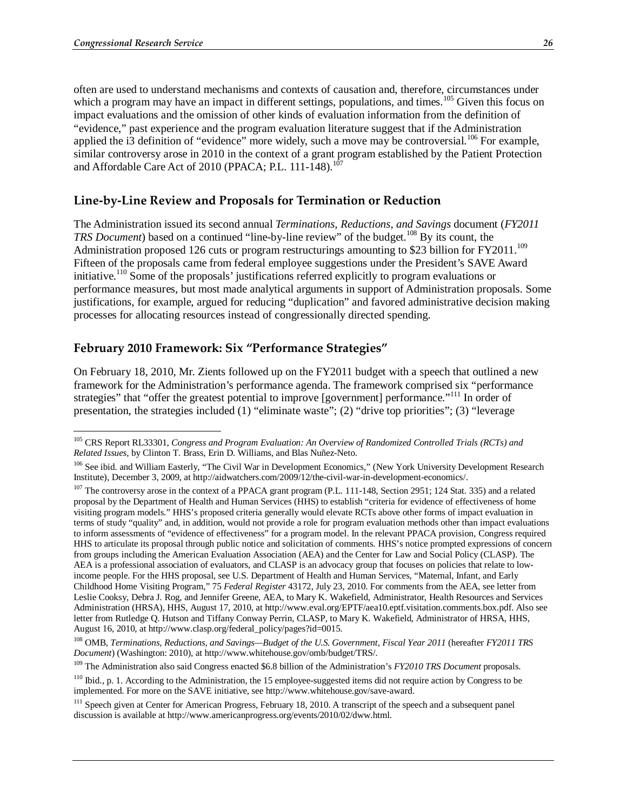<u>.</u>

often are used to understand mechanisms and contexts of causation and, therefore, circumstances under which a program may have an impact in different settings, populations, and times.<sup>105</sup> Given this focus on impact evaluations and the omission of other kinds of evaluation information from the definition of "evidence," past experience and the program evaluation literature suggest that if the Administration applied the i3 definition of "evidence" more widely, such a move may be controversial.<sup>106</sup> For example, similar controversy arose in 2010 in the context of a grant program established by the Patient Protection and Affordable Care Act of 2010 (PPACA; P.L. 111-148).<sup>107</sup>

#### **Line-by-Line Review and Proposals for Termination or Reduction**

The Administration issued its second annual *Terminations, Reductions, and Savings* document (*FY2011 TRS Document*) based on a continued "line-by-line review" of the budget.<sup>108</sup> By its count, the Administration proposed 126 cuts or program restructurings amounting to \$23 billion for FY2011.<sup>109</sup> Fifteen of the proposals came from federal employee suggestions under the President's SAVE Award initiative.<sup>110</sup> Some of the proposals' justifications referred explicitly to program evaluations or performance measures, but most made analytical arguments in support of Administration proposals. Some justifications, for example, argued for reducing "duplication" and favored administrative decision making processes for allocating resources instead of congressionally directed spending.

#### **February 2010 Framework: Six "Performance Strategies"**

On February 18, 2010, Mr. Zients followed up on the FY2011 budget with a speech that outlined a new framework for the Administration's performance agenda. The framework comprised six "performance strategies" that "offer the greatest potential to improve [government] performance."<sup>111</sup> In order of presentation, the strategies included (1) "eliminate waste"; (2) "drive top priorities"; (3) "leverage

<sup>105</sup> CRS Report RL33301, *Congress and Program Evaluation: An Overview of Randomized Controlled Trials (RCTs) and Related Issues*, by Clinton T. Brass, Erin D. Williams, and Blas Nuñez-Neto.

<sup>&</sup>lt;sup>106</sup> See ibid. and William Easterly, "The Civil War in Development Economics," (New York University Development Research Institute), December 3, 2009, at http://aidwatchers.com/2009/12/the-civil-war-in-development-economics/.

<sup>&</sup>lt;sup>107</sup> The controversy arose in the context of a PPACA grant program (P.L. 111-148, Section 2951; 124 Stat. 335) and a related proposal by the Department of Health and Human Services (HHS) to establish "criteria for evidence of effectiveness of home visiting program models." HHS's proposed criteria generally would elevate RCTs above other forms of impact evaluation in terms of study "quality" and, in addition, would not provide a role for program evaluation methods other than impact evaluations to inform assessments of "evidence of effectiveness" for a program model. In the relevant PPACA provision, Congress required HHS to articulate its proposal through public notice and solicitation of comments. HHS's notice prompted expressions of concern from groups including the American Evaluation Association (AEA) and the Center for Law and Social Policy (CLASP). The AEA is a professional association of evaluators, and CLASP is an advocacy group that focuses on policies that relate to lowincome people. For the HHS proposal, see U.S. Department of Health and Human Services, "Maternal, Infant, and Early Childhood Home Visiting Program," 75 *Federal Register* 43172, July 23, 2010. For comments from the AEA, see letter from Leslie Cooksy, Debra J. Rog, and Jennifer Greene, AEA, to Mary K. Wakefield, Administrator, Health Resources and Services Administration (HRSA), HHS, August 17, 2010, at http://www.eval.org/EPTF/aea10.eptf.visitation.comments.box.pdf. Also see letter from Rutledge Q. Hutson and Tiffany Conway Perrin, CLASP, to Mary K. Wakefield, Administrator of HRSA, HHS, August 16, 2010, at http://www.clasp.org/federal\_policy/pages?id=0015.

<sup>&</sup>lt;sup>108</sup> OMB, *Terminations, Reductions, and Savings—Budget of the U.S. Government, Fiscal Year 2011* (hereafter *FY2011 TRS Document*) (Washington: 2010), at http://www.whitehouse.gov/omb/budget/TRS/.

<sup>&</sup>lt;sup>109</sup> The Administration also said Congress enacted \$6.8 billion of the Administration's *FY2010 TRS Document* proposals.

<sup>&</sup>lt;sup>110</sup> Ibid., p. 1. According to the Administration, the 15 employee-suggested items did not require action by Congress to be implemented. For more on the SAVE initiative, see http://www.whitehouse.gov/save-award.

<sup>&</sup>lt;sup>111</sup> Speech given at Center for American Progress, February 18, 2010. A transcript of the speech and a subsequent panel discussion is available at http://www.americanprogress.org/events/2010/02/dww.html.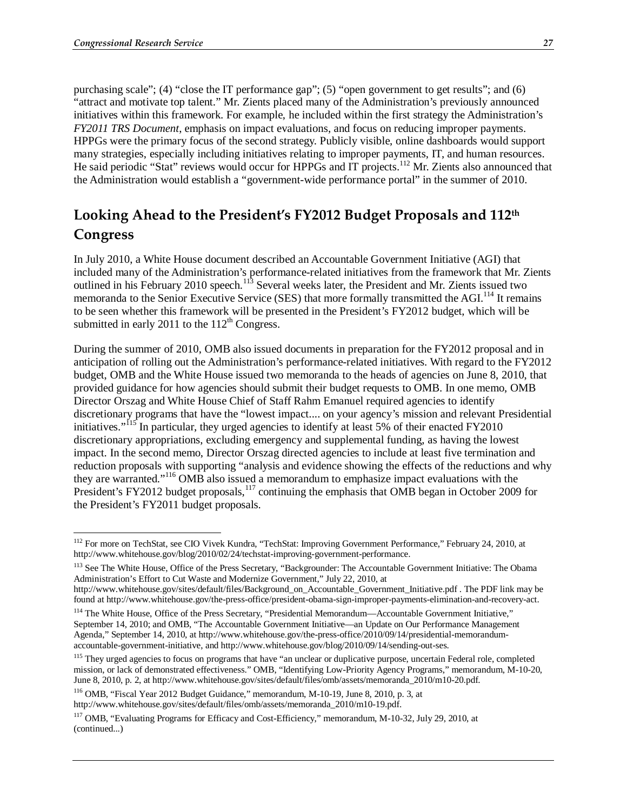purchasing scale"; (4) "close the IT performance gap"; (5) "open government to get results"; and (6) "attract and motivate top talent." Mr. Zients placed many of the Administration's previously announced initiatives within this framework. For example, he included within the first strategy the Administration's *FY2011 TRS Document*, emphasis on impact evaluations, and focus on reducing improper payments. HPPGs were the primary focus of the second strategy. Publicly visible, online dashboards would support many strategies, especially including initiatives relating to improper payments, IT, and human resources. He said periodic "Stat" reviews would occur for HPPGs and IT projects.<sup>112</sup> Mr. Zients also announced that the Administration would establish a "government-wide performance portal" in the summer of 2010.

## **Looking Ahead to the President's FY2012 Budget Proposals and 112th Congress**

In July 2010, a White House document described an Accountable Government Initiative (AGI) that included many of the Administration's performance-related initiatives from the framework that Mr. Zients outlined in his February 2010 speech.<sup>113</sup> Several weeks later, the President and Mr. Zients issued two memoranda to the Senior Executive Service (SES) that more formally transmitted the AGI.<sup>114</sup> It remains to be seen whether this framework will be presented in the President's FY2012 budget, which will be submitted in early 2011 to the  $112<sup>th</sup>$  Congress.

During the summer of 2010, OMB also issued documents in preparation for the FY2012 proposal and in anticipation of rolling out the Administration's performance-related initiatives. With regard to the FY2012 budget, OMB and the White House issued two memoranda to the heads of agencies on June 8, 2010, that provided guidance for how agencies should submit their budget requests to OMB. In one memo, OMB Director Orszag and White House Chief of Staff Rahm Emanuel required agencies to identify discretionary programs that have the "lowest impact.... on your agency's mission and relevant Presidential initiatives."<sup>115</sup> In particular, they urged agencies to identify at least 5% of their enacted FY2010 discretionary appropriations, excluding emergency and supplemental funding, as having the lowest impact. In the second memo, Director Orszag directed agencies to include at least five termination and reduction proposals with supporting "analysis and evidence showing the effects of the reductions and why they are warranted."116 OMB also issued a memorandum to emphasize impact evaluations with the President's FY2012 budget proposals,<sup>117</sup> continuing the emphasis that OMB began in October 2009 for the President's FY2011 budget proposals.

<sup>113</sup> See The White House, Office of the Press Secretary, "Backgrounder: The Accountable Government Initiative: The Obama Administration's Effort to Cut Waste and Modernize Government," July 22, 2010, at

<sup>-</sup><sup>112</sup> For more on TechStat, see CIO Vivek Kundra, "TechStat: Improving Government Performance," February 24, 2010, at http://www.whitehouse.gov/blog/2010/02/24/techstat-improving-government-performance.

http://www.whitehouse.gov/sites/default/files/Background\_on\_Accountable\_Government\_Initiative.pdf . The PDF link may be found at http://www.whitehouse.gov/the-press-office/president-obama-sign-improper-payments-elimination-and-recovery-act.

<sup>&</sup>lt;sup>114</sup> The White House, Office of the Press Secretary, "Presidential Memorandum—Accountable Government Initiative," September 14, 2010; and OMB, "The Accountable Government Initiative—an Update on Our Performance Management Agenda," September 14, 2010, at http://www.whitehouse.gov/the-press-office/2010/09/14/presidential-memorandumaccountable-government-initiative, and http://www.whitehouse.gov/blog/2010/09/14/sending-out-ses.

<sup>&</sup>lt;sup>115</sup> They urged agencies to focus on programs that have "an unclear or duplicative purpose, uncertain Federal role, completed mission, or lack of demonstrated effectiveness." OMB, "Identifying Low-Priority Agency Programs," memorandum, M-10-20, June 8, 2010, p. 2, at http://www.whitehouse.gov/sites/default/files/omb/assets/memoranda\_2010/m10-20.pdf.

<sup>116</sup> OMB, "Fiscal Year 2012 Budget Guidance," memorandum, M-10-19, June 8, 2010, p. 3, at http://www.whitehouse.gov/sites/default/files/omb/assets/memoranda\_2010/m10-19.pdf.

<sup>117</sup> OMB, "Evaluating Programs for Efficacy and Cost-Efficiency," memorandum, M-10-32, July 29, 2010, at (continued...)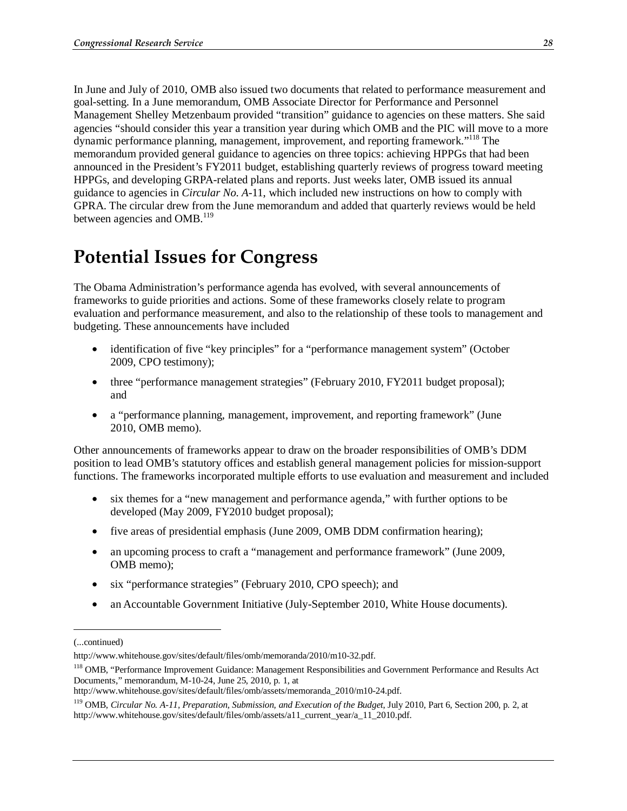In June and July of 2010, OMB also issued two documents that related to performance measurement and goal-setting. In a June memorandum, OMB Associate Director for Performance and Personnel Management Shelley Metzenbaum provided "transition" guidance to agencies on these matters. She said agencies "should consider this year a transition year during which OMB and the PIC will move to a more dynamic performance planning, management, improvement, and reporting framework."118 The memorandum provided general guidance to agencies on three topics: achieving HPPGs that had been announced in the President's FY2011 budget, establishing quarterly reviews of progress toward meeting HPPGs, and developing GRPA-related plans and reports. Just weeks later, OMB issued its annual guidance to agencies in *Circular No. A-*11, which included new instructions on how to comply with GPRA. The circular drew from the June memorandum and added that quarterly reviews would be held between agencies and OMB. $^{119}$ 

# **Potential Issues for Congress**

The Obama Administration's performance agenda has evolved, with several announcements of frameworks to guide priorities and actions. Some of these frameworks closely relate to program evaluation and performance measurement, and also to the relationship of these tools to management and budgeting. These announcements have included

- identification of five "key principles" for a "performance management system" (October 2009, CPO testimony);
- three "performance management strategies" (February 2010, FY2011 budget proposal); and
- a "performance planning, management, improvement, and reporting framework" (June 2010, OMB memo).

Other announcements of frameworks appear to draw on the broader responsibilities of OMB's DDM position to lead OMB's statutory offices and establish general management policies for mission-support functions. The frameworks incorporated multiple efforts to use evaluation and measurement and included

- six themes for a "new management and performance agenda," with further options to be developed (May 2009, FY2010 budget proposal);
- five areas of presidential emphasis (June 2009, OMB DDM confirmation hearing);
- an upcoming process to craft a "management and performance framework" (June 2009, OMB memo);
- six "performance strategies" (February 2010, CPO speech); and
- an Accountable Government Initiative (July-September 2010, White House documents).

1

http://www.whitehouse.gov/sites/default/files/omb/assets/memoranda\_2010/m10-24.pdf.

<sup>(...</sup>continued)

http://www.whitehouse.gov/sites/default/files/omb/memoranda/2010/m10-32.pdf.

<sup>&</sup>lt;sup>118</sup> OMB, "Performance Improvement Guidance: Management Responsibilities and Government Performance and Results Act Documents," memorandum, M-10-24, June 25, 2010, p. 1, at

<sup>119</sup> OMB, *Circular No. A-11, Preparation, Submission, and Execution of the Budget*, July 2010, Part 6, Section 200, p. 2, at http://www.whitehouse.gov/sites/default/files/omb/assets/a11\_current\_year/a\_11\_2010.pdf.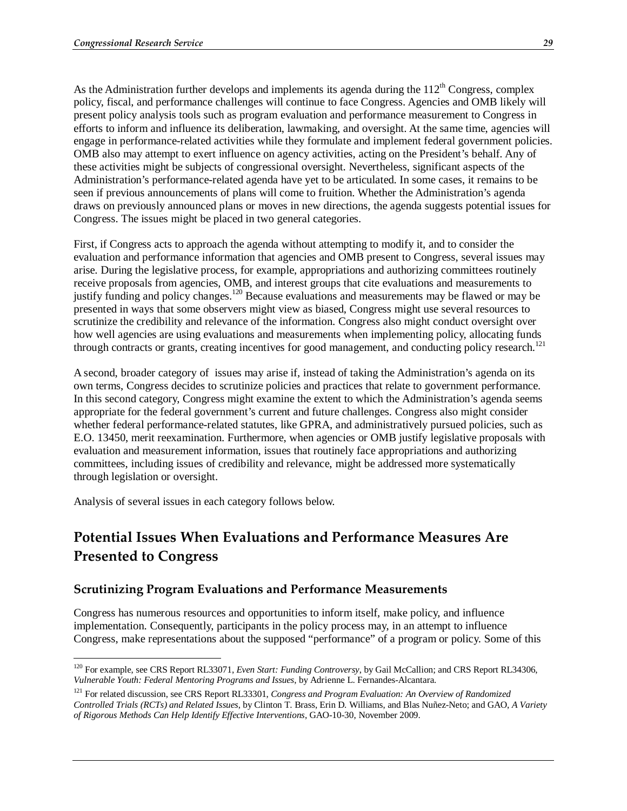As the Administration further develops and implements its agenda during the  $112<sup>th</sup>$  Congress, complex policy, fiscal, and performance challenges will continue to face Congress. Agencies and OMB likely will present policy analysis tools such as program evaluation and performance measurement to Congress in efforts to inform and influence its deliberation, lawmaking, and oversight. At the same time, agencies will engage in performance-related activities while they formulate and implement federal government policies. OMB also may attempt to exert influence on agency activities, acting on the President's behalf. Any of these activities might be subjects of congressional oversight. Nevertheless, significant aspects of the Administration's performance-related agenda have yet to be articulated. In some cases, it remains to be seen if previous announcements of plans will come to fruition. Whether the Administration's agenda draws on previously announced plans or moves in new directions, the agenda suggests potential issues for Congress. The issues might be placed in two general categories.

First, if Congress acts to approach the agenda without attempting to modify it, and to consider the evaluation and performance information that agencies and OMB present to Congress, several issues may arise. During the legislative process, for example, appropriations and authorizing committees routinely receive proposals from agencies, OMB, and interest groups that cite evaluations and measurements to justify funding and policy changes.120 Because evaluations and measurements may be flawed or may be presented in ways that some observers might view as biased, Congress might use several resources to scrutinize the credibility and relevance of the information. Congress also might conduct oversight over how well agencies are using evaluations and measurements when implementing policy, allocating funds through contracts or grants, creating incentives for good management, and conducting policy research.<sup>121</sup>

A second, broader category of issues may arise if, instead of taking the Administration's agenda on its own terms, Congress decides to scrutinize policies and practices that relate to government performance. In this second category, Congress might examine the extent to which the Administration's agenda seems appropriate for the federal government's current and future challenges. Congress also might consider whether federal performance-related statutes, like GPRA, and administratively pursued policies, such as E.O. 13450, merit reexamination. Furthermore, when agencies or OMB justify legislative proposals with evaluation and measurement information, issues that routinely face appropriations and authorizing committees, including issues of credibility and relevance, might be addressed more systematically through legislation or oversight.

Analysis of several issues in each category follows below.

## **Potential Issues When Evaluations and Performance Measures Are Presented to Congress**

#### **Scrutinizing Program Evaluations and Performance Measurements**

Congress has numerous resources and opportunities to inform itself, make policy, and influence implementation. Consequently, participants in the policy process may, in an attempt to influence Congress, make representations about the supposed "performance" of a program or policy. Some of this

<sup>&</sup>lt;u>.</u> <sup>120</sup> For example, see CRS Report RL33071, *Even Start: Funding Controversy*, by Gail McCallion; and CRS Report RL34306, *Vulnerable Youth: Federal Mentoring Programs and Issues*, by Adrienne L. Fernandes-Alcantara.

<sup>121</sup> For related discussion, see CRS Report RL33301, *Congress and Program Evaluation: An Overview of Randomized Controlled Trials (RCTs) and Related Issues*, by Clinton T. Brass, Erin D. Williams, and Blas Nuñez-Neto; and GAO, *A Variety of Rigorous Methods Can Help Identify Effective Interventions*, GAO-10-30, November 2009.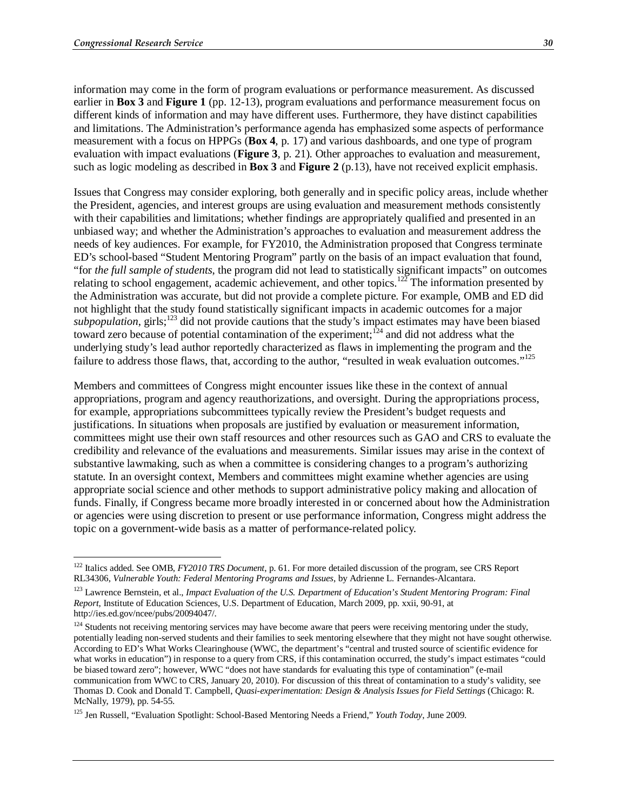information may come in the form of program evaluations or performance measurement. As discussed earlier in **Box 3** and **Figure 1** (pp. 12-13), program evaluations and performance measurement focus on different kinds of information and may have different uses. Furthermore, they have distinct capabilities and limitations. The Administration's performance agenda has emphasized some aspects of performance measurement with a focus on HPPGs (**Box 4**, p. 17) and various dashboards, and one type of program evaluation with impact evaluations (**Figure 3**, p. 21). Other approaches to evaluation and measurement, such as logic modeling as described in **Box 3** and **Figure 2** (p.13), have not received explicit emphasis.

Issues that Congress may consider exploring, both generally and in specific policy areas, include whether the President, agencies, and interest groups are using evaluation and measurement methods consistently with their capabilities and limitations; whether findings are appropriately qualified and presented in an unbiased way; and whether the Administration's approaches to evaluation and measurement address the needs of key audiences. For example, for FY2010, the Administration proposed that Congress terminate ED's school-based "Student Mentoring Program" partly on the basis of an impact evaluation that found, "for *the full sample of students*, the program did not lead to statistically significant impacts" on outcomes relating to school engagement, academic achievement, and other topics.<sup>122</sup> The information presented by the Administration was accurate, but did not provide a complete picture. For example, OMB and ED did not highlight that the study found statistically significant impacts in academic outcomes for a major subpopulation, girls;<sup>123</sup> did not provide cautions that the study's impact estimates may have been biased toward zero because of potential contamination of the experiment;<sup>124</sup> and did not address what the underlying study's lead author reportedly characterized as flaws in implementing the program and the failure to address those flaws, that, according to the author, "resulted in weak evaluation outcomes."<sup>125</sup>

Members and committees of Congress might encounter issues like these in the context of annual appropriations, program and agency reauthorizations, and oversight. During the appropriations process, for example, appropriations subcommittees typically review the President's budget requests and justifications. In situations when proposals are justified by evaluation or measurement information, committees might use their own staff resources and other resources such as GAO and CRS to evaluate the credibility and relevance of the evaluations and measurements. Similar issues may arise in the context of substantive lawmaking, such as when a committee is considering changes to a program's authorizing statute. In an oversight context, Members and committees might examine whether agencies are using appropriate social science and other methods to support administrative policy making and allocation of funds. Finally, if Congress became more broadly interested in or concerned about how the Administration or agencies were using discretion to present or use performance information, Congress might address the topic on a government-wide basis as a matter of performance-related policy.

<sup>122</sup> Italics added. See OMB, *FY2010 TRS Document*, p. 61. For more detailed discussion of the program, see CRS Report RL34306, *Vulnerable Youth: Federal Mentoring Programs and Issues*, by Adrienne L. Fernandes-Alcantara.

<sup>123</sup> Lawrence Bernstein, et al., *Impact Evaluation of the U.S. Department of Education's Student Mentoring Program: Final Report*, Institute of Education Sciences, U.S. Department of Education, March 2009, pp. xxii, 90-91, at http://ies.ed.gov/ncee/pubs/20094047/.

<sup>&</sup>lt;sup>124</sup> Students not receiving mentoring services may have become aware that peers were receiving mentoring under the study, potentially leading non-served students and their families to seek mentoring elsewhere that they might not have sought otherwise. According to ED's What Works Clearinghouse (WWC, the department's "central and trusted source of scientific evidence for what works in education") in response to a query from CRS, if this contamination occurred, the study's impact estimates "could be biased toward zero"; however, WWC "does not have standards for evaluating this type of contamination" (e-mail communication from WWC to CRS, January 20, 2010). For discussion of this threat of contamination to a study's validity, see Thomas D. Cook and Donald T. Campbell, *Quasi-experimentation: Design & Analysis Issues for Field Settings* (Chicago: R. McNally, 1979), pp. 54-55.

<sup>125</sup> Jen Russell, "Evaluation Spotlight: School-Based Mentoring Needs a Friend," *Youth Today*, June 2009.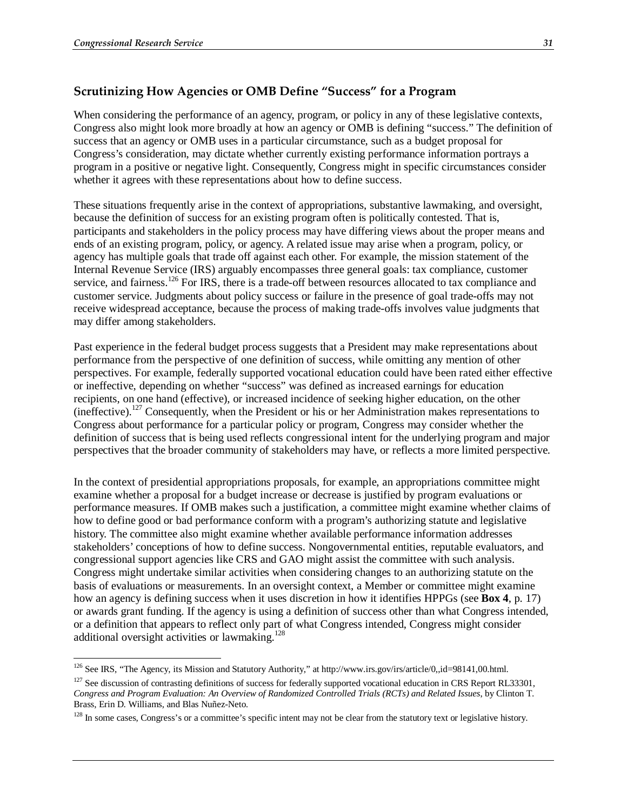#### **Scrutinizing How Agencies or OMB Define "Success" for a Program**

When considering the performance of an agency, program, or policy in any of these legislative contexts, Congress also might look more broadly at how an agency or OMB is defining "success." The definition of success that an agency or OMB uses in a particular circumstance, such as a budget proposal for Congress's consideration, may dictate whether currently existing performance information portrays a program in a positive or negative light. Consequently, Congress might in specific circumstances consider whether it agrees with these representations about how to define success.

These situations frequently arise in the context of appropriations, substantive lawmaking, and oversight, because the definition of success for an existing program often is politically contested. That is, participants and stakeholders in the policy process may have differing views about the proper means and ends of an existing program, policy, or agency. A related issue may arise when a program, policy, or agency has multiple goals that trade off against each other. For example, the mission statement of the Internal Revenue Service (IRS) arguably encompasses three general goals: tax compliance, customer service, and fairness.<sup>126</sup> For IRS, there is a trade-off between resources allocated to tax compliance and customer service. Judgments about policy success or failure in the presence of goal trade-offs may not receive widespread acceptance, because the process of making trade-offs involves value judgments that may differ among stakeholders.

Past experience in the federal budget process suggests that a President may make representations about performance from the perspective of one definition of success, while omitting any mention of other perspectives. For example, federally supported vocational education could have been rated either effective or ineffective, depending on whether "success" was defined as increased earnings for education recipients, on one hand (effective), or increased incidence of seeking higher education, on the other (ineffective).127 Consequently, when the President or his or her Administration makes representations to Congress about performance for a particular policy or program, Congress may consider whether the definition of success that is being used reflects congressional intent for the underlying program and major perspectives that the broader community of stakeholders may have, or reflects a more limited perspective.

In the context of presidential appropriations proposals, for example, an appropriations committee might examine whether a proposal for a budget increase or decrease is justified by program evaluations or performance measures. If OMB makes such a justification, a committee might examine whether claims of how to define good or bad performance conform with a program's authorizing statute and legislative history. The committee also might examine whether available performance information addresses stakeholders' conceptions of how to define success. Nongovernmental entities, reputable evaluators, and congressional support agencies like CRS and GAO might assist the committee with such analysis. Congress might undertake similar activities when considering changes to an authorizing statute on the basis of evaluations or measurements. In an oversight context, a Member or committee might examine how an agency is defining success when it uses discretion in how it identifies HPPGs (see **Box 4**, p. 17) or awards grant funding. If the agency is using a definition of success other than what Congress intended, or a definition that appears to reflect only part of what Congress intended, Congress might consider additional oversight activities or lawmaking.<sup>128</sup>

<sup>-</sup> $126$  See IRS, "The Agency, its Mission and Statutory Authority," at http://www.irs.gov/irs/article/0,,id=98141,00.html.

 $127$  See discussion of contrasting definitions of success for federally supported vocational education in CRS Report RL33301, *Congress and Program Evaluation: An Overview of Randomized Controlled Trials (RCTs) and Related Issues*, by Clinton T. Brass, Erin D. Williams, and Blas Nuñez-Neto.

<sup>&</sup>lt;sup>128</sup> In some cases, Congress's or a committee's specific intent may not be clear from the statutory text or legislative history.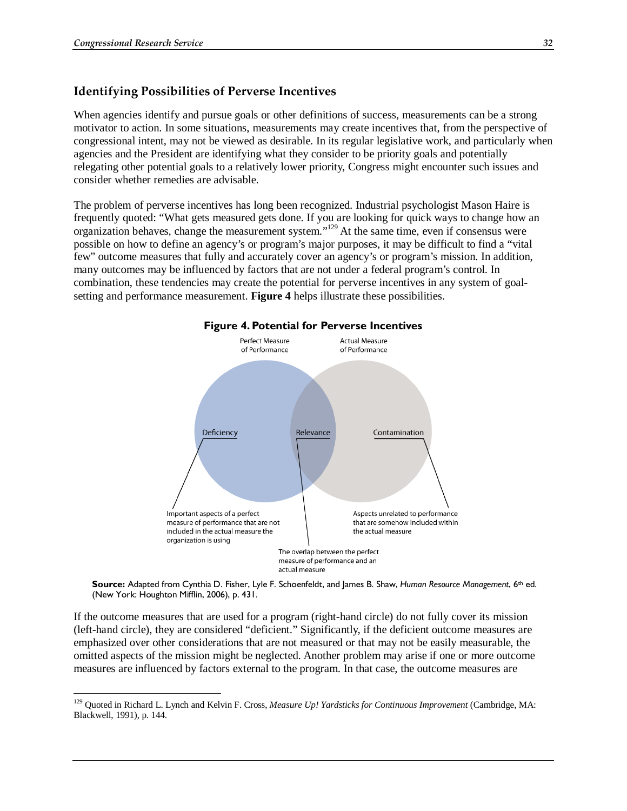#### **Identifying Possibilities of Perverse Incentives**

When agencies identify and pursue goals or other definitions of success, measurements can be a strong motivator to action. In some situations, measurements may create incentives that, from the perspective of congressional intent, may not be viewed as desirable. In its regular legislative work, and particularly when agencies and the President are identifying what they consider to be priority goals and potentially relegating other potential goals to a relatively lower priority, Congress might encounter such issues and consider whether remedies are advisable.

The problem of perverse incentives has long been recognized. Industrial psychologist Mason Haire is frequently quoted: "What gets measured gets done. If you are looking for quick ways to change how an organization behaves, change the measurement system."129 At the same time, even if consensus were possible on how to define an agency's or program's major purposes, it may be difficult to find a "vital few" outcome measures that fully and accurately cover an agency's or program's mission. In addition, many outcomes may be influenced by factors that are not under a federal program's control. In combination, these tendencies may create the potential for perverse incentives in any system of goalsetting and performance measurement. **Figure 4** helps illustrate these possibilities.



**Source:** Adapted from Cynthia D. Fisher, Lyle F. Schoenfeldt, and James B. Shaw, *Human Resource Management*, 6th ed. (New York: Houghton Mifflin, 2006), p. 431.

If the outcome measures that are used for a program (right-hand circle) do not fully cover its mission (left-hand circle), they are considered "deficient." Significantly, if the deficient outcome measures are emphasized over other considerations that are not measured or that may not be easily measurable, the omitted aspects of the mission might be neglected. Another problem may arise if one or more outcome measures are influenced by factors external to the program. In that case, the outcome measures are

<sup>129</sup> Quoted in Richard L. Lynch and Kelvin F. Cross, *Measure Up! Yardsticks for Continuous Improvement* (Cambridge, MA: Blackwell, 1991), p. 144.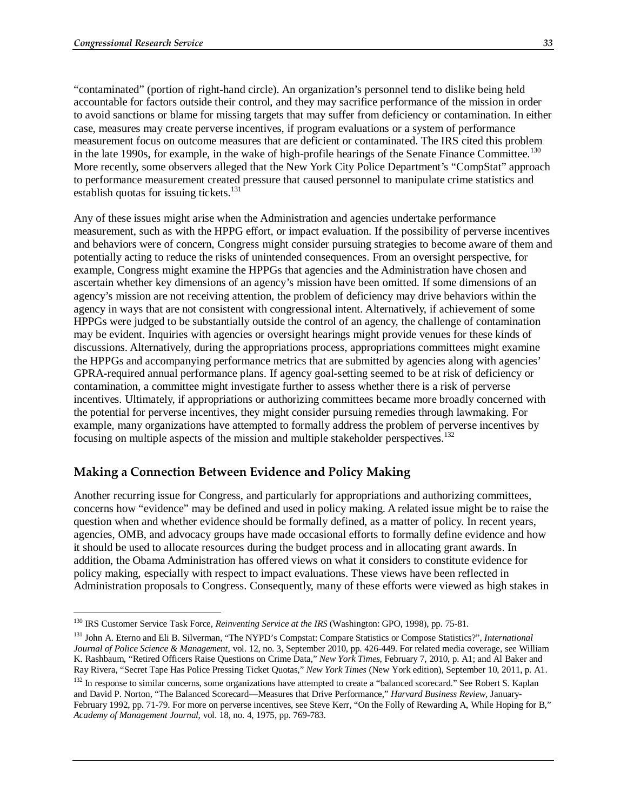"contaminated" (portion of right-hand circle). An organization's personnel tend to dislike being held accountable for factors outside their control, and they may sacrifice performance of the mission in order to avoid sanctions or blame for missing targets that may suffer from deficiency or contamination. In either case, measures may create perverse incentives, if program evaluations or a system of performance measurement focus on outcome measures that are deficient or contaminated. The IRS cited this problem in the late 1990s, for example, in the wake of high-profile hearings of the Senate Finance Committee.<sup>130</sup> More recently, some observers alleged that the New York City Police Department's "CompStat" approach to performance measurement created pressure that caused personnel to manipulate crime statistics and establish quotas for issuing tickets.<sup>131</sup>

Any of these issues might arise when the Administration and agencies undertake performance measurement, such as with the HPPG effort, or impact evaluation. If the possibility of perverse incentives and behaviors were of concern, Congress might consider pursuing strategies to become aware of them and potentially acting to reduce the risks of unintended consequences. From an oversight perspective, for example, Congress might examine the HPPGs that agencies and the Administration have chosen and ascertain whether key dimensions of an agency's mission have been omitted. If some dimensions of an agency's mission are not receiving attention, the problem of deficiency may drive behaviors within the agency in ways that are not consistent with congressional intent. Alternatively, if achievement of some HPPGs were judged to be substantially outside the control of an agency, the challenge of contamination may be evident. Inquiries with agencies or oversight hearings might provide venues for these kinds of discussions. Alternatively, during the appropriations process, appropriations committees might examine the HPPGs and accompanying performance metrics that are submitted by agencies along with agencies' GPRA-required annual performance plans. If agency goal-setting seemed to be at risk of deficiency or contamination, a committee might investigate further to assess whether there is a risk of perverse incentives. Ultimately, if appropriations or authorizing committees became more broadly concerned with the potential for perverse incentives, they might consider pursuing remedies through lawmaking. For example, many organizations have attempted to formally address the problem of perverse incentives by focusing on multiple aspects of the mission and multiple stakeholder perspectives.<sup>132</sup>

#### **Making a Connection Between Evidence and Policy Making**

Another recurring issue for Congress, and particularly for appropriations and authorizing committees, concerns how "evidence" may be defined and used in policy making. A related issue might be to raise the question when and whether evidence should be formally defined, as a matter of policy. In recent years, agencies, OMB, and advocacy groups have made occasional efforts to formally define evidence and how it should be used to allocate resources during the budget process and in allocating grant awards. In addition, the Obama Administration has offered views on what it considers to constitute evidence for policy making, especially with respect to impact evaluations. These views have been reflected in Administration proposals to Congress. Consequently, many of these efforts were viewed as high stakes in

<sup>&</sup>lt;sup>130</sup> IRS Customer Service Task Force, *Reinventing Service at the IRS* (Washington: GPO, 1998), pp. 75-81.

<sup>131</sup> John A. Eterno and Eli B. Silverman, "The NYPD's Compstat: Compare Statistics or Compose Statistics?", *International Journal of Police Science & Management*, vol. 12, no. 3, September 2010, pp. 426-449. For related media coverage, see William K. Rashbaum, "Retired Officers Raise Questions on Crime Data," *New York Times*, February 7, 2010, p. A1; and Al Baker and Ray Rivera, "Secret Tape Has Police Pressing Ticket Quotas," *New York Times* (New York edition), September 10, 2011, p. A1.

<sup>&</sup>lt;sup>132</sup> In response to similar concerns, some organizations have attempted to create a "balanced scorecard." See Robert S. Kaplan and David P. Norton, "The Balanced Scorecard—Measures that Drive Performance," *Harvard Business Review*, January-February 1992, pp. 71-79. For more on perverse incentives, see Steve Kerr, "On the Folly of Rewarding A, While Hoping for B," *Academy of Management Journal*, vol. 18, no. 4, 1975, pp. 769-783.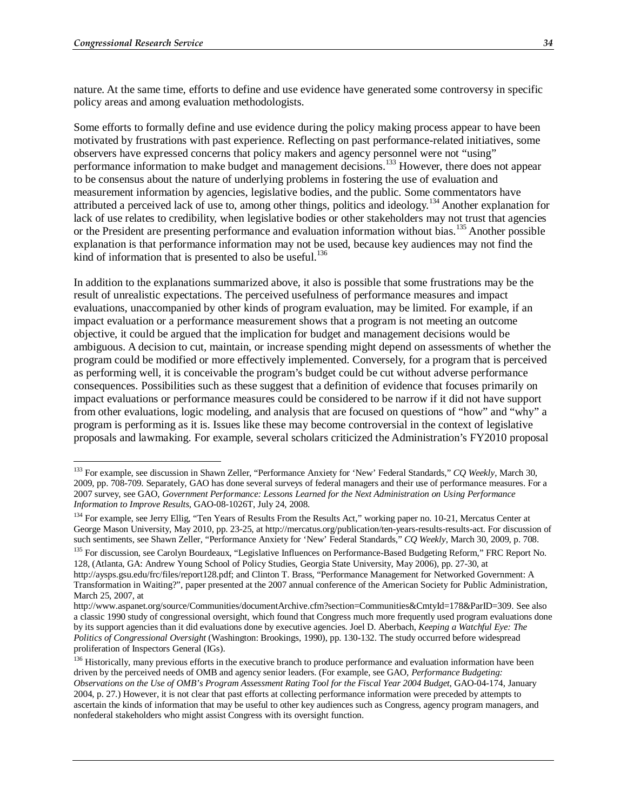nature. At the same time, efforts to define and use evidence have generated some controversy in specific policy areas and among evaluation methodologists.

Some efforts to formally define and use evidence during the policy making process appear to have been motivated by frustrations with past experience. Reflecting on past performance-related initiatives, some observers have expressed concerns that policy makers and agency personnel were not "using" performance information to make budget and management decisions.<sup>133</sup> However, there does not appear to be consensus about the nature of underlying problems in fostering the use of evaluation and measurement information by agencies, legislative bodies, and the public. Some commentators have attributed a perceived lack of use to, among other things, politics and ideology.134 Another explanation for lack of use relates to credibility, when legislative bodies or other stakeholders may not trust that agencies or the President are presenting performance and evaluation information without bias.<sup>135</sup> Another possible explanation is that performance information may not be used, because key audiences may not find the kind of information that is presented to also be useful.<sup>136</sup>

In addition to the explanations summarized above, it also is possible that some frustrations may be the result of unrealistic expectations. The perceived usefulness of performance measures and impact evaluations, unaccompanied by other kinds of program evaluation, may be limited. For example, if an impact evaluation or a performance measurement shows that a program is not meeting an outcome objective, it could be argued that the implication for budget and management decisions would be ambiguous. A decision to cut, maintain, or increase spending might depend on assessments of whether the program could be modified or more effectively implemented. Conversely, for a program that is perceived as performing well, it is conceivable the program's budget could be cut without adverse performance consequences. Possibilities such as these suggest that a definition of evidence that focuses primarily on impact evaluations or performance measures could be considered to be narrow if it did not have support from other evaluations, logic modeling, and analysis that are focused on questions of "how" and "why" a program is performing as it is. Issues like these may become controversial in the context of legislative proposals and lawmaking. For example, several scholars criticized the Administration's FY2010 proposal

<sup>135</sup> For discussion, see Carolyn Bourdeaux, "Legislative Influences on Performance-Based Budgeting Reform," FRC Report No. 128, (Atlanta, GA: Andrew Young School of Policy Studies, Georgia State University, May 2006), pp. 27-30, at

<sup>133</sup> For example, see discussion in Shawn Zeller, "Performance Anxiety for 'New' Federal Standards," *CQ Weekly*, March 30, 2009, pp. 708-709. Separately, GAO has done several surveys of federal managers and their use of performance measures. For a 2007 survey, see GAO, *Government Performance: Lessons Learned for the Next Administration on Using Performance Information to Improve Results*, GAO-08-1026T, July 24, 2008.

<sup>&</sup>lt;sup>134</sup> For example, see Jerry Ellig, "Ten Years of Results From the Results Act," working paper no. 10-21, Mercatus Center at George Mason University, May 2010, pp. 23-25, at http://mercatus.org/publication/ten-years-results-results-act. For discussion of such sentiments, see Shawn Zeller, "Performance Anxiety for 'New' Federal Standards," *CQ Weekly*, March 30, 2009, p. 708.

http://aysps.gsu.edu/frc/files/report128.pdf; and Clinton T. Brass, "Performance Management for Networked Government: A Transformation in Waiting?", paper presented at the 2007 annual conference of the American Society for Public Administration, March 25, 2007, at

http://www.aspanet.org/source/Communities/documentArchive.cfm?section=Communities&CmtyId=178&ParID=309. See also a classic 1990 study of congressional oversight, which found that Congress much more frequently used program evaluations done by its support agencies than it did evaluations done by executive agencies. Joel D. Aberbach, *Keeping a Watchful Eye: The Politics of Congressional Oversight* (Washington: Brookings, 1990), pp. 130-132. The study occurred before widespread proliferation of Inspectors General (IGs).

<sup>&</sup>lt;sup>136</sup> Historically, many previous efforts in the executive branch to produce performance and evaluation information have been driven by the perceived needs of OMB and agency senior leaders. (For example, see GAO, *Performance Budgeting: Observations on the Use of OMB's Program Assessment Rating Tool for the Fiscal Year 2004 Budget*, GAO-04-174, January 2004, p. 27.) However, it is not clear that past efforts at collecting performance information were preceded by attempts to ascertain the kinds of information that may be useful to other key audiences such as Congress, agency program managers, and nonfederal stakeholders who might assist Congress with its oversight function.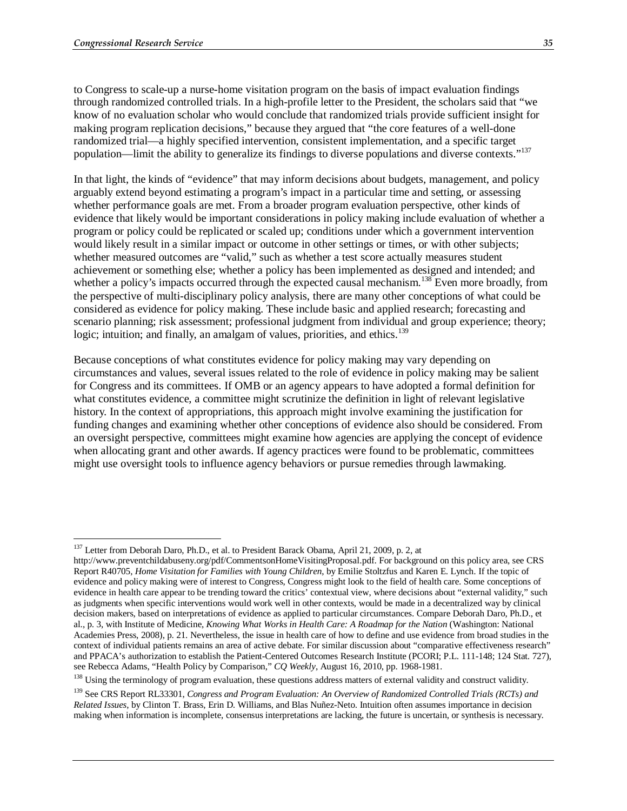to Congress to scale-up a nurse-home visitation program on the basis of impact evaluation findings through randomized controlled trials. In a high-profile letter to the President, the scholars said that "we know of no evaluation scholar who would conclude that randomized trials provide sufficient insight for making program replication decisions," because they argued that "the core features of a well-done randomized trial—a highly specified intervention, consistent implementation, and a specific target population—limit the ability to generalize its findings to diverse populations and diverse contexts."137

In that light, the kinds of "evidence" that may inform decisions about budgets, management, and policy arguably extend beyond estimating a program's impact in a particular time and setting, or assessing whether performance goals are met. From a broader program evaluation perspective, other kinds of evidence that likely would be important considerations in policy making include evaluation of whether a program or policy could be replicated or scaled up; conditions under which a government intervention would likely result in a similar impact or outcome in other settings or times, or with other subjects; whether measured outcomes are "valid," such as whether a test score actually measures student achievement or something else; whether a policy has been implemented as designed and intended; and whether a policy's impacts occurred through the expected causal mechanism.<sup>138</sup> Even more broadly, from the perspective of multi-disciplinary policy analysis, there are many other conceptions of what could be considered as evidence for policy making. These include basic and applied research; forecasting and scenario planning; risk assessment; professional judgment from individual and group experience; theory; logic; intuition; and finally, an amalgam of values, priorities, and ethics.<sup>139</sup>

Because conceptions of what constitutes evidence for policy making may vary depending on circumstances and values, several issues related to the role of evidence in policy making may be salient for Congress and its committees. If OMB or an agency appears to have adopted a formal definition for what constitutes evidence, a committee might scrutinize the definition in light of relevant legislative history. In the context of appropriations, this approach might involve examining the justification for funding changes and examining whether other conceptions of evidence also should be considered. From an oversight perspective, committees might examine how agencies are applying the concept of evidence when allocating grant and other awards. If agency practices were found to be problematic, committees might use oversight tools to influence agency behaviors or pursue remedies through lawmaking.

<sup>-</sup><sup>137</sup> Letter from Deborah Daro, Ph.D., et al. to President Barack Obama, April 21, 2009, p. 2, at

http://www.preventchildabuseny.org/pdf/CommentsonHomeVisitingProposal.pdf. For background on this policy area, see CRS Report R40705, *Home Visitation for Families with Young Children*, by Emilie Stoltzfus and Karen E. Lynch. If the topic of evidence and policy making were of interest to Congress, Congress might look to the field of health care. Some conceptions of evidence in health care appear to be trending toward the critics' contextual view, where decisions about "external validity," such as judgments when specific interventions would work well in other contexts, would be made in a decentralized way by clinical decision makers, based on interpretations of evidence as applied to particular circumstances. Compare Deborah Daro, Ph.D., et al., p. 3, with Institute of Medicine, *Knowing What Works in Health Care: A Roadmap for the Nation* (Washington: National Academies Press, 2008), p. 21. Nevertheless, the issue in health care of how to define and use evidence from broad studies in the context of individual patients remains an area of active debate. For similar discussion about "comparative effectiveness research" and PPACA's authorization to establish the Patient-Centered Outcomes Research Institute (PCORI; P.L. 111-148; 124 Stat. 727), see Rebecca Adams, "Health Policy by Comparison," *CQ Weekly*, August 16, 2010, pp. 1968-1981.

<sup>&</sup>lt;sup>138</sup> Using the terminology of program evaluation, these questions address matters of external validity and construct validity.

<sup>139</sup> See CRS Report RL33301, *Congress and Program Evaluation: An Overview of Randomized Controlled Trials (RCTs) and Related Issues*, by Clinton T. Brass, Erin D. Williams, and Blas Nuñez-Neto. Intuition often assumes importance in decision making when information is incomplete, consensus interpretations are lacking, the future is uncertain, or synthesis is necessary.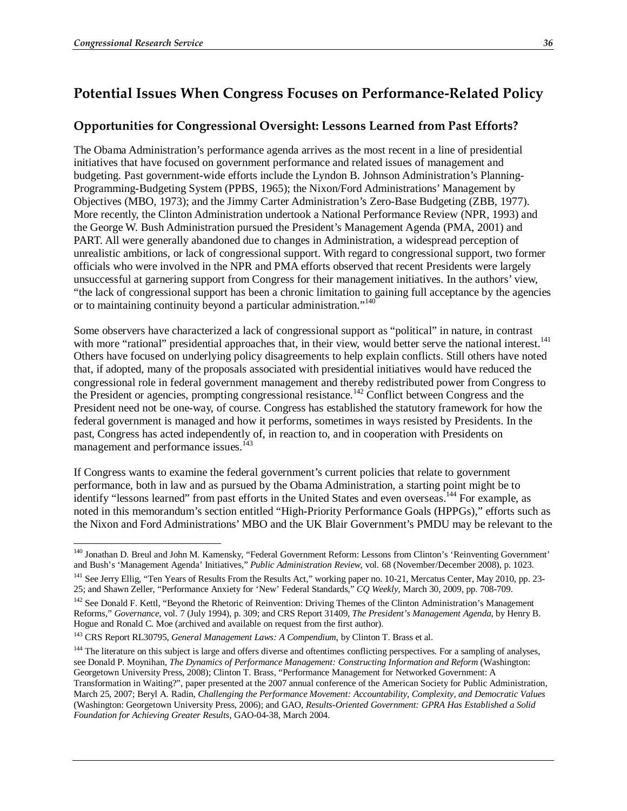## **Potential Issues When Congress Focuses on Performance-Related Policy**

#### **Opportunities for Congressional Oversight: Lessons Learned from Past Efforts?**

The Obama Administration's performance agenda arrives as the most recent in a line of presidential initiatives that have focused on government performance and related issues of management and budgeting. Past government-wide efforts include the Lyndon B. Johnson Administration's Planning-Programming-Budgeting System (PPBS, 1965); the Nixon/Ford Administrations' Management by Objectives (MBO, 1973); and the Jimmy Carter Administration's Zero-Base Budgeting (ZBB, 1977). More recently, the Clinton Administration undertook a National Performance Review (NPR, 1993) and the George W. Bush Administration pursued the President's Management Agenda (PMA, 2001) and PART. All were generally abandoned due to changes in Administration, a widespread perception of unrealistic ambitions, or lack of congressional support. With regard to congressional support, two former officials who were involved in the NPR and PMA efforts observed that recent Presidents were largely unsuccessful at garnering support from Congress for their management initiatives. In the authors' view, "the lack of congressional support has been a chronic limitation to gaining full acceptance by the agencies or to maintaining continuity beyond a particular administration."<sup>140</sup>

Some observers have characterized a lack of congressional support as "political" in nature, in contrast with more "rational" presidential approaches that, in their view, would better serve the national interest.<sup>141</sup> Others have focused on underlying policy disagreements to help explain conflicts. Still others have noted that, if adopted, many of the proposals associated with presidential initiatives would have reduced the congressional role in federal government management and thereby redistributed power from Congress to the President or agencies, prompting congressional resistance.<sup>142</sup> Conflict between Congress and the President need not be one-way, of course. Congress has established the statutory framework for how the federal government is managed and how it performs, sometimes in ways resisted by Presidents. In the past, Congress has acted independently of, in reaction to, and in cooperation with Presidents on management and performance issues.<sup>143</sup>

If Congress wants to examine the federal government's current policies that relate to government performance, both in law and as pursued by the Obama Administration, a starting point might be to identify "lessons learned" from past efforts in the United States and even overseas.<sup>144</sup> For example, as noted in this memorandum's section entitled "High-Priority Performance Goals (HPPGs)," efforts such as the Nixon and Ford Administrations' MBO and the UK Blair Government's PMDU may be relevant to the

<sup>144</sup> The literature on this subject is large and offers diverse and oftentimes conflicting perspectives. For a sampling of analyses, see Donald P. Moynihan, *The Dynamics of Performance Management: Constructing Information and Reform* (Washington: Georgetown University Press, 2008); Clinton T. Brass, "Performance Management for Networked Government: A Transformation in Waiting?", paper presented at the 2007 annual conference of the American Society for Public Administration, March 25, 2007; Beryl A. Radin, *Challenging the Performance Movement: Accountability, Complexity, and Democratic Values* (Washington: Georgetown University Press, 2006); and GAO, *Results-Oriented Government: GPRA Has Established a Solid Foundation for Achieving Greater Results*, GAO-04-38, March 2004.

<sup>-</sup>140 Jonathan D. Breul and John M. Kamensky, "Federal Government Reform: Lessons from Clinton's 'Reinventing Government' and Bush's 'Management Agenda' Initiatives," *Public Administration Review*, vol. 68 (November/December 2008), p. 1023.

<sup>&</sup>lt;sup>141</sup> See Jerry Ellig, "Ten Years of Results From the Results Act," working paper no. 10-21, Mercatus Center, May 2010, pp. 23-25; and Shawn Zeller, "Performance Anxiety for 'New' Federal Standards," *CQ Weekly*, March 30, 2009, pp. 708-709.

<sup>&</sup>lt;sup>142</sup> See Donald F. Kettl, "Beyond the Rhetoric of Reinvention: Driving Themes of the Clinton Administration's Management Reforms," *Governance*, vol. 7 (July 1994), p. 309; and CRS Report 31409, *The President's Management Agenda*, by Henry B. Hogue and Ronald C. Moe (archived and available on request from the first author).

<sup>143</sup> CRS Report RL30795, *General Management Laws: A Compendium*, by Clinton T. Brass et al.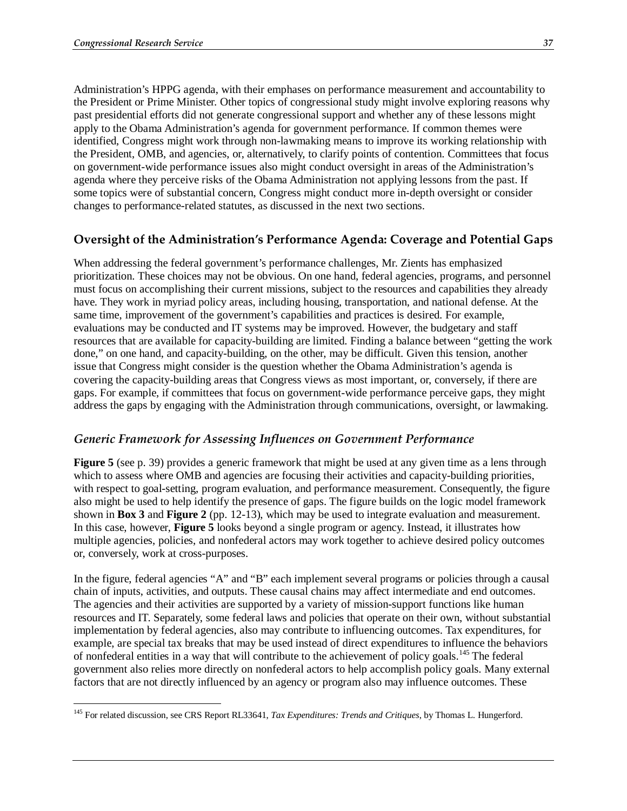Administration's HPPG agenda, with their emphases on performance measurement and accountability to the President or Prime Minister. Other topics of congressional study might involve exploring reasons why past presidential efforts did not generate congressional support and whether any of these lessons might apply to the Obama Administration's agenda for government performance. If common themes were identified, Congress might work through non-lawmaking means to improve its working relationship with the President, OMB, and agencies, or, alternatively, to clarify points of contention. Committees that focus on government-wide performance issues also might conduct oversight in areas of the Administration's agenda where they perceive risks of the Obama Administration not applying lessons from the past. If some topics were of substantial concern, Congress might conduct more in-depth oversight or consider changes to performance-related statutes, as discussed in the next two sections.

#### **Oversight of the Administration's Performance Agenda: Coverage and Potential Gaps**

When addressing the federal government's performance challenges, Mr. Zients has emphasized prioritization. These choices may not be obvious. On one hand, federal agencies, programs, and personnel must focus on accomplishing their current missions, subject to the resources and capabilities they already have. They work in myriad policy areas, including housing, transportation, and national defense. At the same time, improvement of the government's capabilities and practices is desired. For example, evaluations may be conducted and IT systems may be improved. However, the budgetary and staff resources that are available for capacity-building are limited. Finding a balance between "getting the work done," on one hand, and capacity-building, on the other, may be difficult. Given this tension, another issue that Congress might consider is the question whether the Obama Administration's agenda is covering the capacity-building areas that Congress views as most important, or, conversely, if there are gaps. For example, if committees that focus on government-wide performance perceive gaps, they might address the gaps by engaging with the Administration through communications, oversight, or lawmaking.

#### *Generic Framework for Assessing Influences on Government Performance*

**Figure 5** (see p. 39) provides a generic framework that might be used at any given time as a lens through which to assess where OMB and agencies are focusing their activities and capacity-building priorities, with respect to goal-setting, program evaluation, and performance measurement. Consequently, the figure also might be used to help identify the presence of gaps. The figure builds on the logic model framework shown in **Box 3** and **Figure 2** (pp. 12-13), which may be used to integrate evaluation and measurement. In this case, however, **Figure 5** looks beyond a single program or agency. Instead, it illustrates how multiple agencies, policies, and nonfederal actors may work together to achieve desired policy outcomes or, conversely, work at cross-purposes.

In the figure, federal agencies "A" and "B" each implement several programs or policies through a causal chain of inputs, activities, and outputs. These causal chains may affect intermediate and end outcomes. The agencies and their activities are supported by a variety of mission-support functions like human resources and IT. Separately, some federal laws and policies that operate on their own, without substantial implementation by federal agencies, also may contribute to influencing outcomes. Tax expenditures, for example, are special tax breaks that may be used instead of direct expenditures to influence the behaviors of nonfederal entities in a way that will contribute to the achievement of policy goals.145 The federal government also relies more directly on nonfederal actors to help accomplish policy goals. Many external factors that are not directly influenced by an agency or program also may influence outcomes. These

<sup>-</sup>145 For related discussion, see CRS Report RL33641, *Tax Expenditures: Trends and Critiques*, by Thomas L. Hungerford.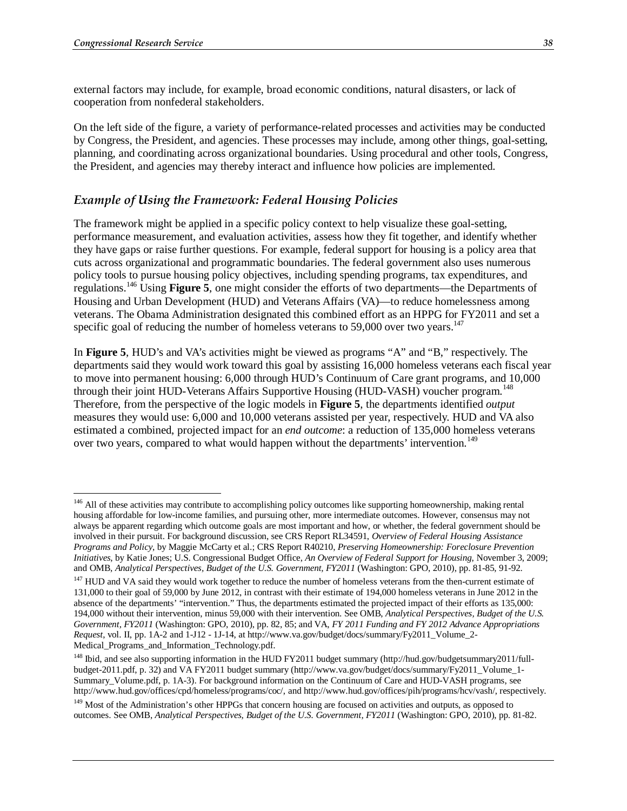external factors may include, for example, broad economic conditions, natural disasters, or lack of cooperation from nonfederal stakeholders.

On the left side of the figure, a variety of performance-related processes and activities may be conducted by Congress, the President, and agencies. These processes may include, among other things, goal-setting, planning, and coordinating across organizational boundaries. Using procedural and other tools, Congress, the President, and agencies may thereby interact and influence how policies are implemented.

#### *Example of Using the Framework: Federal Housing Policies*

The framework might be applied in a specific policy context to help visualize these goal-setting, performance measurement, and evaluation activities, assess how they fit together, and identify whether they have gaps or raise further questions. For example, federal support for housing is a policy area that cuts across organizational and programmatic boundaries. The federal government also uses numerous policy tools to pursue housing policy objectives, including spending programs, tax expenditures, and regulations.146 Using **Figure 5**, one might consider the efforts of two departments—the Departments of Housing and Urban Development (HUD) and Veterans Affairs (VA)—to reduce homelessness among veterans. The Obama Administration designated this combined effort as an HPPG for FY2011 and set a specific goal of reducing the number of homeless veterans to 59,000 over two years.<sup>147</sup>

In **Figure 5**, HUD's and VA's activities might be viewed as programs "A" and "B," respectively. The departments said they would work toward this goal by assisting 16,000 homeless veterans each fiscal year to move into permanent housing: 6,000 through HUD's Continuum of Care grant programs, and 10,000 through their joint HUD-Veterans Affairs Supportive Housing (HUD-VASH) voucher program.<sup>148</sup> Therefore, from the perspective of the logic models in **Figure 5**, the departments identified *output* measures they would use: 6,000 and 10,000 veterans assisted per year, respectively. HUD and VA also estimated a combined, projected impact for an *end outcome*: a reduction of 135,000 homeless veterans over two years, compared to what would happen without the departments' intervention.<sup>149</sup>

<sup>&</sup>lt;sup>146</sup> All of these activities may contribute to accomplishing policy outcomes like supporting homeownership, making rental housing affordable for low-income families, and pursuing other, more intermediate outcomes. However, consensus may not always be apparent regarding which outcome goals are most important and how, or whether, the federal government should be involved in their pursuit. For background discussion, see CRS Report RL34591, *Overview of Federal Housing Assistance Programs and Policy*, by Maggie McCarty et al.; CRS Report R40210, *Preserving Homeownership: Foreclosure Prevention Initiatives*, by Katie Jones; U.S. Congressional Budget Office, *An Overview of Federal Support for Housing*, November 3, 2009; and OMB, *Analytical Perspectives, Budget of the U.S. Government, FY2011* (Washington: GPO, 2010), pp. 81-85, 91-92.

<sup>&</sup>lt;sup>147</sup> HUD and VA said they would work together to reduce the number of homeless veterans from the then-current estimate of 131,000 to their goal of 59,000 by June 2012, in contrast with their estimate of 194,000 homeless veterans in June 2012 in the absence of the departments' "intervention." Thus, the departments estimated the projected impact of their efforts as 135,000: 194,000 without their intervention, minus 59,000 with their intervention. See OMB, *Analytical Perspectives, Budget of the U.S. Government, FY2011* (Washington: GPO, 2010), pp. 82, 85; and VA, *FY 2011 Funding and FY 2012 Advance Appropriations Request*, vol. II, pp. 1A-2 and 1-J12 - 1J-14, at http://www.va.gov/budget/docs/summary/Fy2011\_Volume\_2- Medical\_Programs\_and\_Information\_Technology.pdf.

<sup>&</sup>lt;sup>148</sup> Ibid, and see also supporting information in the HUD FY2011 budget summary (http://hud.gov/budgetsummary2011/fullbudget-2011.pdf, p. 32) and VA FY2011 budget summary (http://www.va.gov/budget/docs/summary/Fy2011\_Volume\_1- Summary\_Volume.pdf, p. 1A-3). For background information on the Continuum of Care and HUD-VASH programs, see http://www.hud.gov/offices/cpd/homeless/programs/coc/, and http://www.hud.gov/offices/pih/programs/hcv/vash/, respectively.

<sup>&</sup>lt;sup>149</sup> Most of the Administration's other HPPGs that concern housing are focused on activities and outputs, as opposed to outcomes. See OMB, *Analytical Perspectives, Budget of the U.S. Government, FY2011* (Washington: GPO, 2010), pp. 81-82.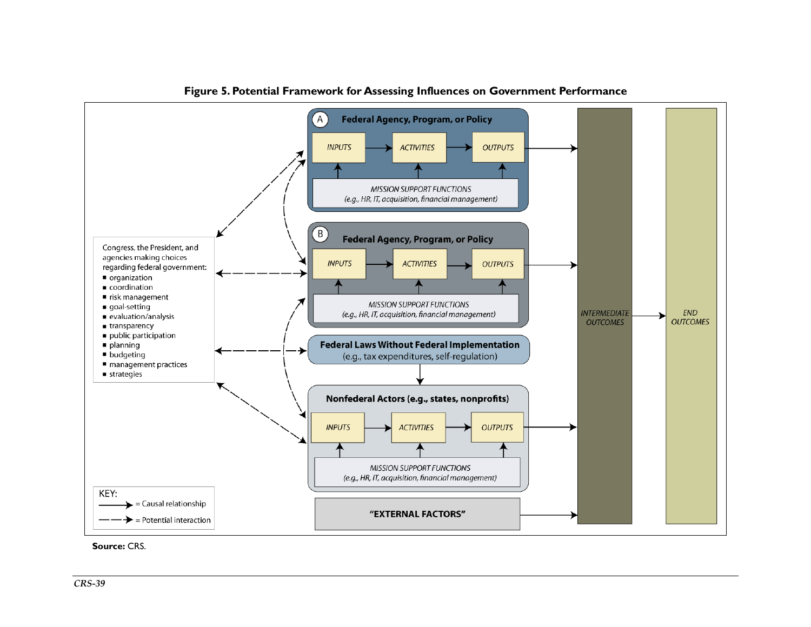

**Figure 5. Potential Framework for Assessing Influences on Government Performance** 

**Source:** CRS.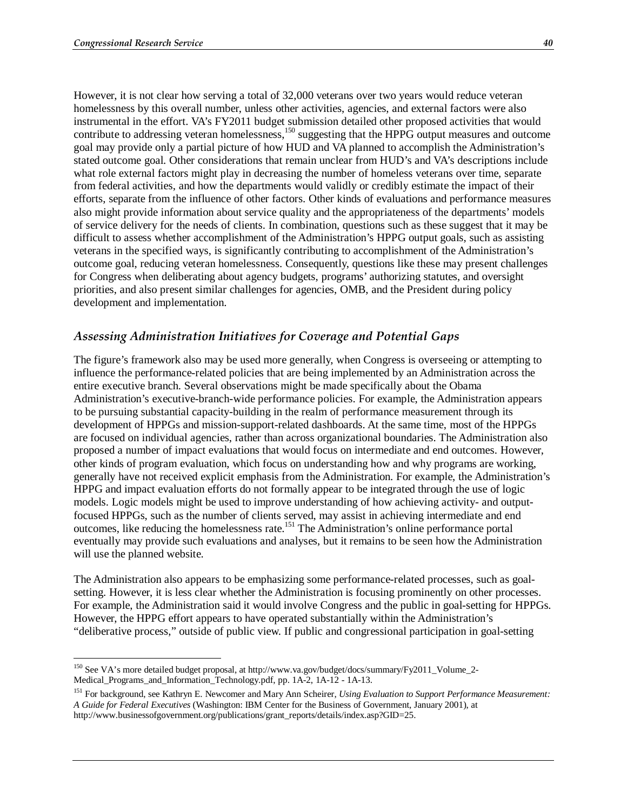However, it is not clear how serving a total of 32,000 veterans over two years would reduce veteran homelessness by this overall number, unless other activities, agencies, and external factors were also instrumental in the effort. VA's FY2011 budget submission detailed other proposed activities that would contribute to addressing veteran homelessness,<sup>150</sup> suggesting that the HPPG output measures and outcome goal may provide only a partial picture of how HUD and VA planned to accomplish the Administration's stated outcome goal. Other considerations that remain unclear from HUD's and VA's descriptions include what role external factors might play in decreasing the number of homeless veterans over time, separate from federal activities, and how the departments would validly or credibly estimate the impact of their efforts, separate from the influence of other factors. Other kinds of evaluations and performance measures also might provide information about service quality and the appropriateness of the departments' models of service delivery for the needs of clients. In combination, questions such as these suggest that it may be difficult to assess whether accomplishment of the Administration's HPPG output goals, such as assisting veterans in the specified ways, is significantly contributing to accomplishment of the Administration's outcome goal, reducing veteran homelessness. Consequently, questions like these may present challenges for Congress when deliberating about agency budgets, programs' authorizing statutes, and oversight priorities, and also present similar challenges for agencies, OMB, and the President during policy development and implementation.

#### *Assessing Administration Initiatives for Coverage and Potential Gaps*

The figure's framework also may be used more generally, when Congress is overseeing or attempting to influence the performance-related policies that are being implemented by an Administration across the entire executive branch. Several observations might be made specifically about the Obama Administration's executive-branch-wide performance policies. For example, the Administration appears to be pursuing substantial capacity-building in the realm of performance measurement through its development of HPPGs and mission-support-related dashboards. At the same time, most of the HPPGs are focused on individual agencies, rather than across organizational boundaries. The Administration also proposed a number of impact evaluations that would focus on intermediate and end outcomes. However, other kinds of program evaluation, which focus on understanding how and why programs are working, generally have not received explicit emphasis from the Administration. For example, the Administration's HPPG and impact evaluation efforts do not formally appear to be integrated through the use of logic models. Logic models might be used to improve understanding of how achieving activity- and outputfocused HPPGs, such as the number of clients served, may assist in achieving intermediate and end outcomes, like reducing the homelessness rate.151 The Administration's online performance portal eventually may provide such evaluations and analyses, but it remains to be seen how the Administration will use the planned website.

The Administration also appears to be emphasizing some performance-related processes, such as goalsetting. However, it is less clear whether the Administration is focusing prominently on other processes. For example, the Administration said it would involve Congress and the public in goal-setting for HPPGs. However, the HPPG effort appears to have operated substantially within the Administration's "deliberative process," outside of public view. If public and congressional participation in goal-setting

<sup>&</sup>lt;u>.</u> <sup>150</sup> See VA's more detailed budget proposal, at http://www.va.gov/budget/docs/summary/Fy2011\_Volume\_2-Medical\_Programs\_and\_Information\_Technology.pdf, pp. 1A-2, 1A-12 - 1A-13.

<sup>151</sup> For background, see Kathryn E. Newcomer and Mary Ann Scheirer, *Using Evaluation to Support Performance Measurement: A Guide for Federal Executives* (Washington: IBM Center for the Business of Government, January 2001), at http://www.businessofgovernment.org/publications/grant\_reports/details/index.asp?GID=25.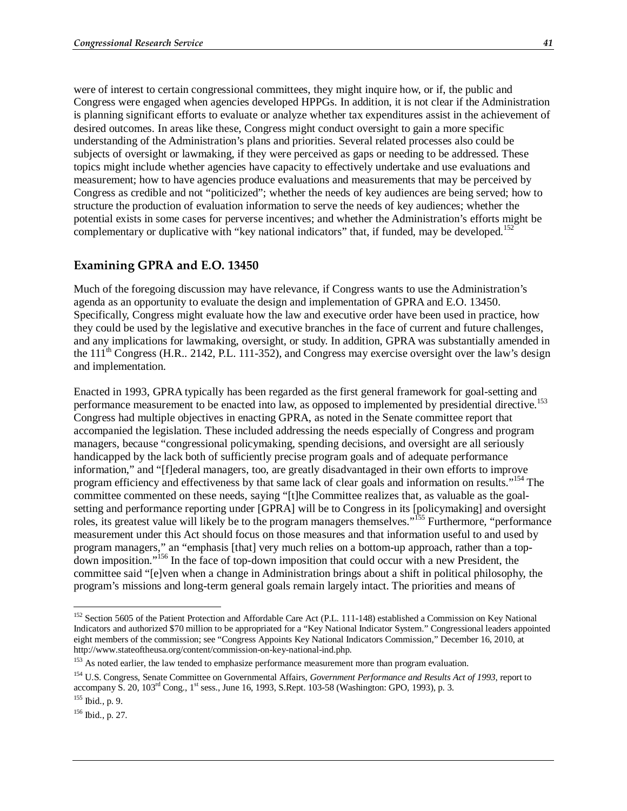were of interest to certain congressional committees, they might inquire how, or if, the public and Congress were engaged when agencies developed HPPGs. In addition, it is not clear if the Administration is planning significant efforts to evaluate or analyze whether tax expenditures assist in the achievement of desired outcomes. In areas like these, Congress might conduct oversight to gain a more specific understanding of the Administration's plans and priorities. Several related processes also could be subjects of oversight or lawmaking, if they were perceived as gaps or needing to be addressed. These topics might include whether agencies have capacity to effectively undertake and use evaluations and measurement; how to have agencies produce evaluations and measurements that may be perceived by Congress as credible and not "politicized"; whether the needs of key audiences are being served; how to structure the production of evaluation information to serve the needs of key audiences; whether the potential exists in some cases for perverse incentives; and whether the Administration's efforts might be complementary or duplicative with "key national indicators" that, if funded, may be developed.<sup>152</sup>

#### **Examining GPRA and E.O. 13450**

Much of the foregoing discussion may have relevance, if Congress wants to use the Administration's agenda as an opportunity to evaluate the design and implementation of GPRA and E.O. 13450. Specifically, Congress might evaluate how the law and executive order have been used in practice, how they could be used by the legislative and executive branches in the face of current and future challenges, and any implications for lawmaking, oversight, or study. In addition, GPRA was substantially amended in the  $11<sup>th</sup>$  Congress (H.R., 2142, P.L. 111-352), and Congress may exercise oversight over the law's design and implementation.

Enacted in 1993, GPRA typically has been regarded as the first general framework for goal-setting and performance measurement to be enacted into law, as opposed to implemented by presidential directive.<sup>153</sup> Congress had multiple objectives in enacting GPRA, as noted in the Senate committee report that accompanied the legislation. These included addressing the needs especially of Congress and program managers, because "congressional policymaking, spending decisions, and oversight are all seriously handicapped by the lack both of sufficiently precise program goals and of adequate performance information," and "[f]ederal managers, too, are greatly disadvantaged in their own efforts to improve program efficiency and effectiveness by that same lack of clear goals and information on results."154 The committee commented on these needs, saying "[t]he Committee realizes that, as valuable as the goalsetting and performance reporting under [GPRA] will be to Congress in its [policymaking] and oversight roles, its greatest value will likely be to the program managers themselves."155 Furthermore, "performance measurement under this Act should focus on those measures and that information useful to and used by program managers," an "emphasis [that] very much relies on a bottom-up approach, rather than a topdown imposition."156 In the face of top-down imposition that could occur with a new President, the committee said "[e]ven when a change in Administration brings about a shift in political philosophy, the program's missions and long-term general goals remain largely intact. The priorities and means of

-

<sup>&</sup>lt;sup>152</sup> Section 5605 of the Patient Protection and Affordable Care Act (P.L. 111-148) established a Commission on Key National Indicators and authorized \$70 million to be appropriated for a "Key National Indicator System." Congressional leaders appointed eight members of the commission; see "Congress Appoints Key National Indicators Commission," December 16, 2010, at http://www.stateoftheusa.org/content/commission-on-key-national-ind.php.

<sup>&</sup>lt;sup>153</sup> As noted earlier, the law tended to emphasize performance measurement more than program evaluation.

<sup>154</sup> U.S. Congress, Senate Committee on Governmental Affairs, *Government Performance and Results Act of 1993*, report to accompany S. 20, 103<sup>rd</sup> Cong., 1<sup>st</sup> sess., June 16, 1993, S.Rept. 103-58 (Washington: GPO, 1993), p. 3.

 $155$  Ibid., p. 9.

 $156$  Ibid., p. 27.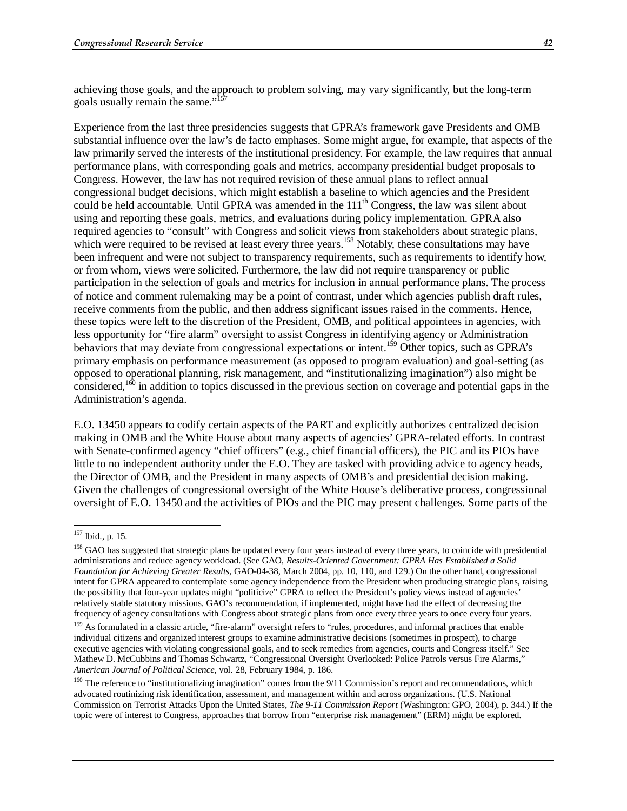achieving those goals, and the approach to problem solving, may vary significantly, but the long-term goals usually remain the same."<sup>157</sup>

Experience from the last three presidencies suggests that GPRA's framework gave Presidents and OMB substantial influence over the law's de facto emphases. Some might argue, for example, that aspects of the law primarily served the interests of the institutional presidency. For example, the law requires that annual performance plans, with corresponding goals and metrics, accompany presidential budget proposals to Congress. However, the law has not required revision of these annual plans to reflect annual congressional budget decisions, which might establish a baseline to which agencies and the President could be held accountable. Until GPRA was amended in the 111<sup>th</sup> Congress, the law was silent about using and reporting these goals, metrics, and evaluations during policy implementation. GPRA also required agencies to "consult" with Congress and solicit views from stakeholders about strategic plans, which were required to be revised at least every three years.<sup>158</sup> Notably, these consultations may have been infrequent and were not subject to transparency requirements, such as requirements to identify how, or from whom, views were solicited. Furthermore, the law did not require transparency or public participation in the selection of goals and metrics for inclusion in annual performance plans. The process of notice and comment rulemaking may be a point of contrast, under which agencies publish draft rules, receive comments from the public, and then address significant issues raised in the comments. Hence, these topics were left to the discretion of the President, OMB, and political appointees in agencies, with less opportunity for "fire alarm" oversight to assist Congress in identifying agency or Administration behaviors that may deviate from congressional expectations or intent.<sup>159</sup> Other topics, such as GPRA's primary emphasis on performance measurement (as opposed to program evaluation) and goal-setting (as opposed to operational planning, risk management, and "institutionalizing imagination") also might be considered,<sup>160</sup> in addition to topics discussed in the previous section on coverage and potential gaps in the Administration's agenda.

E.O. 13450 appears to codify certain aspects of the PART and explicitly authorizes centralized decision making in OMB and the White House about many aspects of agencies' GPRA-related efforts. In contrast with Senate-confirmed agency "chief officers" (e.g., chief financial officers), the PIC and its PIOs have little to no independent authority under the E.O. They are tasked with providing advice to agency heads, the Director of OMB, and the President in many aspects of OMB's and presidential decision making. Given the challenges of congressional oversight of the White House's deliberative process, congressional oversight of E.O. 13450 and the activities of PIOs and the PIC may present challenges. Some parts of the

<sup>&</sup>lt;u>.</u> 157 Ibid., p. 15.

<sup>&</sup>lt;sup>158</sup> GAO has suggested that strategic plans be updated every four years instead of every three years, to coincide with presidential administrations and reduce agency workload. (See GAO, *Results-Oriented Government: GPRA Has Established a Solid Foundation for Achieving Greater Results*, GAO-04-38, March 2004, pp. 10, 110, and 129.) On the other hand, congressional intent for GPRA appeared to contemplate some agency independence from the President when producing strategic plans, raising the possibility that four-year updates might "politicize" GPRA to reflect the President's policy views instead of agencies' relatively stable statutory missions. GAO's recommendation, if implemented, might have had the effect of decreasing the frequency of agency consultations with Congress about strategic plans from once every three years to once every four years.

<sup>&</sup>lt;sup>159</sup> As formulated in a classic article, "fire-alarm" oversight refers to "rules, procedures, and informal practices that enable individual citizens and organized interest groups to examine administrative decisions (sometimes in prospect), to charge executive agencies with violating congressional goals, and to seek remedies from agencies, courts and Congress itself." See Mathew D. McCubbins and Thomas Schwartz, "Congressional Oversight Overlooked: Police Patrols versus Fire Alarms," *American Journal of Political Science*, vol. 28, February 1984, p. 186.

<sup>&</sup>lt;sup>160</sup> The reference to "institutionalizing imagination" comes from the 9/11 Commission's report and recommendations, which advocated routinizing risk identification, assessment, and management within and across organizations. (U.S. National Commission on Terrorist Attacks Upon the United States, *The 9-11 Commission Report* (Washington: GPO, 2004), p. 344.) If the topic were of interest to Congress, approaches that borrow from "enterprise risk management" (ERM) might be explored.